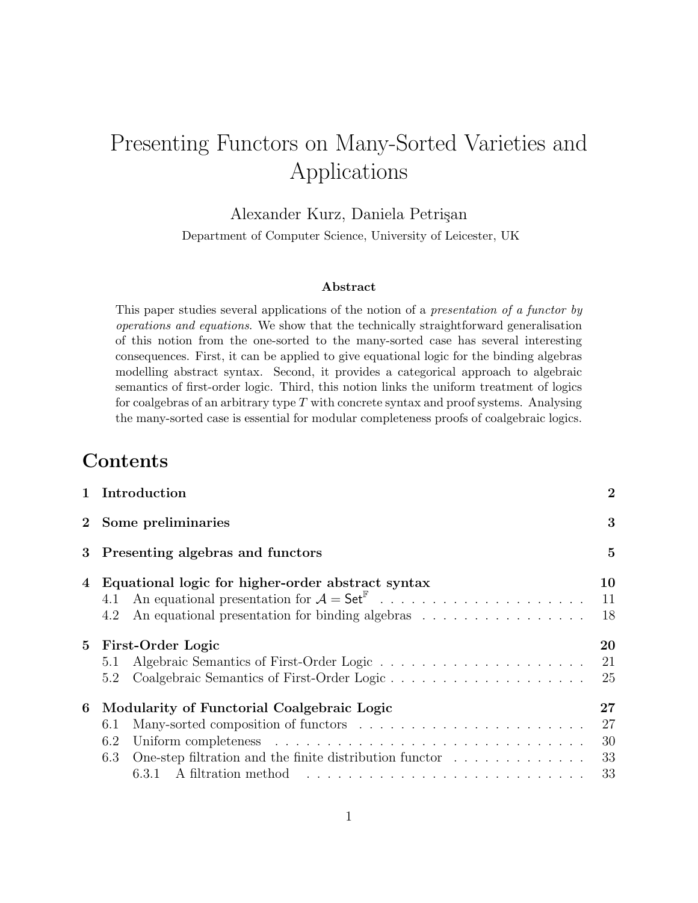# Presenting Functors on Many-Sorted Varieties and Applications

### Alexander Kurz, Daniela Petrişan

Department of Computer Science, University of Leicester, UK

#### Abstract

This paper studies several applications of the notion of a presentation of a functor by operations and equations. We show that the technically straightforward generalisation of this notion from the one-sorted to the many-sorted case has several interesting consequences. First, it can be applied to give equational logic for the binding algebras modelling abstract syntax. Second, it provides a categorical approach to algebraic semantics of first-order logic. Third, this notion links the uniform treatment of logics for coalgebras of an arbitrary type  $T$  with concrete syntax and proof systems. Analysing the many-sorted case is essential for modular completeness proofs of coalgebraic logics.

# Contents

|             | 1 Introduction                                                                                                                                       | $\overline{2}$       |
|-------------|------------------------------------------------------------------------------------------------------------------------------------------------------|----------------------|
|             | 2 Some preliminaries                                                                                                                                 | 3                    |
|             | 3 Presenting algebras and functors                                                                                                                   | $\overline{5}$       |
| 4           | Equational logic for higher-order abstract syntax<br>4.1<br>An equational presentation for binding algebras<br>4.2                                   | 10<br>11<br>18       |
| $5^{\circ}$ | First-Order Logic<br>5.1<br>5.2                                                                                                                      | 20<br>21<br>25       |
| 6           | Modularity of Functorial Coalgebraic Logic<br>6.1<br>6.2<br>One-step filtration and the finite distribution functor $\dots \dots \dots \dots$<br>6.3 | 27<br>27<br>30<br>33 |
|             | 6.3.1 A filtration method $\dots \dots \dots \dots \dots \dots \dots \dots \dots \dots \dots$                                                        | 33                   |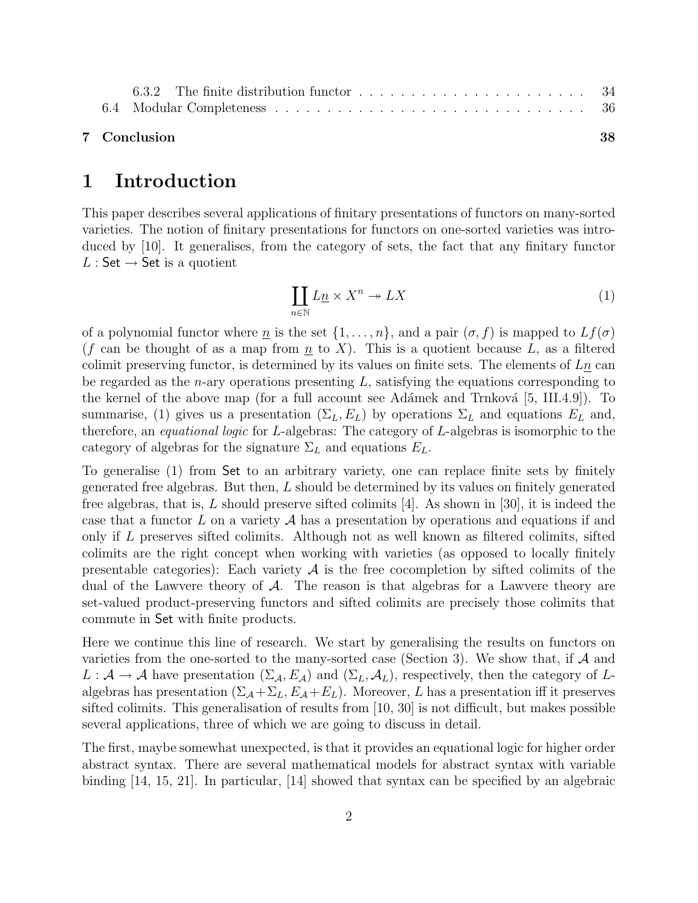#### 7 Conclusion 38

### 1 Introduction

This paper describes several applications of finitary presentations of functors on many-sorted varieties. The notion of finitary presentations for functors on one-sorted varieties was introduced by [10]. It generalises, from the category of sets, the fact that any finitary functor  $L :$  Set  $\rightarrow$  Set is a quotient

$$
\coprod_{n\in\mathbb{N}} L\underline{n} \times X^n \to LX \tag{1}
$$

of a polynomial functor where <u>n</u> is the set  $\{1, \ldots, n\}$ , and a pair  $(\sigma, f)$  is mapped to  $Lf(\sigma)$ (f can be thought of as a map from  $\underline{n}$  to X). This is a quotient because L, as a filtered colimit preserving functor, is determined by its values on finite sets. The elements of  $L_{\underline{n}}$  can be regarded as the *n*-ary operations presenting  $L$ , satisfying the equations corresponding to the kernel of the above map (for a full account see Adámek and Trnková  $[5, \text{III.4.9}]$ ). To summarise, (1) gives us a presentation  $(\Sigma_L, E_L)$  by operations  $\Sigma_L$  and equations  $E_L$  and, therefore, an equational logic for L-algebras: The category of L-algebras is isomorphic to the category of algebras for the signature  $\Sigma_L$  and equations  $E_L$ .

To generalise (1) from Set to an arbitrary variety, one can replace finite sets by finitely generated free algebras. But then,  $L$  should be determined by its values on finitely generated free algebras, that is, L should preserve sifted colimits  $|4|$ . As shown in [30], it is indeed the case that a functor  $L$  on a variety  $A$  has a presentation by operations and equations if and only if L preserves sifted colimits. Although not as well known as filtered colimits, sifted colimits are the right concept when working with varieties (as opposed to locally finitely presentable categories): Each variety  $A$  is the free cocompletion by sifted colimits of the dual of the Lawvere theory of  $\mathcal A$ . The reason is that algebras for a Lawvere theory are set-valued product-preserving functors and sifted colimits are precisely those colimits that commute in Set with finite products.

Here we continue this line of research. We start by generalising the results on functors on varieties from the one-sorted to the many-sorted case (Section 3). We show that, if  $A$  and  $L : \mathcal{A} \to \mathcal{A}$  have presentation  $(\Sigma_{\mathcal{A}}, E_{\mathcal{A}})$  and  $(\Sigma_{L}, \mathcal{A}_{L})$ , respectively, then the category of Lalgebras has presentation  $(\Sigma_A + \Sigma_L, E_A + E_L)$ . Moreover, L has a presentation iff it preserves sifted colimits. This generalisation of results from [10, 30] is not difficult, but makes possible several applications, three of which we are going to discuss in detail.

The first, maybe somewhat unexpected, is that it provides an equational logic for higher order abstract syntax. There are several mathematical models for abstract syntax with variable binding [14, 15, 21]. In particular, [14] showed that syntax can be specified by an algebraic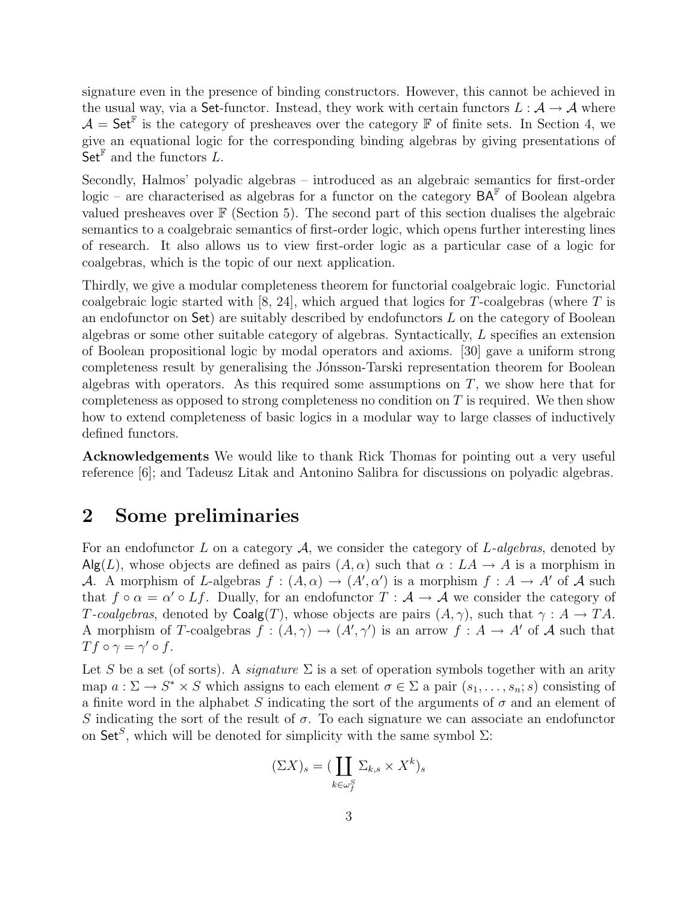signature even in the presence of binding constructors. However, this cannot be achieved in the usual way, via a Set-functor. Instead, they work with certain functors  $L : A \rightarrow A$  where  $\mathcal{A} = \mathsf{Set}^{\mathbb{F}}$  is the category of presheaves over the category  $\mathbb{F}$  of finite sets. In Section 4, we give an equational logic for the corresponding binding algebras by giving presentations of  $\overrightarrow{S}$  et<sup>F</sup> and the functors L.

Secondly, Halmos' polyadic algebras – introduced as an algebraic semantics for first-order logic – are characterised as algebras for a functor on the category  $BA^{\mathbb{F}}$  of Boolean algebra valued presheaves over  $\mathbb F$  (Section 5). The second part of this section dualises the algebraic semantics to a coalgebraic semantics of first-order logic, which opens further interesting lines of research. It also allows us to view first-order logic as a particular case of a logic for coalgebras, which is the topic of our next application.

Thirdly, we give a modular completeness theorem for functorial coalgebraic logic. Functorial coalgebraic logic started with  $[8, 24]$ , which argued that logics for T-coalgebras (where T is an endofunctor on  $\mathsf{Set}$  are suitably described by endofunctors  $L$  on the category of Boolean algebras or some other suitable category of algebras. Syntactically, L specifies an extension of Boolean propositional logic by modal operators and axioms. [30] gave a uniform strong completeness result by generalising the Jónsson-Tarski representation theorem for Boolean algebras with operators. As this required some assumptions on  $T$ , we show here that for completeness as opposed to strong completeness no condition on  $T$  is required. We then show how to extend completeness of basic logics in a modular way to large classes of inductively defined functors.

Acknowledgements We would like to thank Rick Thomas for pointing out a very useful reference [6]; and Tadeusz Litak and Antonino Salibra for discussions on polyadic algebras.

# 2 Some preliminaries

For an endofunctor L on a category  $A$ , we consider the category of L-algebras, denoted by  $\text{Alg}(L)$ , whose objects are defined as pairs  $(A, \alpha)$  such that  $\alpha : LA \to A$  is a morphism in A. A morphism of L-algebras  $f : (A, \alpha) \to (A', \alpha')$  is a morphism  $f : A \to A'$  of A such that  $f \circ \alpha = \alpha' \circ Lf$ . Dually, for an endofunctor  $T : A \to A$  we consider the category of T-coalgebras, denoted by  $Coalg(T)$ , whose objects are pairs  $(A, \gamma)$ , such that  $\gamma : A \to TA$ . A morphism of T-coalgebras  $f : (A, \gamma) \to (A', \gamma')$  is an arrow  $f : A \to A'$  of A such that  $Tf \circ \gamma = \gamma' \circ f$ .

Let S be a set (of sorts). A *signature*  $\Sigma$  is a set of operation symbols together with an arity map  $a: \Sigma \to S^* \times S$  which assigns to each element  $\sigma \in \Sigma$  a pair  $(s_1, \ldots, s_n; s)$  consisting of a finite word in the alphabet S indicating the sort of the arguments of  $\sigma$  and an element of S indicating the sort of the result of  $\sigma$ . To each signature we can associate an endofunctor on Set<sup>S</sup>, which will be denoted for simplicity with the same symbol  $\Sigma$ :

$$
(\Sigma X)_s = (\coprod_{k \in \omega_f^S} \Sigma_{k,s} \times X^k)_s
$$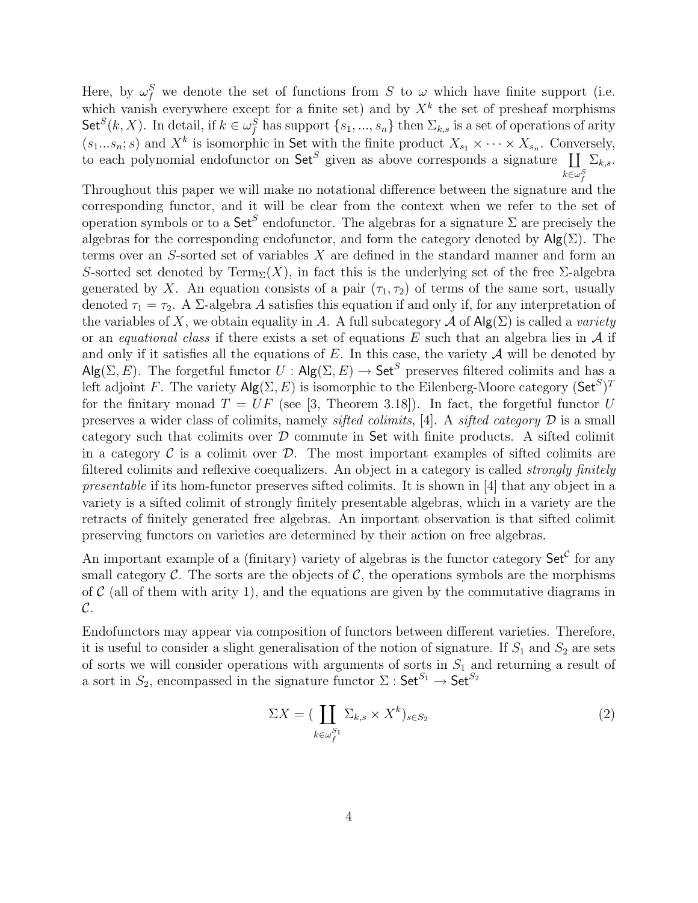Here, by  $\omega_f^S$  we denote the set of functions from S to  $\omega$  which have finite support (i.e. which vanish everywhere except for a finite set) and by  $X<sup>k</sup>$  the set of presheaf morphisms  $\mathsf{Set}^S(k, X)$ . In detail, if  $k \in \omega_f^S$  has support  $\{s_1, ..., s_n\}$  then  $\Sigma_{k,s}$  is a set of operations of arity  $(s_1...s_n; s)$  and  $X^k$  is isomorphic in Set with the finite product  $X_{s_1} \times \cdots \times X_{s_n}$ . Conversely, to each polynomial endofunctor on  $\mathsf{Set}^S$  given as above corresponds a signature  $\coprod \Sigma_{k,s}$ .  $k{\in}\omega_f^S$ 

Throughout this paper we will make no notational difference between the signature and the corresponding functor, and it will be clear from the context when we refer to the set of operation symbols or to a  $\mathsf{Set}^S$  endofunctor. The algebras for a signature  $\Sigma$  are precisely the algebras for the corresponding endofunctor, and form the category denoted by  $\mathsf{Alg}(\Sigma)$ . The terms over an S-sorted set of variables X are defined in the standard manner and form an S-sorted set denoted by Term<sub>Σ</sub>(X), in fact this is the underlying set of the free  $\Sigma$ -algebra generated by X. An equation consists of a pair  $(\tau_1, \tau_2)$  of terms of the same sort, usually denoted  $\tau_1 = \tau_2$ . A  $\Sigma$ -algebra A satisfies this equation if and only if, for any interpretation of the variables of X, we obtain equality in A. A full subcategory  $\mathcal A$  of  $\mathsf{Alg}(\Sigma)$  is called a variety or an equational class if there exists a set of equations  $E$  such that an algebra lies in  $A$  if and only if it satisfies all the equations of E. In this case, the variety  $A$  will be denoted by  $\mathsf{Alg}(\Sigma, E)$ . The forgetful functor  $U : \mathsf{Alg}(\Sigma, E) \to \mathsf{Set}^S$  preserves filtered colimits and has a left adjoint F. The variety  $\mathsf{Alg}(\Sigma, E)$  is isomorphic to the Eilenberg-Moore category  $(\mathsf{Set}^S)^T$ for the finitary monad  $T = UF$  (see [3, Theorem 3.18]). In fact, the forgetful functor U preserves a wider class of colimits, namely *sifted colimits*, [4]. A *sifted category*  $\mathcal D$  is a small category such that colimits over  $\mathcal D$  commute in Set with finite products. A sifted colimit in a category  $\mathcal C$  is a colimit over  $\mathcal D$ . The most important examples of sifted colimits are filtered colimits and reflexive coequalizers. An object in a category is called *strongly finitely* presentable if its hom-functor preserves sifted colimits. It is shown in [4] that any object in a variety is a sifted colimit of strongly finitely presentable algebras, which in a variety are the retracts of finitely generated free algebras. An important observation is that sifted colimit preserving functors on varieties are determined by their action on free algebras.

An important example of a (finitary) variety of algebras is the functor category  $\mathsf{Set}^{\mathcal{C}}$  for any small category  $\mathcal C$ . The sorts are the objects of  $\mathcal C$ , the operations symbols are the morphisms of  $\mathcal C$  (all of them with arity 1), and the equations are given by the commutative diagrams in  $\mathcal{C}.$ 

Endofunctors may appear via composition of functors between different varieties. Therefore, it is useful to consider a slight generalisation of the notion of signature. If  $S_1$  and  $S_2$  are sets of sorts we will consider operations with arguments of sorts in  $S_1$  and returning a result of a sort in  $S_2$ , encompassed in the signature functor  $\Sigma:$  Set<sup> $S_1 \rightarrow$ </sup> Set<sup> $S_2$ </sup>

$$
\Sigma X = (\coprod_{k \in \omega_f^{S_1}} \Sigma_{k,s} \times X^k)_{s \in S_2} \tag{2}
$$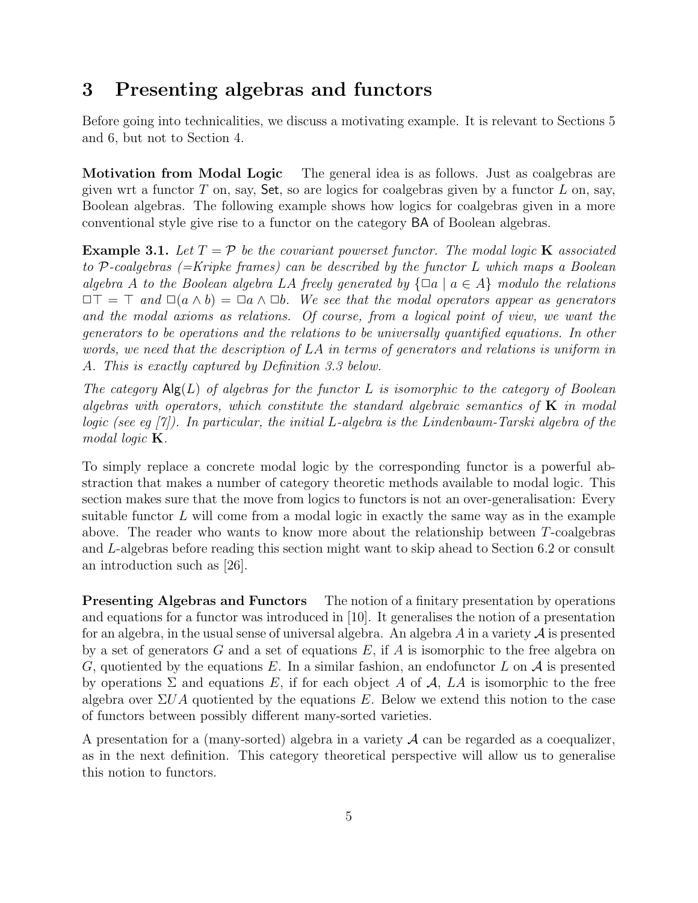# 3 Presenting algebras and functors

Before going into technicalities, we discuss a motivating example. It is relevant to Sections 5 and 6, but not to Section 4.

Motivation from Modal Logic The general idea is as follows. Just as coalgebras are given wrt a functor  $T$  on, say, Set, so are logics for coalgebras given by a functor  $L$  on, say, Boolean algebras. The following example shows how logics for coalgebras given in a more conventional style give rise to a functor on the category BA of Boolean algebras.

**Example 3.1.** Let  $T = \mathcal{P}$  be the covariant powerset functor. The modal logic **K** associated to P-coalgebras  $(=Kri pke$  frames) can be described by the functor L which maps a Boolean algebra A to the Boolean algebra LA freely generated by  $\{\Box a \mid a \in A\}$  modulo the relations  $\Box\top = \top$  and  $\Box(a \land b) = \Box a \land \Box b$ . We see that the modal operators appear as generators and the modal axioms as relations. Of course, from a logical point of view, we want the generators to be operations and the relations to be universally quantified equations. In other words, we need that the description of LA in terms of generators and relations is uniform in A. This is exactly captured by Definition 3.3 below.

The category  $\mathsf{Alg}(L)$  of algebras for the functor L is isomorphic to the category of Boolean algebras with operators, which constitute the standard algebraic semantics of  $\bf{K}$  in modal logic (see eq  $|7\rangle$ ). In particular, the initial L-algebra is the Lindenbaum-Tarski algebra of the modal logic **K**.

To simply replace a concrete modal logic by the corresponding functor is a powerful abstraction that makes a number of category theoretic methods available to modal logic. This section makes sure that the move from logics to functors is not an over-generalisation: Every suitable functor  $L$  will come from a modal logic in exactly the same way as in the example above. The reader who wants to know more about the relationship between T-coalgebras and L-algebras before reading this section might want to skip ahead to Section 6.2 or consult an introduction such as [26].

**Presenting Algebras and Functors** The notion of a finitary presentation by operations and equations for a functor was introduced in [10]. It generalises the notion of a presentation for an algebra, in the usual sense of universal algebra. An algebra  $A$  in a variety  $A$  is presented by a set of generators  $G$  and a set of equations  $E$ , if  $A$  is isomorphic to the free algebra on G, quotiented by the equations E. In a similar fashion, an endofunctor L on  $\mathcal A$  is presented by operations  $\Sigma$  and equations E, if for each object A of A, LA is isomorphic to the free algebra over  $\Sigma UA$  quotiented by the equations E. Below we extend this notion to the case of functors between possibly different many-sorted varieties.

A presentation for a (many-sorted) algebra in a variety  $A$  can be regarded as a coequalizer, as in the next definition. This category theoretical perspective will allow us to generalise this notion to functors.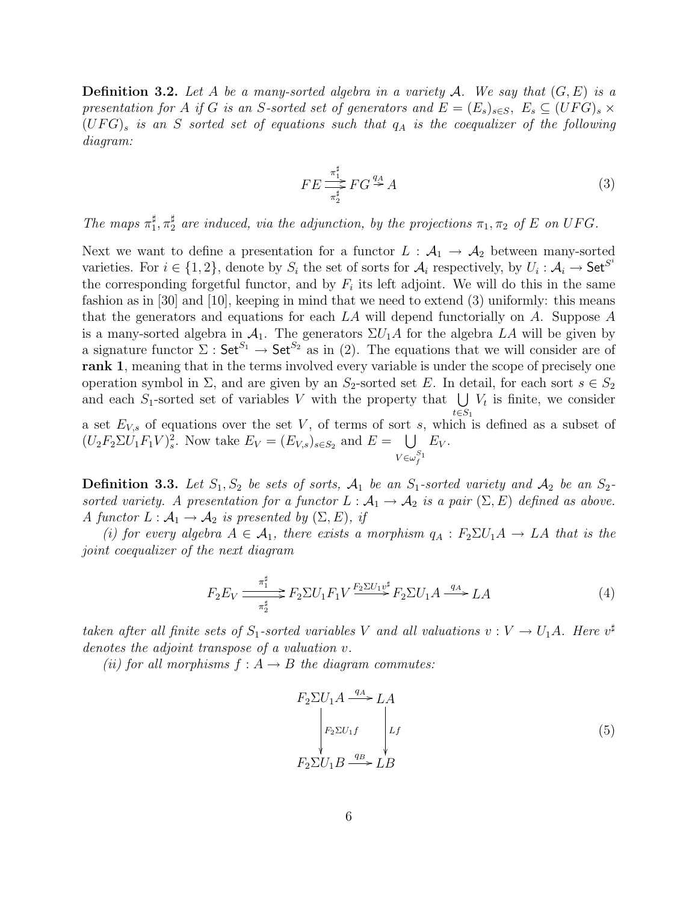**Definition 3.2.** Let A be a many-sorted algebra in a variety A. We say that  $(G, E)$  is a presentation for A if G is an S-sorted set of generators and  $E = (E_s)_{s \in S}$ ,  $E_s \subseteq (UFG)_s \times$  $(UFG)$ <sub>s</sub> is an S sorted set of equations such that  $q_A$  is the coequalizer of the following diagram:

$$
FE \stackrel{\pi_1^{\sharp}}{\underset{\pi_2^{\sharp}}{\longrightarrow}} FG \stackrel{q_A}{\rightarrow} A
$$
 (3)

The maps  $\pi_1^{\sharp}$  $_{1}^{\sharp}, \pi_{2}^{\sharp}$  are induced, via the adjunction, by the projections  $\pi_{1}, \pi_{2}$  of E on UFG.

Next we want to define a presentation for a functor  $L : A_1 \to A_2$  between many-sorted varieties. For  $i \in \{1,2\}$ , denote by  $S_i$  the set of sorts for  $\mathcal{A}_i$  respectively, by  $U_i : \mathcal{A}_i \to \mathsf{Set}^{S^i}$ the corresponding forgetful functor, and by  $F_i$  its left adjoint. We will do this in the same fashion as in [30] and [10], keeping in mind that we need to extend (3) uniformly: this means that the generators and equations for each  $LA$  will depend functorially on A. Suppose A is a many-sorted algebra in  $\mathcal{A}_1$ . The generators  $\Sigma U_1 A$  for the algebra LA will be given by a signature functor  $\Sigma$ : Set<sup>S<sub>1</sub></sup>  $\rightarrow$  Set<sup>S<sub>2</sub></sub> as in (2). The equations that we will consider are of</sup> rank 1, meaning that in the terms involved every variable is under the scope of precisely one operation symbol in  $\Sigma$ , and are given by an  $S_2$ -sorted set E. In detail, for each sort  $s \in S_2$ and each S<sub>1</sub>-sorted set of variables V with the property that  $\bigcup V_t$  is finite, we consider  $t \in S_1$ a set  $E_{V,s}$  of equations over the set V, of terms of sort s, which is defined as a subset of  $(U_2F_2\Sigma U_1F_1V)_s^2$ . Now take  $E_V = (E_{V,s})_{s \in S_2}$  and  $E = \bigcup$  $V \in \omega_f^{S_1}$  $E_V$ .

**Definition 3.3.** Let  $S_1, S_2$  be sets of sorts,  $A_1$  be an  $S_1$ -sorted variety and  $A_2$  be an  $S_2$ sorted variety. A presentation for a functor  $L : A_1 \to A_2$  is a pair  $(\Sigma, E)$  defined as above. A functor  $L : \mathcal{A}_1 \to \mathcal{A}_2$  is presented by  $(\Sigma, E)$ , if

(i) for every algebra  $A \in \mathcal{A}_1$ , there exists a morphism  $q_A : F_2 \Sigma U_1 A \rightarrow LA$  that is the joint coequalizer of the next diagram

$$
F_2 E_V \frac{\pi_1^{\sharp}}{\pi_2^{\sharp}} \mathcal{F}_2 \Sigma U_1 F_1 V \xrightarrow{\overline{F_2} \Sigma U_1 v^{\sharp}} F_2 \Sigma U_1 A \xrightarrow{q_A} LA \tag{4}
$$

taken after all finite sets of  $S_1$ -sorted variables V and all valuations  $v: V \to U_1 A$ . Here  $v^{\sharp}$ denotes the adjoint transpose of a valuation v.

(ii) for all morphisms  $f : A \rightarrow B$  the diagram commutes:

$$
F_2 \Sigma U_1 A \xrightarrow{q_A} LA
$$
  
\n
$$
F_2 \Sigma U_1 f \qquad Lf
$$
  
\n
$$
F_2 \Sigma U_1 B \xrightarrow{q_B} LB
$$
 (5)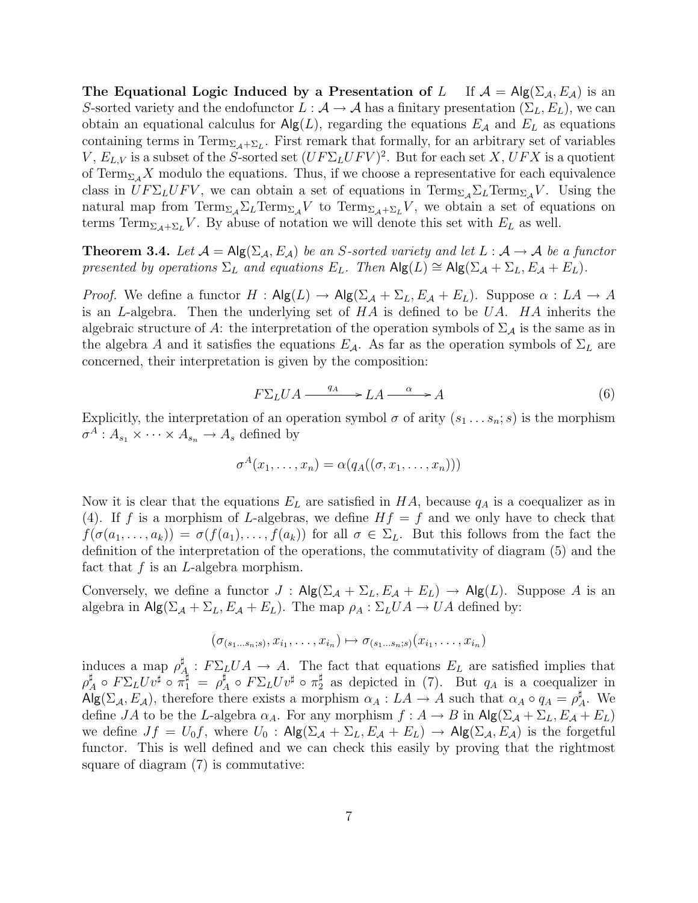The Equational Logic Induced by a Presentation of L If  $A = Alg(\Sigma_A, E_A)$  is an S-sorted variety and the endofunctor  $L : \mathcal{A} \to \mathcal{A}$  has a finitary presentation  $(\Sigma_L, E_L)$ , we can obtain an equational calculus for  $\mathsf{Alg}(L)$ , regarding the equations  $E_A$  and  $E_L$  as equations containing terms in  $\text{Term}_{\Sigma_{\mathcal{A}}+\Sigma_L}$ . First remark that formally, for an arbitrary set of variables V,  $E_{L,V}$  is a subset of the S-sorted set  $(UF\Sigma_L U F V)^2$ . But for each set X,  $UFX$  is a quotient of  $\text{Term}_{\Sigma_A}X$  modulo the equations. Thus, if we choose a representative for each equivalence class in  $UF\sum_L UFV$ , we can obtain a set of equations in  $\text{Term}_{\Sigma_{\mathcal{A}}} \Sigma_L \text{Term}_{\Sigma_{\mathcal{A}}} V$ . Using the natural map from  $\text{Term}_{\Sigma_{\mathcal{A}}} \Sigma_L \text{Term}_{\Sigma_{\mathcal{A}}} V$  to  $\text{Term}_{\Sigma_{\mathcal{A}} + \Sigma_L} V$ , we obtain a set of equations on terms Term<sub>Σ $A+ \Sigma_L V$ </sub>. By abuse of notation we will denote this set with  $E_L$  as well.

**Theorem 3.4.** Let  $\mathcal{A} = \mathsf{Alg}(\Sigma_{\mathcal{A}}, E_{\mathcal{A}})$  be an S-sorted variety and let  $L : \mathcal{A} \to \mathcal{A}$  be a functor presented by operations  $\Sigma_L$  and equations  $E_L$ . Then  $\mathsf{Alg}(L) \cong \mathsf{Alg}(\Sigma_{\mathcal{A}} + \Sigma_L, E_{\mathcal{A}} + E_L)$ .

*Proof.* We define a functor  $H : \mathsf{Alg}(L) \to \mathsf{Alg}(\Sigma_{\mathcal{A}} + \Sigma_L, E_{\mathcal{A}} + E_L)$ . Suppose  $\alpha : L_A \to A$ is an L-algebra. Then the underlying set of  $HA$  is defined to be  $UA$ .  $HA$  inherits the algebraic structure of A: the interpretation of the operation symbols of  $\Sigma_A$  is the same as in the algebra A and it satisfies the equations  $E_A$ . As far as the operation symbols of  $\Sigma_L$  are concerned, their interpretation is given by the composition:

$$
F\Sigma_L UA \xrightarrow{q_A} LA \xrightarrow{\alpha} A \tag{6}
$$

Explicitly, the interpretation of an operation symbol  $\sigma$  of arity  $(s_1 \ldots s_n; s)$  is the morphism  $\sigma^A: A_{s_1}\times\cdots\times A_{s_n}\to A_s$  defined by

$$
\sigma^A(x_1,\ldots,x_n)=\alpha(q_A((\sigma,x_1,\ldots,x_n)))
$$

Now it is clear that the equations  $E_L$  are satisfied in HA, because  $q_A$  is a coequalizer as in (4). If f is a morphism of L-algebras, we define  $Hf = f$  and we only have to check that  $f(\sigma(a_1,\ldots,a_k)) = \sigma(f(a_1),\ldots,f(a_k))$  for all  $\sigma \in \Sigma_L$ . But this follows from the fact the definition of the interpretation of the operations, the commutativity of diagram (5) and the fact that  $f$  is an  $L$ -algebra morphism.

Conversely, we define a functor  $J : Alg(\Sigma_{\mathcal{A}} + \Sigma_L, E_{\mathcal{A}} + E_L) \rightarrow Alg(L)$ . Suppose A is an algebra in  $\mathsf{Alg}(\Sigma_{\mathcal{A}} + \Sigma_L, E_{\mathcal{A}} + E_L)$ . The map  $\rho_A : \Sigma_L U A \to U A$  defined by:

$$
(\sigma_{(s_1\ldots s_n;s)}, x_{i_1}, \ldots, x_{i_n}) \mapsto \sigma_{(s_1\ldots s_n;s)}(x_{i_1}, \ldots, x_{i_n})
$$

induces a map  $\rho^{\sharp}$  $A^{\sharp}_{A}: F\Sigma_{L}UA \to A$ . The fact that equations  $E_{L}$  are satisfied implies that  $\rho^\sharp$  $A\atop A\circ\, F\Sigma_L U v^\sharp\, \circ\, \pi_1^\sharp\,\,=\,\, \rho^\sharp_A$  $^\sharp_A$  o  $F\Sigma_L U v^\sharp$  o  $\pi_2^\sharp$  $\frac{1}{2}$  as depicted in (7). But  $q_A$  is a coequalizer in  $\overline{Alg}(\Sigma_\mathcal{A}, E_\mathcal{A})$ , therefore there exists a morphism  $\alpha_A : LA \to A$  such that  $\alpha_A \circ q_A = \rho_A^{\sharp}$  $A^{\sharp}$ . We define JA to be the L-algebra  $\alpha_A$ . For any morphism  $f : A \to B$  in  $\mathsf{Alg}(\Sigma_A + \Sigma_L, E_A + E_L)$ we define  $Jf = U_0f$ , where  $U_0$ :  $\mathsf{Alg}(\Sigma_{\mathcal{A}} + \Sigma_L, E_{\mathcal{A}} + E_L) \to \mathsf{Alg}(\Sigma_{\mathcal{A}}, E_{\mathcal{A}})$  is the forgetful functor. This is well defined and we can check this easily by proving that the rightmost square of diagram (7) is commutative: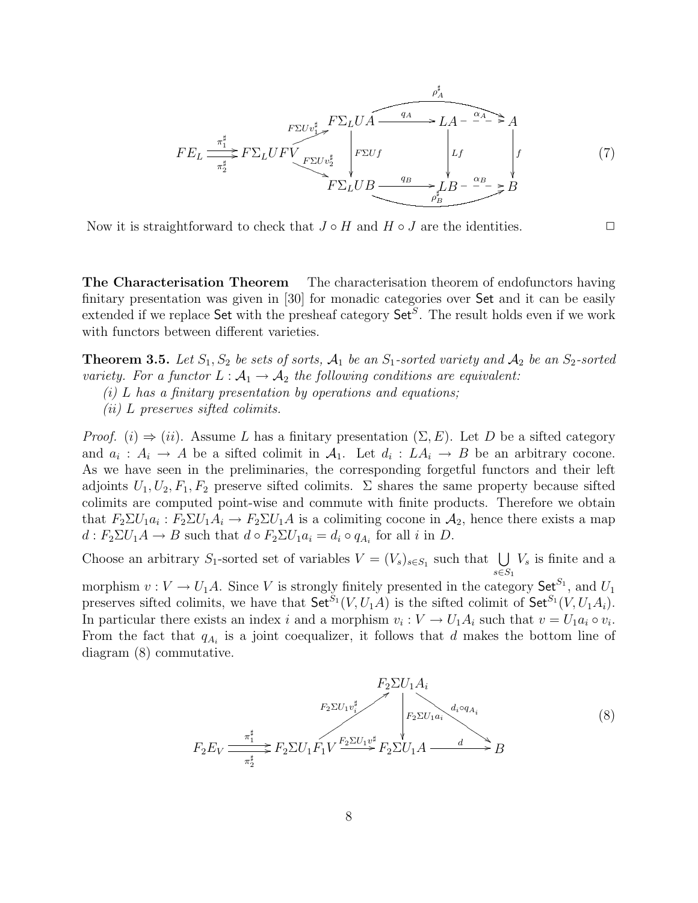$$
FE_L \xrightarrow{\pi_1^{\sharp}} F\Sigma_L UF \xrightarrow{\gamma_2^{\sharp}} F\Sigma_L UF \xrightarrow{\gamma_3^{\sharp}} F\Sigma_L U B \xrightarrow{q_A} LA - \xrightarrow{\alpha_A} A
$$
  
\n
$$
FE_L \xrightarrow{\pi_1^{\sharp}} F\Sigma_L UF \xrightarrow{\gamma} F\Sigma U v_2^{\sharp} \xrightarrow{\gamma} F\Sigma_L U B \xrightarrow{q_B} \xrightarrow{\gamma} L B - \xrightarrow{\alpha_B} B
$$
  
\n
$$
F\Sigma_L U B \xrightarrow{q_B} \xrightarrow{\gamma} B
$$
  
\n(7)

Now it is straightforward to check that  $J \circ H$  and  $H \circ J$  are the identities.

The Characterisation Theorem The characterisation theorem of endofunctors having finitary presentation was given in [30] for monadic categories over Set and it can be easily extended if we replace Set with the presheaf category Set<sup>S</sup>. The result holds even if we work with functors between different varieties.

**Theorem 3.5.** Let  $S_1, S_2$  be sets of sorts,  $A_1$  be an  $S_1$ -sorted variety and  $A_2$  be an  $S_2$ -sorted variety. For a functor  $L : A_1 \to A_2$  the following conditions are equivalent:

 $(i)$  L has a finitary presentation by operations and equations;

(ii) L preserves sifted colimits.

*Proof.* (i)  $\Rightarrow$  (ii). Assume L has a finitary presentation  $(\Sigma, E)$ . Let D be a sifted category and  $a_i: A_i \to A$  be a sifted colimit in  $A_1$ . Let  $d_i: LA_i \to B$  be an arbitrary cocone. As we have seen in the preliminaries, the corresponding forgetful functors and their left adjoints  $U_1, U_2, F_1, F_2$  preserve sifted colimits.  $\Sigma$  shares the same property because sifted colimits are computed point-wise and commute with finite products. Therefore we obtain that  $F_2 \Sigma U_1 a_i : F_2 \Sigma U_1 A_i \to F_2 \Sigma U_1 A$  is a colimiting cocone in  $A_2$ , hence there exists a map  $d: F_2 \Sigma U_1 A \to B$  such that  $d \circ F_2 \Sigma U_1 a_i = d_i \circ q_{A_i}$  for all  $i$  in  $D$ .

Choose an arbitrary S<sub>1</sub>-sorted set of variables  $V = (V_s)_{s \in S_1}$  such that  $\bigcup V_s$  is finite and a  $s \in S_1$ morphism  $v: V \to U_1 A$ . Since V is strongly finitely presented in the category  $\mathsf{Set}^{S_1}$ , and  $U_1$ preserves sifted colimits, we have that  $\mathsf{Set}^{S_1}(V, U_1 A)$  is the sifted colimit of  $\mathsf{Set}^{S_1}(V, U_1 A_i)$ . In particular there exists an index i and a morphism  $v_i: V \to U_1 A_i$  such that  $v = U_1 a_i \circ v_i$ . From the fact that  $q_{A_i}$  is a joint coequalizer, it follows that d makes the bottom line of diagram (8) commutative.

$$
F_2 \Sigma U_1 A_i
$$
  
\n
$$
F_2 \Sigma U_1 v_i^{\sharp}
$$
  
\n
$$
F_2 \Sigma U_1 a_i
$$
  
\n
$$
F_2 \Sigma U_1 a_i
$$
  
\n
$$
F_2 \Sigma U_1 a_i
$$
  
\n
$$
F_2 \Sigma U_1 a_i
$$
  
\n
$$
F_2 \Sigma U_1 a_i
$$
  
\n
$$
F_2 \Sigma U_1 a_i
$$
  
\n(8)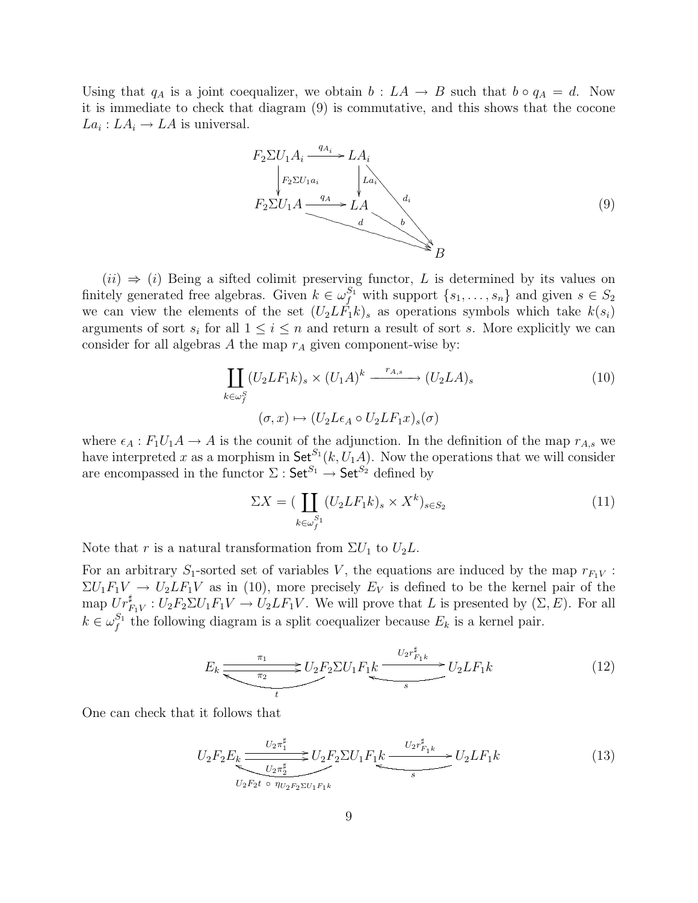Using that  $q_A$  is a joint coequalizer, we obtain  $b : LA \to B$  such that  $b \circ q_A = d$ . Now it is immediate to check that diagram (9) is commutative, and this shows that the cocone  $La_i: LA_i \to LA$  is universal.

$$
F_2 \Sigma U_1 A_i \xrightarrow{q_{A_i}} LA_i
$$
\n
$$
F_2 \Sigma U_1 A_i \xrightarrow{q_A} LA
$$
\n
$$
A
$$
\n
$$
B
$$
\n(9)

 $(ii) \Rightarrow (i)$  Being a sifted colimit preserving functor, L is determined by its values on finitely generated free algebras. Given  $k \in \omega_f^{S_1}$  with support  $\{s_1, \ldots, s_n\}$  and given  $s \in S_2$ we can view the elements of the set  $(U_2L\tilde{F_1k})_s$  as operations symbols which take  $k(s_i)$ arguments of sort  $s_i$  for all  $1 \leq i \leq n$  and return a result of sort s. More explicitly we can consider for all algebras A the map  $r_A$  given component-wise by:

$$
\coprod_{k \in \omega_f^S} (U_2 L F_1 k)_s \times (U_1 A)^k \xrightarrow{r_{A,s}} (U_2 L A)_s
$$
\n
$$
(\sigma, x) \mapsto (U_2 L \epsilon_A \circ U_2 L F_1 x)_s (\sigma)
$$
\n
$$
(10)
$$

where  $\epsilon_A : F_1U_1A \to A$  is the counit of the adjunction. In the definition of the map  $r_{A,s}$  we have interpreted x as a morphism in  $\mathsf{Set}^{S_1}(k, U_1 A)$ . Now the operations that we will consider are encompassed in the functor  $\Sigma: \mathsf{Set}^{S_1} \to \mathsf{Set}^{S_2}$  defined by

$$
\Sigma X = \left( \coprod_{k \in \omega_j^{S_1}} (U_2 L F_1 k)_s \times X^k \right)_{s \in S_2} \tag{11}
$$

Note that r is a natural transformation from  $\Sigma U_1$  to  $U_2L$ .

For an arbitrary  $S_1$ -sorted set of variables V, the equations are induced by the map  $r_{F_1V}$ :  $\Sigma U_1 F_1 V \rightarrow U_2 L F_1 V$  as in (10), more precisely  $E_V$  is defined to be the kernel pair of the map  $Ur_{F_1V}^{\sharp}: U_2F_2\Sigma U_1F_1V \to U_2LF_1V$ . We will prove that L is presented by  $(\Sigma, E)$ . For all  $k \in \omega_f^{S_1}$  the following diagram is a split coequalizer because  $E_k$  is a kernel pair.

$$
E_k \underbrace{\overbrace{\pi_1}_{\pi_2} \qquad \qquad } U_2 F_2 \Sigma U_1 F_1 k}_{t} \underbrace{U_2 r_{F_1 k}^{\sharp}}_{s} U_2 L F_1 k \tag{12}
$$

One can check that it follows that

$$
U_2 F_2 E_k \underbrace{\xrightarrow{U_2 \pi_1^{\sharp}} U_2 F_2 \Sigma U_1 F_1 k} \xrightarrow{U_2 r_{F_1 k}^{\sharp}} U_2 L F_1 k} \xrightarrow{U_2 F_2 E_2 U_1 F_1 K} \tbinom{13}{s}
$$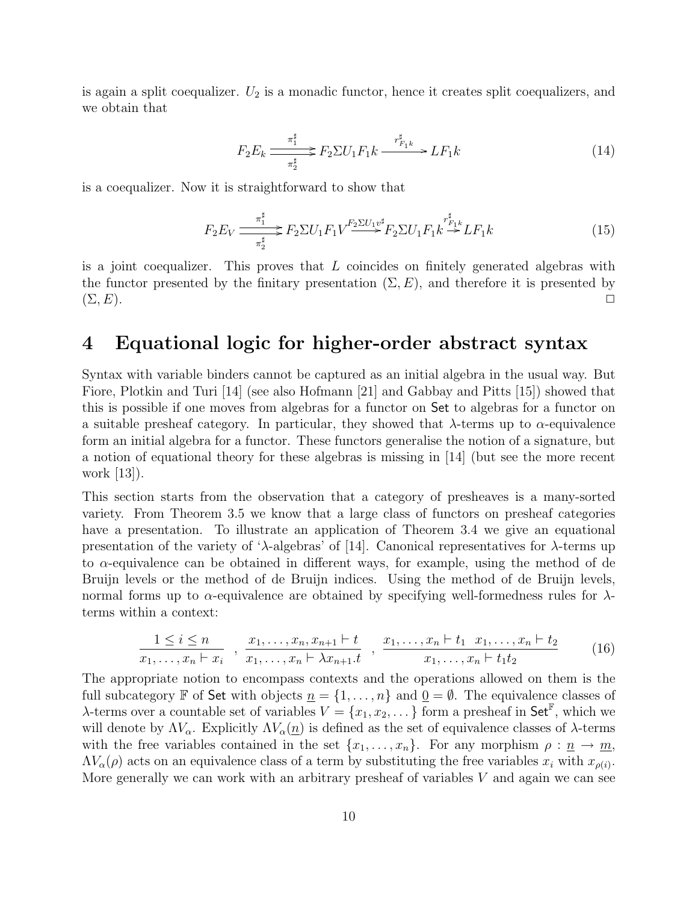is again a split coequalizer.  $U_2$  is a monadic functor, hence it creates split coequalizers, and we obtain that

$$
F_2 E_k \xrightarrow{\pi_1^{\sharp}} F_2 \Sigma U_1 F_1 k \xrightarrow{\tau_{F_1 k}^{\sharp}} L F_1 k \tag{14}
$$

is a coequalizer. Now it is straightforward to show that

$$
F_2 E_V \frac{\pi_1^{\sharp}}{\pi_2^{\sharp}} F_2 \Sigma U_1 F_1 V \xrightarrow{\pi_2^{\sharp}} F_2 \Sigma U_1 F_1 k \xrightarrow{r_{F_1k}^{\sharp}} L F_1 k \tag{15}
$$

is a joint coequalizer. This proves that  $L$  coincides on finitely generated algebras with the functor presented by the finitary presentation  $(\Sigma, E)$ , and therefore it is presented by  $(\Sigma, E).$ 

## 4 Equational logic for higher-order abstract syntax

Syntax with variable binders cannot be captured as an initial algebra in the usual way. But Fiore, Plotkin and Turi [14] (see also Hofmann [21] and Gabbay and Pitts [15]) showed that this is possible if one moves from algebras for a functor on Set to algebras for a functor on a suitable presheaf category. In particular, they showed that  $\lambda$ -terms up to  $\alpha$ -equivalence form an initial algebra for a functor. These functors generalise the notion of a signature, but a notion of equational theory for these algebras is missing in [14] (but see the more recent work [13]).

This section starts from the observation that a category of presheaves is a many-sorted variety. From Theorem 3.5 we know that a large class of functors on presheaf categories have a presentation. To illustrate an application of Theorem 3.4 we give an equational presentation of the variety of ' $\lambda$ -algebras' of [14]. Canonical representatives for  $\lambda$ -terms up to  $\alpha$ -equivalence can be obtained in different ways, for example, using the method of de Bruijn levels or the method of de Bruijn indices. Using the method of de Bruijn levels, normal forms up to  $\alpha$ -equivalence are obtained by specifying well-formedness rules for  $\lambda$ terms within a context:

$$
\frac{1 \leq i \leq n}{x_1, \dots, x_n \vdash x_i} \quad , \quad \frac{x_1, \dots, x_n, x_{n+1} \vdash t}{x_1, \dots, x_n \vdash \lambda x_{n+1} \cdot t} \quad , \quad \frac{x_1, \dots, x_n \vdash t_1 \quad x_1, \dots, x_n \vdash t_2}{x_1, \dots, x_n \vdash t_1 t_2} \tag{16}
$$

The appropriate notion to encompass contexts and the operations allowed on them is the full subcategory F of Set with objects  $\underline{n} = \{1, \ldots, n\}$  and  $\underline{0} = \emptyset$ . The equivalence classes of  $\lambda$ -terms over a countable set of variables  $V = \{x_1, x_2, \dots\}$  form a presheaf in Set<sup>F</sup>, which we will denote by  $\Lambda V_{\alpha}$ . Explicitly  $\Lambda V_{\alpha}(n)$  is defined as the set of equivalence classes of  $\lambda$ -terms with the free variables contained in the set  $\{x_1, \ldots, x_n\}$ . For any morphism  $\rho : \underline{n} \to \underline{m}$ ,  $\Lambda V_{\alpha}(\rho)$  acts on an equivalence class of a term by substituting the free variables  $x_i$  with  $x_{\rho(i)}$ . More generally we can work with an arbitrary presheaf of variables  $V$  and again we can see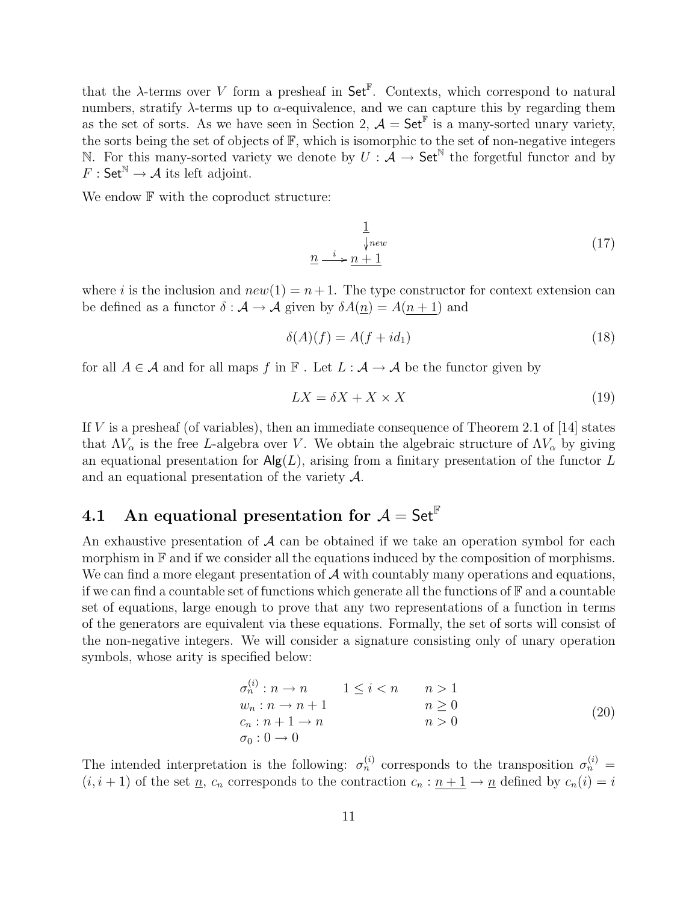that the  $\lambda$ -terms over V form a presheaf in Set<sup>F</sup>. Contexts, which correspond to natural numbers, stratify  $\lambda$ -terms up to  $\alpha$ -equivalence, and we can capture this by regarding them as the set of sorts. As we have seen in Section 2,  $\mathcal{A} = \mathsf{Set}^{\mathbb{F}}$  is a many-sorted unary variety, the sorts being the set of objects of F, which is isomorphic to the set of non-negative integers N. For this many-sorted variety we denote by  $U : \overline{\mathcal{A}} \to \mathsf{Set}^{\mathbb{N}}$  the forgetful functor and by  $F : \mathsf{Set}^{\mathbb{N}} \to \mathcal{A}$  its left adjoint.

We endow  $F$  with the coproduct structure:

$$
\frac{1}{\sqrt[3]{new}}
$$
\n
$$
\underline{n} \xrightarrow{i} \underline{n+1}
$$
\n(17)

where i is the inclusion and  $new(1) = n+1$ . The type constructor for context extension can be defined as a functor  $\delta : A \to A$  given by  $\delta A(n) = A(n+1)$  and

$$
\delta(A)(f) = A(f + id_1) \tag{18}
$$

for all  $A \in \mathcal{A}$  and for all maps f in  $\mathbb{F}$ . Let  $L : \mathcal{A} \to \mathcal{A}$  be the functor given by

$$
LX = \delta X + X \times X \tag{19}
$$

If  $V$  is a presheaf (of variables), then an immediate consequence of Theorem 2.1 of [14] states that  $\Lambda V_{\alpha}$  is the free L-algebra over V. We obtain the algebraic structure of  $\Lambda V_{\alpha}$  by giving an equational presentation for  $\mathsf{Alg}(L)$ , arising from a finitary presentation of the functor L and an equational presentation of the variety A.

# 4.1 An equational presentation for  $A = Set^{\mathbb{F}}$

An exhaustive presentation of  $\mathcal A$  can be obtained if we take an operation symbol for each morphism in  $\mathbb F$  and if we consider all the equations induced by the composition of morphisms. We can find a more elegant presentation of  $A$  with countably many operations and equations, if we can find a countable set of functions which generate all the functions of  $\mathbb F$  and a countable set of equations, large enough to prove that any two representations of a function in terms of the generators are equivalent via these equations. Formally, the set of sorts will consist of the non-negative integers. We will consider a signature consisting only of unary operation symbols, whose arity is specified below:

$$
\begin{array}{ll}\n\sigma_n^{(i)}: n \to n & 1 \le i < n & n > 1 \\
w_n: n \to n+1 & n \ge 0 & \\
c_n: n+1 \to n & n > 0 \\
\sigma_0: 0 \to 0 & \n\end{array} \tag{20}
$$

The intended interpretation is the following:  $\sigma_n^{(i)}$  corresponds to the transposition  $\sigma_n^{(i)}$  =  $(i, i + 1)$  of the set  $\underline{n}$ ,  $c_n$  corresponds to the contraction  $c_n : \underline{n+1} \to \underline{n}$  defined by  $c_n(i) = i$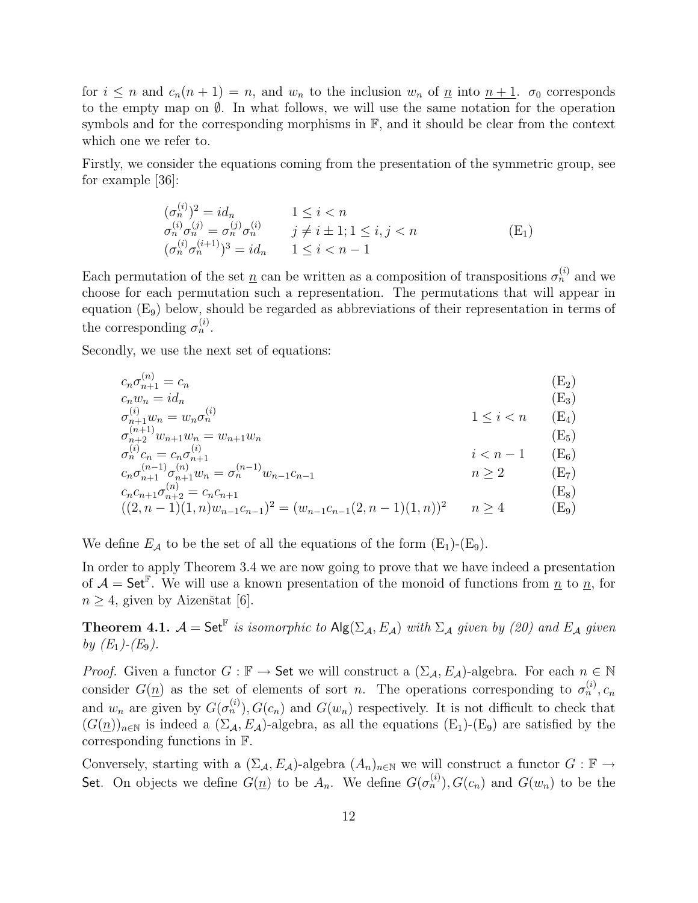for  $i \leq n$  and  $c_n(n+1) = n$ , and  $w_n$  to the inclusion  $w_n$  of  $\underline{n}$  into  $n+1$ .  $\sigma_0$  corresponds to the empty map on  $\emptyset$ . In what follows, we will use the same notation for the operation symbols and for the corresponding morphisms in  $\mathbb{F}$ , and it should be clear from the context which one we refer to.

Firstly, we consider the equations coming from the presentation of the symmetric group, see for example [36]:

$$
\begin{array}{ll}\n(\sigma_n^{(i)})^2 = id_n & 1 \le i < n \\
\sigma_n^{(i)} \sigma_n^{(j)} = \sigma_n^{(j)} \sigma_n^{(i)} & j \ne i \pm 1; 1 \le i, j < n \\
(\sigma_n^{(i)} \sigma_n^{(i+1)})^3 = id_n & 1 \le i < n - 1\n\end{array} \tag{E_1}
$$

Each permutation of the set  $\underline{n}$  can be written as a composition of transpositions  $\sigma_n^{(i)}$  and we choose for each permutation such a representation. The permutations that will appear in equation (E9) below, should be regarded as abbreviations of their representation in terms of the corresponding  $\sigma_n^{(i)}$ .

Secondly, we use the next set of equations:

$$
c_n \sigma_{n+1}^{(n)} = c_n
$$
\n
$$
c_n w_n = id_n
$$
\n
$$
\sigma_{n+1}^{(i)} w_n = w_n \sigma_n^{(i)}
$$
\n
$$
\sigma_{n+2}^{(n+1)} w_{n+1} w_n = w_{n+1} w_n
$$
\n
$$
\sigma_n^{(i)} c_n = c_n \sigma_{n+1}^{(i)}
$$
\n
$$
c_n \sigma_{n+1}^{(n)} \sigma_{n+1}^{(n)} w_n = \sigma_n^{(n-1)} w_{n-1} c_{n-1}
$$
\n
$$
c_n \sigma_{n+1}^{(n-1)} \sigma_{n+2}^{(n)} = c_n c_{n+1}
$$
\n
$$
c_n c_{n+1} \sigma_{n+2}^{(n)} = c_n c_{n+1}
$$
\n
$$
c_n (2, n-1) (1, n) w_{n-1} c_{n-1} (2, n-1) (1, n) = n \ge 4
$$
\n
$$
(E_8)
$$
\n
$$
m \ge 2
$$
\n
$$
m \ge 4
$$
\n
$$
E_9
$$

We define  $E_A$  to be the set of all the equations of the form  $(E_1)-(E_9)$ .

In order to apply Theorem 3.4 we are now going to prove that we have indeed a presentation of  $\mathcal{A} = \mathsf{Set}^{\mathbb{F}}$ . We will use a known presentation of the monoid of functions from  $\underline{n}$  to  $\underline{n}$ , for  $n \geq 4$ , given by Aizenštat [6].

**Theorem 4.1.**  $\mathcal{A} = \mathsf{Set}^{\mathbb{F}}$  is isomorphic to  $\mathsf{Alg}(\Sigma_{\mathcal{A}}, E_{\mathcal{A}})$  with  $\Sigma_{\mathcal{A}}$  given by (20) and  $E_{\mathcal{A}}$  given by  $(E_1)$ - $(E_9)$ .

*Proof.* Given a functor  $G : \mathbb{F} \to$  Set we will construct a  $(\Sigma_{\mathcal{A}}, E_{\mathcal{A}})$ -algebra. For each  $n \in \mathbb{N}$ consider  $G(\underline{n})$  as the set of elements of sort n. The operations corresponding to  $\sigma_n^{(i)}$ ,  $c_n$ and  $w_n$  are given by  $G(\sigma_n^{(i)})$ ,  $G(c_n)$  and  $G(w_n)$  respectively. It is not difficult to check that  $(G(\underline{n}))_{n\in\mathbb{N}}$  is indeed a  $(\Sigma_{\mathcal{A}}, E_{\mathcal{A}})$ -algebra, as all the equations  $(E_1)$ - $(E_9)$  are satisfied by the corresponding functions in F.

Conversely, starting with a  $(\Sigma_{\mathcal{A}}, E_{\mathcal{A}})$ -algebra  $(A_n)_{n\in\mathbb{N}}$  we will construct a functor  $G : \mathbb{F} \to$ Set. On objects we define  $G(\underline{n})$  to be  $A_n$ . We define  $G(\sigma_n^{(i)})$ ,  $G(c_n)$  and  $G(w_n)$  to be the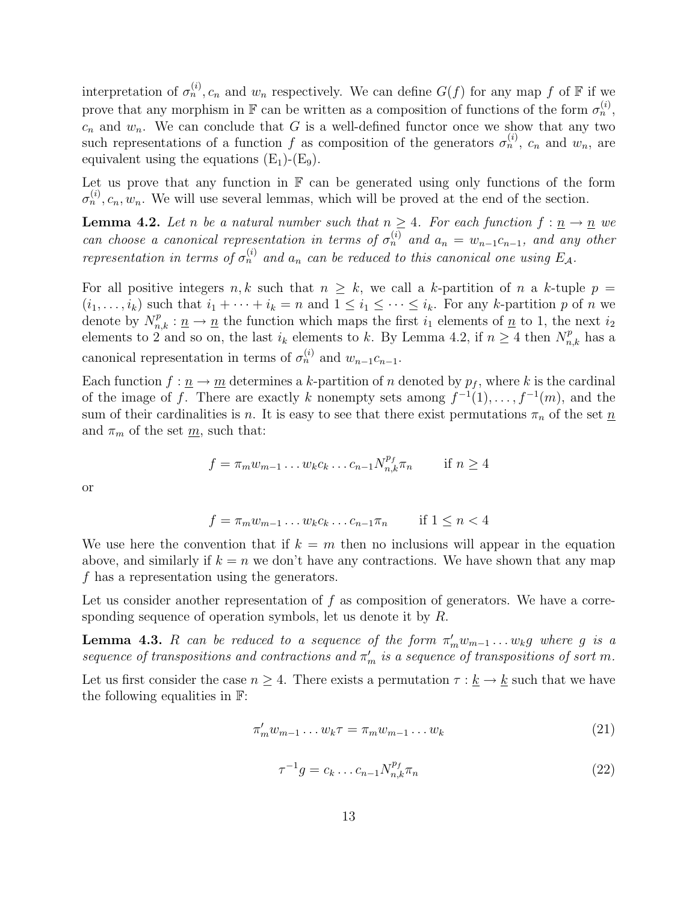interpretation of  $\sigma_n^{(i)}$ ,  $c_n$  and  $w_n$  respectively. We can define  $G(f)$  for any map f of  $\mathbb F$  if we prove that any morphism in  $\mathbb F$  can be written as a composition of functions of the form  $\sigma_n^{(i)}$ ,  $c_n$  and  $w_n$ . We can conclude that G is a well-defined functor once we show that any two such representations of a function f as composition of the generators  $\sigma_n^{(i)}$ ,  $c_n$  and  $w_n$ , are equivalent using the equations  $(E_1)$ - $(E_9)$ .

Let us prove that any function in  $\mathbb F$  can be generated using only functions of the form  $\sigma_n^{(i)}$ ,  $c_n$ ,  $w_n$ . We will use several lemmas, which will be proved at the end of the section.

**Lemma 4.2.** Let n be a natural number such that  $n \geq 4$ . For each function  $f: \underline{n} \to \underline{n}$  we can choose a canonical representation in terms of  $\sigma_n^{(i)}$  and  $a_n = w_{n-1}c_{n-1}$ , and any other representation in terms of  $\sigma_n^{(i)}$  and  $a_n$  can be reduced to this canonical one using  $E_{\mathcal{A}}$ .

For all positive integers n, k such that  $n \geq k$ , we call a k-partition of n a k-tuple  $p =$  $(i_1, \ldots, i_k)$  such that  $i_1 + \cdots + i_k = n$  and  $1 \leq i_1 \leq \cdots \leq i_k$ . For any k-partition p of n we denote by  $N_{n,k}^p : \underline{n} \to \underline{n}$  the function which maps the first  $i_1$  elements of  $\underline{n}$  to 1, the next  $i_2$ elements to 2 and so on, the last  $i_k$  elements to k. By Lemma 4.2, if  $n \geq 4$  then  $N_{n,k}^p$  has a canonical representation in terms of  $\sigma_n^{(i)}$  and  $w_{n-1}c_{n-1}$ .

Each function  $f: \underline{n} \to \underline{m}$  determines a k-partition of n denoted by  $p_f$ , where k is the cardinal of the image of f. There are exactly k nonempty sets among  $f^{-1}(1), \ldots, f^{-1}(m)$ , and the sum of their cardinalities is n. It is easy to see that there exist permutations  $\pi_n$  of the set  $\underline{n}$ and  $\pi_m$  of the set  $\underline{m}$ , such that:

$$
f = \pi_m w_{m-1} \dots w_k c_k \dots c_{n-1} N_{n,k}^{p_f} \pi_n \quad \text{if } n \ge 4
$$

or

$$
f = \pi_m w_{m-1} \dots w_k c_k \dots c_{n-1} \pi_n \quad \text{if } 1 \le n < 4
$$

We use here the convention that if  $k = m$  then no inclusions will appear in the equation above, and similarly if  $k = n$  we don't have any contractions. We have shown that any map f has a representation using the generators.

Let us consider another representation of  $f$  as composition of generators. We have a corresponding sequence of operation symbols, let us denote it by R.

**Lemma 4.3.** R can be reduced to a sequence of the form  $\pi'_m w_{m-1} \dots w_k g$  where g is a sequence of transpositions and contractions and  $\pi'_m$  is a sequence of transpositions of sort m.

Let us first consider the case  $n \geq 4$ . There exists a permutation  $\tau : \underline{k} \to \underline{k}$  such that we have the following equalities in F:

$$
\pi'_m w_{m-1} \dots w_k \tau = \pi_m w_{m-1} \dots w_k \tag{21}
$$

$$
\tau^{-1}g = c_k \dots c_{n-1} N_{n,k}^{p_f} \pi_n \tag{22}
$$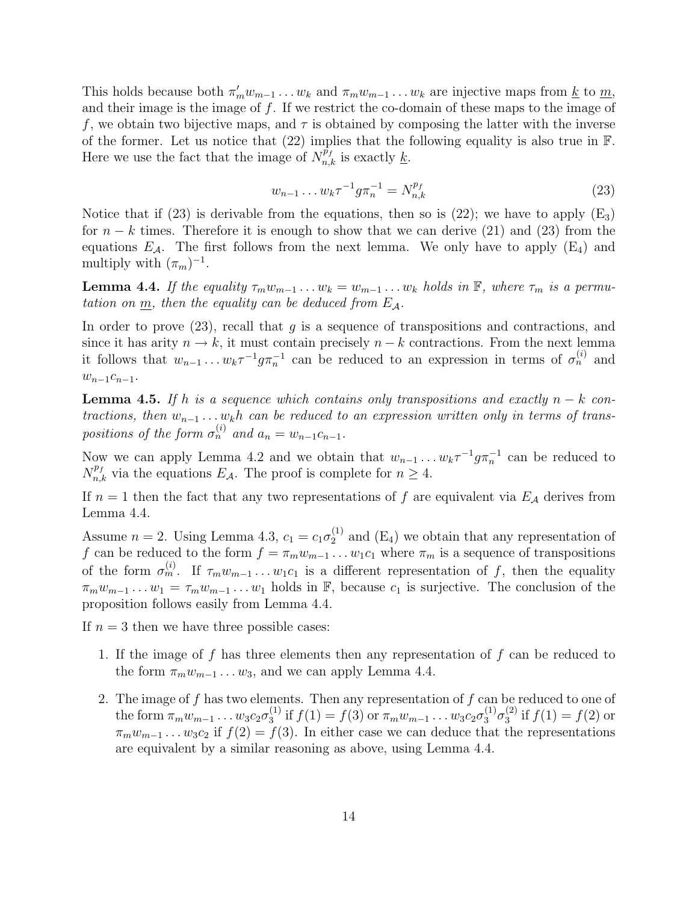This holds because both  $\pi'_m w_{m-1} \dots w_k$  and  $\pi_m w_{m-1} \dots w_k$  are injective maps from <u>k</u> to <u>m</u>, and their image is the image of  $f$ . If we restrict the co-domain of these maps to the image of f, we obtain two bijective maps, and  $\tau$  is obtained by composing the latter with the inverse of the former. Let us notice that  $(22)$  implies that the following equality is also true in  $\mathbb{F}$ . Here we use the fact that the image of  $N_{n,k}^{\tilde{p}_f}$  is exactly <u>k</u>.

$$
w_{n-1} \dots w_k \tau^{-1} g \pi_n^{-1} = N_{n,k}^{p_f} \tag{23}
$$

Notice that if (23) is derivable from the equations, then so is (22); we have to apply  $(E_3)$ for  $n - k$  times. Therefore it is enough to show that we can derive (21) and (23) from the equations  $E_A$ . The first follows from the next lemma. We only have to apply  $(E_4)$  and multiply with  $(\pi_m)^{-1}$ .

**Lemma 4.4.** If the equality  $\tau_m w_{m-1} \dots w_k = w_{m-1} \dots w_k$  holds in  $\mathbb{F}$ , where  $\tau_m$  is a permutation on  $\underline{m}$ , then the equality can be deduced from  $E_A$ .

In order to prove  $(23)$ , recall that q is a sequence of transpositions and contractions, and since it has arity  $n \to k$ , it must contain precisely  $n - k$  contractions. From the next lemma it follows that  $w_{n-1} \dots w_k \tau^{-1} g \pi_n^{-1}$  can be reduced to an expression in terms of  $\sigma_n^{(i)}$  and  $w_{n-1}c_{n-1}$ .

**Lemma 4.5.** If h is a sequence which contains only transpositions and exactly  $n - k$  contractions, then  $w_{n-1} \ldots w_k h$  can be reduced to an expression written only in terms of transpositions of the form  $\sigma_n^{(i)}$  and  $a_n = w_{n-1}c_{n-1}$ .

Now we can apply Lemma 4.2 and we obtain that  $w_{n-1} \dots w_k \tau^{-1} g \pi_n^{-1}$  can be reduced to  $N_{n,k}^{p_f}$  via the equations  $E_{\mathcal{A}}$ . The proof is complete for  $n \geq 4$ .

If  $n = 1$  then the fact that any two representations of f are equivalent via  $E_A$  derives from Lemma 4.4.

Assume  $n = 2$ . Using Lemma 4.3,  $c_1 = c_1 \sigma_2^{(1)}$  $_2^{(1)}$  and  $(E_4)$  we obtain that any representation of f can be reduced to the form  $f = \pi_m w_{m-1} \dots w_1 c_1$  where  $\pi_m$  is a sequence of transpositions of the form  $\sigma_m^{(i)}$ . If  $\tau_m w_{m-1} \dots w_1 c_1$  is a different representation of f, then the equality  $\pi_m w_{m-1} \dots w_1 = \tau_m w_{m-1} \dots w_1$  holds in F, because  $c_1$  is surjective. The conclusion of the proposition follows easily from Lemma 4.4.

If  $n = 3$  then we have three possible cases:

- 1. If the image of f has three elements then any representation of f can be reduced to the form  $\pi_m w_{m-1} \dots w_3$ , and we can apply Lemma 4.4.
- 2. The image of  $f$  has two elements. Then any representation of  $f$  can be reduced to one of the form  $\pi_m w_{m-1} \dots w_3 c_2 \sigma_3^{(1)}$ <sup>(1)</sup> if  $f(1) = f(3)$  or  $\pi_m w_{m-1} \dots w_3 c_2 \sigma_3^{(1)} \sigma_3^{(2)}$  $j_3^{(2)}$  if  $f(1) = f(2)$  or  $\pi_m w_{m-1} \dots w_3 c_2$  if  $f(2) = f(3)$ . In either case we can deduce that the representations are equivalent by a similar reasoning as above, using Lemma 4.4.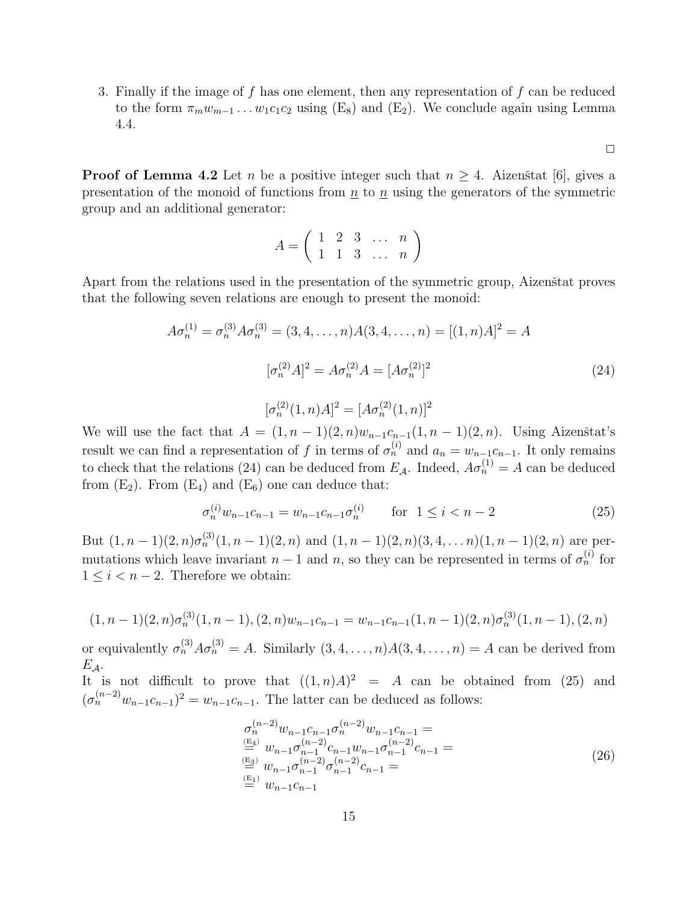3. Finally if the image of  $f$  has one element, then any representation of  $f$  can be reduced to the form  $\pi_m w_{m-1} \dots w_1 c_1 c_2$  using (E<sub>8</sub>) and (E<sub>2</sub>). We conclude again using Lemma 4.4.

 $\Box$ 

**Proof of Lemma 4.2** Let n be a positive integer such that  $n > 4$ . Aizenstat [6], gives a presentation of the monoid of functions from  $n$  to  $n$  using the generators of the symmetric group and an additional generator:

$$
A = \left(\begin{array}{cccc} 1 & 2 & 3 & \dots & n \\ 1 & 1 & 3 & \dots & n \end{array}\right)
$$

Apart from the relations used in the presentation of the symmetric group, Aizenštat proves that the following seven relations are enough to present the monoid:

$$
A\sigma_n^{(1)} = \sigma_n^{(3)} A\sigma_n^{(3)} = (3, 4, \dots, n)A(3, 4, \dots, n) = [(1, n)A]^2 = A
$$

$$
[\sigma_n^{(2)} A]^2 = A\sigma_n^{(2)} A = [A\sigma_n^{(2)}]^2
$$
(24)

$$
[\sigma_n^{(2)}(1,n)A]^2 = [A\sigma_n^{(2)}(1,n)]^2
$$

We will use the fact that  $A = (1, n-1)(2, n)w_{n-1}c_{n-1}(1, n-1)(2, n)$ . Using Aizenstat's result we can find a representation of f in terms of  $\sigma_n^{(i)}$  and  $a_n = w_{n-1}c_{n-1}$ . It only remains to check that the relations (24) can be deduced from  $E_A$ . Indeed,  $A\sigma_n^{(1)} = A$  can be deduced from  $(E_2)$ . From  $(E_4)$  and  $(E_6)$  one can deduce that:

$$
\sigma_n^{(i)} w_{n-1} c_{n-1} = w_{n-1} c_{n-1} \sigma_n^{(i)} \qquad \text{for } 1 \le i < n-2 \tag{25}
$$

But  $(1, n-1)(2, n)\sigma_n^{(3)}(1, n-1)(2, n)$  and  $(1, n-1)(2, n)(3, 4, \ldots n)(1, n-1)(2, n)$  are permutations which leave invariant  $n-1$  and n, so they can be represented in terms of  $\sigma_n^{(i)}$  for  $1 \leq i < n-2$ . Therefore we obtain:

$$
(1, n-1)(2, n)\sigma_n^{(3)}(1, n-1), (2, n)w_{n-1}c_{n-1} = w_{n-1}c_{n-1}(1, n-1)(2, n)\sigma_n^{(3)}(1, n-1), (2, n)
$$

or equivalently  $\sigma_n^{(3)} A \sigma_n^{(3)} = A$ . Similarly  $(3, 4, \ldots, n) A(3, 4, \ldots, n) = A$  can be derived from  $E_A$ .

It is not difficult to prove that  $((1, n)A)^2 = A$  can be obtained from (25) and  $(\sigma_n^{(n-2)} w_{n-1} c_{n-1})^2 = w_{n-1} c_{n-1}$ . The latter can be deduced as follows:

$$
\sigma_n^{(n-2)} w_{n-1} c_{n-1} \sigma_n^{(n-2)} w_{n-1} c_{n-1} =
$$
\n
$$
\stackrel{\text{(E4)}}{=} w_{n-1} \sigma_{n-1}^{(n-2)} c_{n-1} w_{n-1} \sigma_{n-1}^{(n-2)} c_{n-1} =
$$
\n
$$
\stackrel{\text{(E3)}}{=} w_{n-1} \sigma_{n-1}^{(n-2)} \sigma_{n-1}^{(n-2)} c_{n-1} =
$$
\n
$$
\stackrel{\text{(E1)}}{=} w_{n-1} c_{n-1}
$$
\n
$$
w_{n-1} c_{n-1}
$$
\n
$$
(26)
$$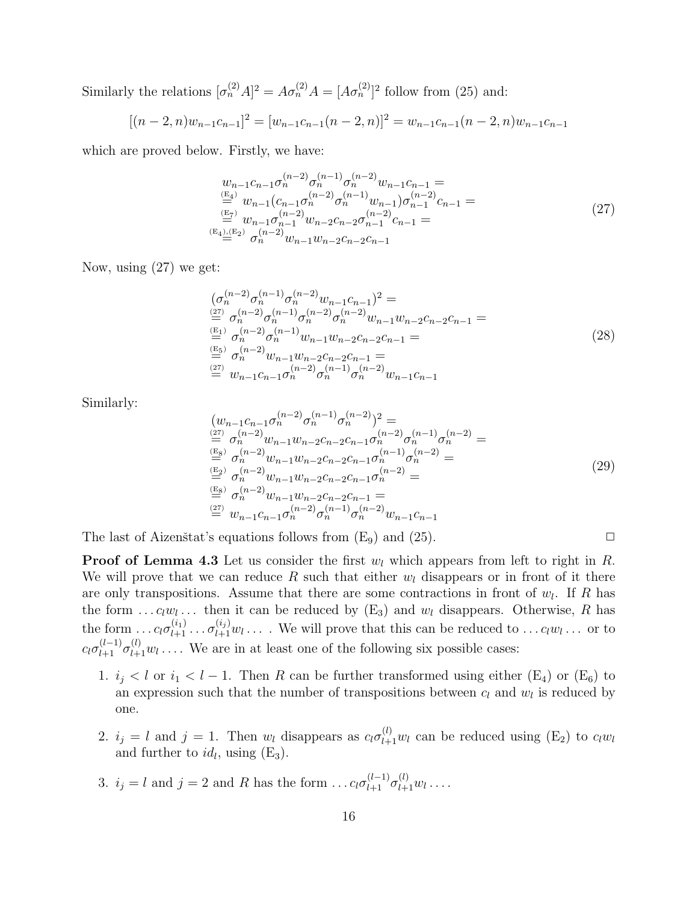Similarly the relations  $[\sigma_n^{(2)}A]^2 = A\sigma_n^{(2)}A = [A\sigma_n^{(2)}]^2$  follow from (25) and:

$$
[(n-2,n)w_{n-1}c_{n-1}]^{2} = [w_{n-1}c_{n-1}(n-2,n)]^{2} = w_{n-1}c_{n-1}(n-2,n)w_{n-1}c_{n-1}
$$

which are proved below. Firstly, we have:

$$
w_{n-1}c_{n-1}\sigma_n^{(n-2)}\sigma_n^{(n-1)}\sigma_n^{(n-2)}w_{n-1}c_{n-1} =
$$
  
\n
$$
\stackrel{(E_4)}{=} w_{n-1}(c_{n-1}\sigma_n^{(n-2)}\sigma_n^{(n-1)}w_{n-1})\sigma_{n-1}^{(n-2)}c_{n-1} =
$$
  
\n
$$
\stackrel{(E_7)}{=} w_{n-1}\sigma_{n-1}^{(n-2)}w_{n-2}c_{n-2}\sigma_{n-1}^{(n-2)}c_{n-1} =
$$
  
\n
$$
\stackrel{(E_4),(E_2)}{=} \sigma_n^{(n-2)}w_{n-1}w_{n-2}c_{n-2}c_{n-1}
$$
\n(27)

Now, using (27) we get:

$$
\begin{array}{l}\n(\sigma_n^{(n-2)}\sigma_n^{(n-1)}\sigma_n^{(n-2)}w_{n-1}c_{n-1})^2 = \\
\stackrel{(27)}{=} \sigma_n^{(n-2)}\sigma_n^{(n-1)}\sigma_n^{(n-2)}\sigma_n^{(n-2)}w_{n-1}w_{n-2}c_{n-2}c_{n-1} = \\
\stackrel{(E_1)}{=} \sigma_n^{(n-2)}\sigma_n^{(n-1)}w_{n-1}w_{n-2}c_{n-2}c_{n-1} = \\
\stackrel{(E_5)}{=} \sigma_n^{(n-2)}w_{n-1}w_{n-2}c_{n-2}c_{n-1} = \\
\stackrel{(27)}{=} w_{n-1}c_{n-1}\sigma_n^{(n-2)}\sigma_n^{(n-1)}\sigma_n^{(n-2)}w_{n-1}c_{n-1}\n\end{array} \tag{28}
$$

Similarly:

$$
(w_{n-1}c_{n-1}\sigma_n^{(n-2)}\sigma_n^{(n-1)}\sigma_n^{(n-2)})^2 =
$$
  
\n
$$
(\frac{2\pi}{\pi})\sigma_n^{(n-2)}w_{n-1}w_{n-2}c_{n-2}c_{n-1}\sigma_n^{(n-2)}\sigma_n^{(n-1)}\sigma_n^{(n-2)} =
$$
  
\n
$$
(\frac{E_8}{\pi})\sigma_n^{(n-2)}w_{n-1}w_{n-2}c_{n-2}c_{n-1}\sigma_n^{(n-1)}\sigma_n^{(n-2)} =
$$
  
\n
$$
(\frac{E_2}{\pi})\sigma_n^{(n-2)}w_{n-1}w_{n-2}c_{n-2}c_{n-1}\sigma_n^{(n-2)} =
$$
  
\n
$$
(\frac{E_8}{\pi})\sigma_n^{(n-2)}w_{n-1}w_{n-2}c_{n-2}c_{n-1} =
$$
  
\n
$$
(\frac{2\pi}{\pi})w_{n-1}c_{n-1}\sigma_n^{(n-2)}\sigma_n^{(n-1)}\sigma_n^{(n-2)}w_{n-1}c_{n-1}
$$
  
\n
$$
(\frac{2\pi}{\pi})\sigma_n^{(n-2)}w_{n-1}c_{n-1}\sigma_n^{(n-2)}w_{n-1}c_{n-1}
$$

The last of Aizenstat's equations follows from  $(E_9)$  and  $(25)$ .

**Proof of Lemma 4.3** Let us consider the first  $w_l$  which appears from left to right in R. We will prove that we can reduce R such that either  $w_l$  disappears or in front of it there are only transpositions. Assume that there are some contractions in front of  $w_l$ . If R has the form ...  $c_l w_l$ ... then it can be reduced by  $(E_3)$  and  $w_l$  disappears. Otherwise, R has the form  $\dots c_l \sigma_{l+1}^{(i_1)} \dots \sigma_{l+1}^{(i_j)} w_l \dots$  We will prove that this can be reduced to  $\dots c_l w_l \dots$  or to  $c_l \sigma_{l+1}^{(l-1)} \sigma_{l+1}^{(l)} w_l \ldots$ . We are in at least one of the following six possible cases:

- 1.  $i_j < l$  or  $i_1 < l 1$ . Then R can be further transformed using either (E<sub>4</sub>) or (E<sub>6</sub>) to an expression such that the number of transpositions between  $c_l$  and  $w_l$  is reduced by one.
- 2.  $i_j = l$  and  $j = 1$ . Then  $w_l$  disappears as  $c_l \sigma_{l+1}^{(l)} w_l$  can be reduced using  $(E_2)$  to  $c_l w_l$ and further to  $id_l$ , using  $(E_3)$ .
- 3.  $i_j = l$  and  $j = 2$  and R has the form  $\dots c_l \sigma_{l+1}^{(l-1)} \sigma_{l+1}^{(l)} w_l \dots$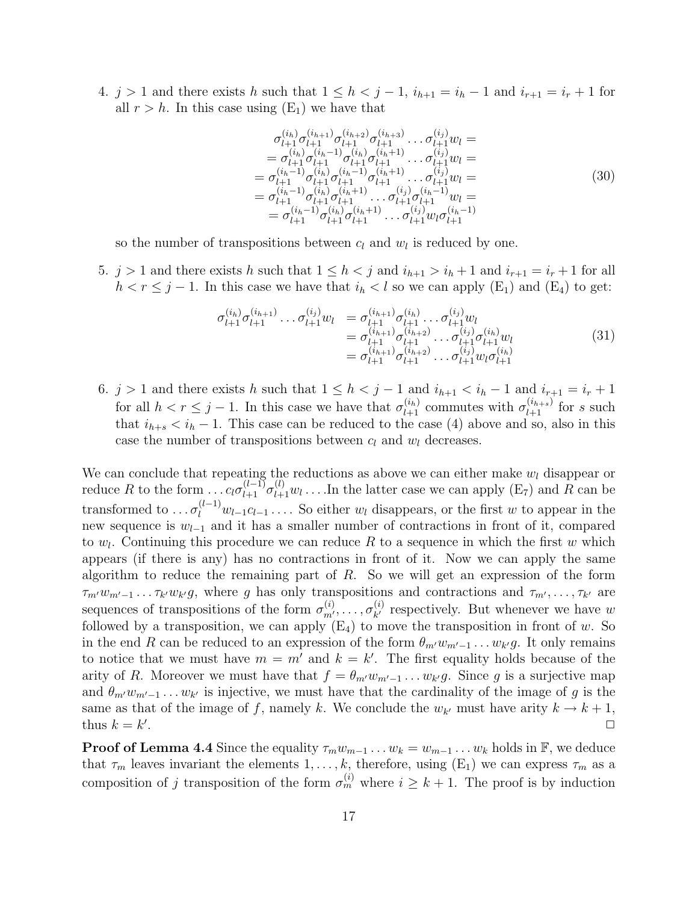4.  $j > 1$  and there exists h such that  $1 \leq h < j - 1$ ,  $i_{h+1} = i_h - 1$  and  $i_{r+1} = i_r + 1$  for all  $r > h$ . In this case using  $(E_1)$  we have that

$$
\sigma_{l+1}^{(i_h)} \sigma_{l+1}^{(i_{h+1})} \sigma_{l+1}^{(i_{h+2})} \sigma_{l+1}^{(i_{h+3})} \dots \sigma_{l+1}^{(i_j)} w_l =
$$
\n
$$
= \sigma_{l+1}^{(i_h)} \sigma_{l+1}^{(i_h-1)} \sigma_{l+1}^{(i_h)} \sigma_{l+1}^{(i_h+1)} \dots \sigma_{l+1}^{(i_j)} w_l =
$$
\n
$$
= \sigma_{l+1}^{(i_h-1)} \sigma_{l+1}^{(i_h)} \sigma_{l+1}^{(i_h-1)} \sigma_{l+1}^{(i_h+1)} \dots \sigma_{l+1}^{(i_j)} w_l =
$$
\n
$$
= \sigma_{l+1}^{(i_h-1)} \sigma_{l+1}^{(i_h)} \sigma_{l+1}^{(i_h+1)} \dots \sigma_{l+1}^{(i_j)} \sigma_{l+1}^{(i_{h-1})} w_l =
$$
\n
$$
= \sigma_{l+1}^{(i_h-1)} \sigma_{l+1}^{(i_h)} \sigma_{l+1}^{(i_h+1)} \dots \sigma_{l+1}^{(i_j)} w_l \sigma_{l+1}^{(i_h-1)}
$$
\n(30)

so the number of transpositions between  $c_l$  and  $w_l$  is reduced by one.

5.  $j > 1$  and there exists h such that  $1 \leq h < j$  and  $i_{h+1} > i_h + 1$  and  $i_{r+1} = i_r + 1$  for all  $h < r \leq j-1$ . In this case we have that  $i_h < l$  so we can apply  $(E_1)$  and  $(E_4)$  to get:

$$
\sigma_{l+1}^{(i_h)} \sigma_{l+1}^{(i_{h+1})} \dots \sigma_{l+1}^{(i_j)} w_l = \sigma_{l+1}^{(i_{h+1})} \sigma_{l+1}^{(i_h)} \dots \sigma_{l+1}^{(i_j)} w_l \n= \sigma_{l+1}^{(i_{h+1})} \sigma_{l+1}^{(i_{h+2})} \dots \sigma_{l+1}^{(i_j)} \sigma_{l+1}^{(i_h)} w_l \n= \sigma_{l+1}^{(i_{h+1})} \sigma_{l+1}^{(i_{h+2})} \dots \sigma_{l+1}^{(i_j)} w_l \sigma_{l+1}^{(i_h)}
$$
\n(31)

6. j > 1 and there exists h such that  $1 \leq h < j - 1$  and  $i_{h+1} < i_h - 1$  and  $i_{r+1} = i_r + 1$ for all  $h < r \leq j-1$ . In this case we have that  $\sigma_{l+1}^{(i_h)}$  commutes with  $\sigma_{l+1}^{(i_{h+s})}$  for s such that  $i_{h+s} < i_h - 1$ . This case can be reduced to the case (4) above and so, also in this case the number of transpositions between  $c_l$  and  $w_l$  decreases.

We can conclude that repeating the reductions as above we can either make  $w_l$  disappear or reduce R to the form  $\dots c_l \sigma_{l+1}^{(l-1)} \sigma_{l+1}^{(l)} w_l \dots$  In the latter case we can apply  $(E_7)$  and R can be transformed to  $\ldots \sigma_l^{(l-1)} w_{l-1} c_{l-1} \ldots$ . So either  $w_l$  disappears, or the first w to appear in the new sequence is  $w_{l-1}$  and it has a smaller number of contractions in front of it, compared to  $w_l$ . Continuing this procedure we can reduce R to a sequence in which the first w which appears (if there is any) has no contractions in front of it. Now we can apply the same algorithm to reduce the remaining part of  $R$ . So we will get an expression of the form  $\tau_{m'}w_{m'-1}\dots\tau_{k'}w_{k'}g$ , where g has only transpositions and contractions and  $\tau_{m'},\dots,\tau_{k'}$  are sequences of transpositions of the form  $\sigma_{m'}^{(i)}, \ldots, \sigma_{k'}^{(i)}$  $\chi^{(i)}_{k'}$  respectively. But whenever we have w followed by a transposition, we can apply  $(E_4)$  to move the transposition in front of w. So in the end R can be reduced to an expression of the form  $\theta_{m'}w_{m'-1} \dots w_{k'}g$ . It only remains to notice that we must have  $m = m'$  and  $k = k'$ . The first equality holds because of the arity of R. Moreover we must have that  $f = \theta_{m'} w_{m'-1} \dots w_{k'} g$ . Since g is a surjective map and  $\theta_{m'}w_{m'-1} \ldots w_{k'}$  is injective, we must have that the cardinality of the image of g is the same as that of the image of f, namely k. We conclude the  $w_{k'}$  must have arity  $k \to k+1$ , thus  $k = k'$ . The contract of the contract of the contract of the contract of the contract of the contract of the contract of the contract of the contract of the contract of the contract of the contract of the contract of the contrac

**Proof of Lemma 4.4** Since the equality  $\tau_m w_{m-1} \dots w_k = w_{m-1} \dots w_k$  holds in  $\mathbb{F}$ , we deduce that  $\tau_m$  leaves invariant the elements  $1, \ldots, k$ , therefore, using  $(E_1)$  we can express  $\tau_m$  as a composition of j transposition of the form  $\sigma_m^{(i)}$  where  $i \geq k+1$ . The proof is by induction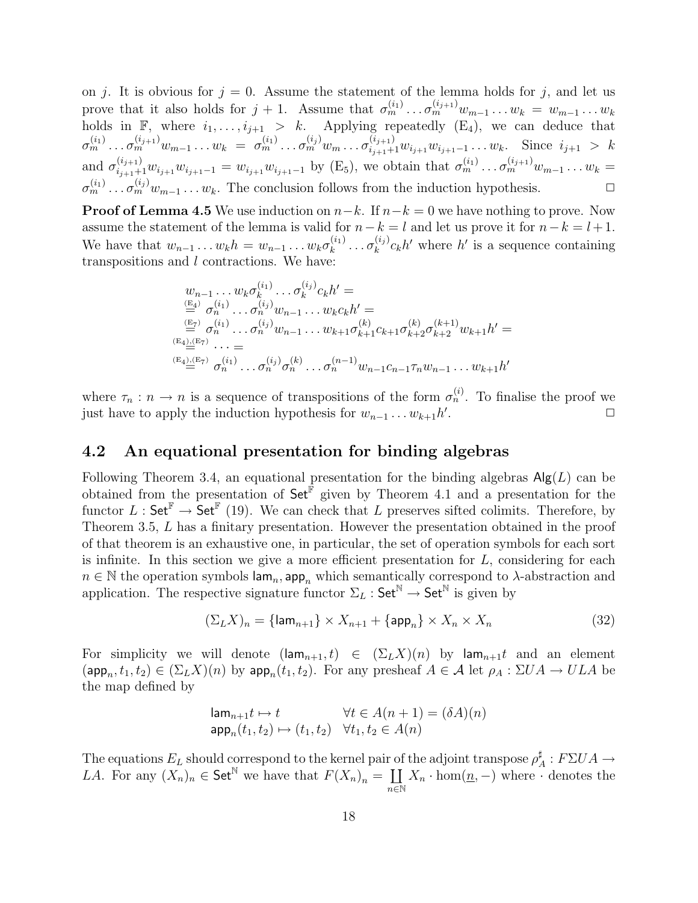on j. It is obvious for  $j = 0$ . Assume the statement of the lemma holds for j, and let us prove that it also holds for  $j+1$ . Assume that  $\sigma_m^{(i_1)} \dots \sigma_m^{(i_{j+1})} w_{m-1} \dots w_k = w_{m-1} \dots w_k$ holds in  $\mathbb{F}$ , where  $i_1, \ldots, i_{j+1} > k$ . Applying repeatedly  $(E_4)$ , we can deduce that  $\sigma_m^{(i_1)} \dots \sigma_m^{(i_{j+1})} w_{m-1} \dots w_k = \sigma_m^{(i_1)} \dots \sigma_m^{(i_j)} w_m \dots \sigma_{i_{j+1}+1}^{(i_{j+1})} w_{i_{j+1}} w_{i_{j+1}-1} \dots w_k$ . Since  $i_{j+1} > k$ and  $\sigma_{i_{j+1}+1}^{(i_{j+1})} w_{i_{j+1}-1} = w_{i_{j+1}} w_{i_{j+1}-1}$  by (E<sub>5</sub>), we obtain that  $\sigma_m^{(i_1)} \dots \sigma_m^{(i_{j+1})} w_{m-1} \dots w_k =$  $\sigma_m^{(i_1)} \dots \sigma_m^{(i_j)} w_{m-1} \dots w_k$ . The conclusion follows from the induction hypothesis.

**Proof of Lemma 4.5** We use induction on  $n-k$ . If  $n-k=0$  we have nothing to prove. Now assume the statement of the lemma is valid for  $n-k = l$  and let us prove it for  $n-k = l + 1$ . We have that  $w_{n-1} \ldots w_k h = w_{n-1} \ldots w_k \sigma_k^{(i_1)}$  $\frac{(i_1)}{k}\ldots \sigma_k^{(i_j)}$  $\binom{(i_j)}{k}c_kh'$  where  $h'$  is a sequence containing transpositions and l contractions. We have:

$$
w_{n-1} \dots w_k \sigma_k^{(i_1)} \dots \sigma_k^{(i_j)} c_k h' =
$$
  
\n
$$
\stackrel{(E_4)}{=} \sigma_n^{(i_1)} \dots \sigma_n^{(i_j)} w_{n-1} \dots w_k c_k h' =
$$
  
\n
$$
\stackrel{(E_7)}{=} \sigma_n^{(i_1)} \dots \sigma_n^{(i_j)} w_{n-1} \dots w_{k+1} \sigma_{k+1}^{(k)} c_{k+1} \sigma_{k+2}^{(k)} \sigma_{k+2}^{(k+1)} w_{k+1} h' =
$$
  
\n
$$
\stackrel{(E_4),(E_7)}{=} \dots =
$$
  
\n
$$
\stackrel{(E_4),(E_7)}{=} \sigma_n^{(i_1)} \dots \sigma_n^{(i_j)} \sigma_n^{(k)} \dots \sigma_n^{(n-1)} w_{n-1} c_{n-1} \tau_n w_{n-1} \dots w_{k+1} h'
$$

where  $\tau_n : n \to n$  is a sequence of transpositions of the form  $\sigma_n^{(i)}$ . To finalise the proof we just have to apply the induction hypothesis for  $w_{n-1} \dots w_{k+1} h'$ .  $\Box$ 

#### 4.2 An equational presentation for binding algebras

Following Theorem 3.4, an equational presentation for the binding algebras  $\mathsf{Alg}(L)$  can be obtained from the presentation of  $\mathsf{Set}^{\hat{\mathbb{F}}}$  given by Theorem 4.1 and a presentation for the functor  $L : \mathsf{Set}^{\mathbb{F}} \to \mathsf{Set}^{\mathbb{F}}$  (19). We can check that L preserves sifted colimits. Therefore, by Theorem 3.5, L has a finitary presentation. However the presentation obtained in the proof of that theorem is an exhaustive one, in particular, the set of operation symbols for each sort is infinite. In this section we give a more efficient presentation for  $L$ , considering for each  $n \in \mathbb{N}$  the operation symbols  $\mathsf{lam}_n$ , app<sub>n</sub> which semantically correspond to  $\lambda$ -abstraction and application. The respective signature functor  $\Sigma_L$ : Set<sup>N</sup>  $\rightarrow$  Set<sup>N</sup> is given by

$$
(\Sigma_L X)_n = \{ \text{lam}_{n+1} \} \times X_{n+1} + \{ \text{app}_n \} \times X_n \times X_n \tag{32}
$$

For simplicity we will denote  $(\text{lam}_{n+1}, t) \in (\Sigma_L X)(n)$  by  $\text{lam}_{n+1}t$  and an element  $(\textsf{app}_n, t_1, t_2) \in (\Sigma_L X)(n)$  by  $\textsf{app}_n(t_1, t_2)$ . For any presheaf  $A \in \mathcal{A}$  let  $\rho_A : \Sigma U A \to ULA$  be the map defined by

$$
\operatorname{lam}_{n+1}t \mapsto t \qquad \forall t \in A(n+1) = (\delta A)(n)
$$
  
\n
$$
\operatorname{app}_n(t_1, t_2) \mapsto (t_1, t_2) \quad \forall t_1, t_2 \in A(n)
$$

The equations  $E_L$  should correspond to the kernel pair of the adjoint transpose  $\rho^{\sharp}$  $A^{\sharp}$  :  $F\Sigma UA \rightarrow$ *LA*. For any  $(X_n)_n \in \mathsf{Set}^{\mathbb{N}}$  we have that  $F(X_n)_n = \coprod$  $_{n\in\mathbb{N}}$  $X_n \cdot \text{hom}(\underline{n},-)$  where  $\cdot$  denotes the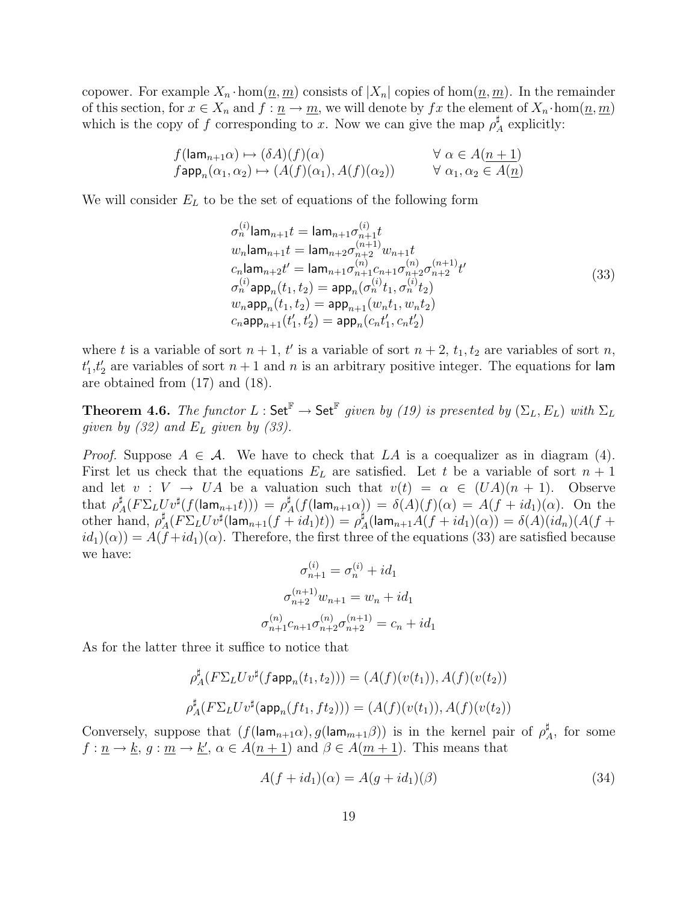copower. For example  $X_n \cdot \text{hom}(\underline{n}, \underline{m})$  consists of  $|X_n|$  copies of  $\text{hom}(\underline{n}, \underline{m})$ . In the remainder of this section, for  $x \in X_n$  and  $f: \underline{n} \to \underline{m}$ , we will denote by  $fx$  the element of  $X_n \cdot \text{hom}(\underline{n}, \underline{m})$ which is the copy of f corresponding to x. Now we can give the map  $\rho^{\sharp}$  $A$ <sup> $\uparrow$ </sup> explicitly:

$$
f(\mathsf{lam}_{n+1}\alpha) \mapsto (\delta A)(f)(\alpha) \qquad \forall \alpha \in A(\underline{n+1})
$$
  
\n
$$
f\mathsf{app}_n(\alpha_1, \alpha_2) \mapsto (A(f)(\alpha_1), A(f)(\alpha_2)) \qquad \forall \alpha_1, \alpha_2 \in A(\underline{n})
$$

We will consider  $E_L$  to be the set of equations of the following form

$$
\sigma_n^{(i)} \text{lam}_{n+1} t = \text{lam}_{n+1} \sigma_{n+1}^{(i)} t \nw_n \text{lam}_{n+1} t = \text{lam}_{n+2} \sigma_{n+2}^{(n+1)} w_{n+1} t \nc_n \text{lam}_{n+2} t' = \text{lam}_{n+1} \sigma_{n+1}^{(n)} c_{n+1}^{(n)} c_{n+2}^{(n)} c_{n+2}^{(n+1)} t' \n\sigma_n^{(i)} \text{app}_n(t_1, t_2) = \text{app}_n(\sigma_n^{(i)} t_1, \sigma_n^{(i)} t_2) \nw_n \text{app}_n(t_1, t_2) = \text{app}_{n+1}(w_n t_1, w_n t_2) \nc_n \text{app}_{n+1}(t'_1, t'_2) = \text{app}_n(c_n t'_1, c_n t'_2)
$$
\n(33)

where t is a variable of sort  $n + 1$ , t' is a variable of sort  $n + 2$ ,  $t_1, t_2$  are variables of sort n,  $t_1', t_2'$  are variables of sort  $n + 1$  and n is an arbitrary positive integer. The equations for lam are obtained from (17) and (18).

**Theorem 4.6.** The functor  $L : \mathsf{Set}^{\mathbb{F}} \to \mathsf{Set}^{\mathbb{F}}$  given by (19) is presented by  $(\Sigma_L, E_L)$  with  $\Sigma_L$ given by  $(32)$  and  $E_L$  given by  $(33)$ .

*Proof.* Suppose  $A \in \mathcal{A}$ . We have to check that LA is a coequalizer as in diagram (4). First let us check that the equations  $E_L$  are satisfied. Let t be a variable of sort  $n+1$ and let  $v: V \to UA$  be a valuation such that  $v(t) = \alpha \in (UA)(n + 1)$ . Observe that  $\rho^\sharp$  $\mu_A^{\sharp}(F\Sigma_L U v^{\sharp}(f(\mathsf{lam}_{n+1}t))) \,=\, \rho_A^{\sharp}$  $A^{\sharp}_{A}(f(\mathsf{lam}_{n+1}\alpha)) = \delta(A)(f)(\alpha) = A(f + id_{1})(\alpha).$  On the other hand,  $\rho_z^{\sharp}$  $\sharp_A(F\Sigma_L U v^{\sharp}(\textsf{lam}_{n+1}(f+id_1)t)) = \rho^{\sharp}_A$  $^{\tt I}_A(\mathsf{lam}_{n+1}A(f+id_1)(\alpha))=\delta(A)(id_n)(A(f+id_1))$  $id_1(\alpha) = A(f + id_1)(\alpha)$ . Therefore, the first three of the equations (33) are satisfied because we have:

$$
\sigma_{n+1}^{(i)} = \sigma_n^{(i)} + id_1
$$

$$
\sigma_{n+2}^{(n+1)} w_{n+1} = w_n + id_1
$$

$$
\sigma_{n+1}^{(n)} c_{n+1} \sigma_{n+2}^{(n)} \sigma_{n+2}^{(n+1)} = c_n + id_1
$$

As for the latter three it suffice to notice that

$$
\rho_A^{\sharp}(F\Sigma_L U v^{\sharp}(f \mathsf{app}_n(t_1, t_2))) = (A(f)(v(t_1)), A(f)(v(t_2))
$$
  

$$
\rho_A^{\sharp}(F\Sigma_L U v^{\sharp}(\mathsf{app}_n(ft_1, ft_2))) = (A(f)(v(t_1)), A(f)(v(t_2)))
$$

Conversely, suppose that  $(f(\mathsf{lam}_{n+1}\alpha), g(\mathsf{lam}_{m+1}\beta))$  is in the kernel pair of  $\rho^{\sharp}$  $A^{\sharp}$ , for some  $f: \underline{n} \to \underline{k}, g: \underline{m} \to \underline{k}', \alpha \in A(n+1)$  and  $\beta \in A(m+1)$ . This means that

$$
A(f + id_1)(\alpha) = A(g + id_1)(\beta)
$$
\n(34)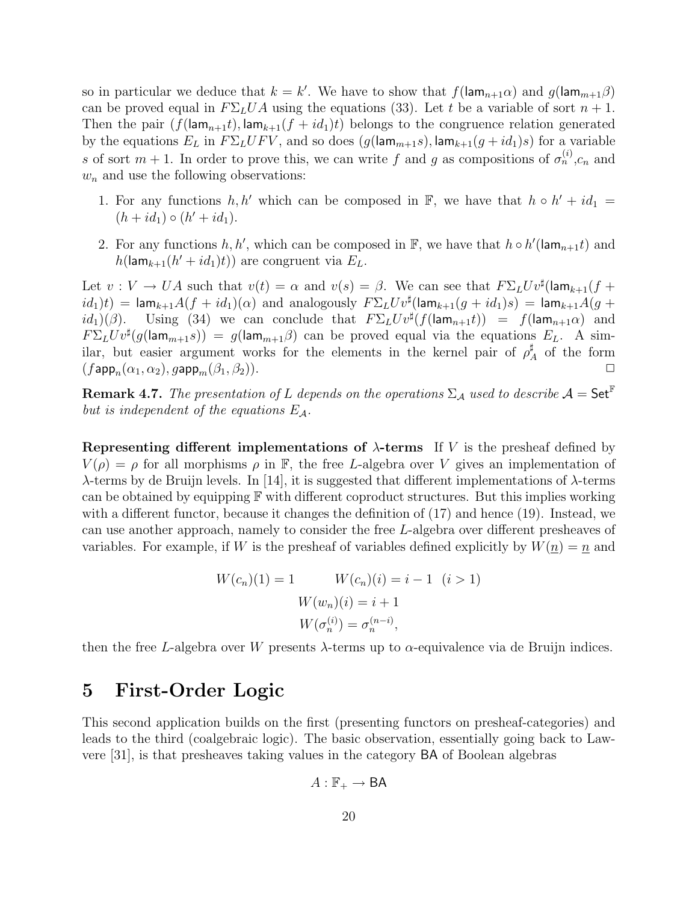so in particular we deduce that  $k = k'$ . We have to show that  $f(\mathsf{lam}_{n+1}\alpha)$  and  $g(\mathsf{lam}_{m+1}\beta)$ can be proved equal in  $F\Sigma_L UA$  using the equations (33). Let t be a variable of sort  $n+1$ . Then the pair  $(f(\text{lam}_{n+1}t), \text{lam}_{k+1}(f + id_1)t)$  belongs to the congruence relation generated by the equations  $E_L$  in  $F\Sigma_L U F V$ , and so does  $(g(\text{lam}_{m+1} s), \text{lam}_{k+1}(g + id_1)s)$  for a variable s of sort  $m + 1$ . In order to prove this, we can write f and g as compositions of  $\sigma_n^{(i)}$ ,  $c_n$  and  $w_n$  and use the following observations:

- 1. For any functions  $h, h'$  which can be composed in F, we have that  $h \circ h' + id_1 =$  $(h + id_1) \circ (h' + id_1).$
- 2. For any functions  $h, h'$ , which can be composed in  $\mathbb{F}$ , we have that  $h \circ h'(\mathsf{lam}_{n+1}t)$  and  $h(\mathsf{lam}_{k+1}(h'+id_1)t))$  are congruent via  $E_L$ .

Let  $v: V \to UA$  such that  $v(t) = \alpha$  and  $v(s) = \beta$ . We can see that  $F\Sigma_L U v^{\sharp}(\text{lam}_{k+1}(f +$  $id_1)t$ ) = lam $_{k+1}A(f+id_1)(\alpha)$  and analogously  $F\Sigma_L U v^{\sharp}(\textsf{lam}_{k+1}(g+id_1)s)$  = lam $_{k+1}A(g+id_1)$  $id_1)(\beta)$ . Using (34) we can conclude that  $F\Sigma_L U v^{\sharp}(f(\mathsf{lam}_{n+1}t)) = f(\mathsf{lam}_{n+1}\alpha)$  and  $F\Sigma_L U v^{\sharp} (g(\text{lam}_{m+1} s)) = g(\text{lam}_{m+1} \beta)$  can be proved equal via the equations  $E_L$ . A similar, but easier argument works for the elements in the kernel pair of  $\rho^{\sharp}$  $A \atop A$  of the form  $(f \mathsf{app}_n(\alpha_1, \alpha_2), g \mathsf{app}_m(\beta_1, \beta_2)).$ 

**Remark 4.7.** The presentation of L depends on the operations  $\Sigma_A$  used to describe  $A = Set^{\mathbb{F}}$ but is independent of the equations  $E_A$ .

Representing different implementations of  $\lambda$ -terms If V is the presheaf defined by  $V(\rho) = \rho$  for all morphisms  $\rho$  in F, the free L-algebra over V gives an implementation of λ-terms by de Bruijn levels. In [14], it is suggested that different implementations of λ-terms can be obtained by equipping  $\mathbb F$  with different coproduct structures. But this implies working with a different functor, because it changes the definition of (17) and hence (19). Instead, we can use another approach, namely to consider the free L-algebra over different presheaves of variables. For example, if W is the presheaf of variables defined explicitly by  $W(\underline{n}) = \underline{n}$  and

$$
W(c_n)(1) = 1 \qquad W(c_n)(i) = i - 1 \quad (i > 1)
$$

$$
W(w_n)(i) = i + 1
$$

$$
W(\sigma_n^{(i)}) = \sigma_n^{(n-i)},
$$

then the free L-algebra over W presents  $\lambda$ -terms up to  $\alpha$ -equivalence via de Bruijn indices.

# 5 First-Order Logic

This second application builds on the first (presenting functors on presheaf-categories) and leads to the third (coalgebraic logic). The basic observation, essentially going back to Lawvere [31], is that presheaves taking values in the category BA of Boolean algebras

$$
A:\mathbb{F}_+\to\mathsf{BA}
$$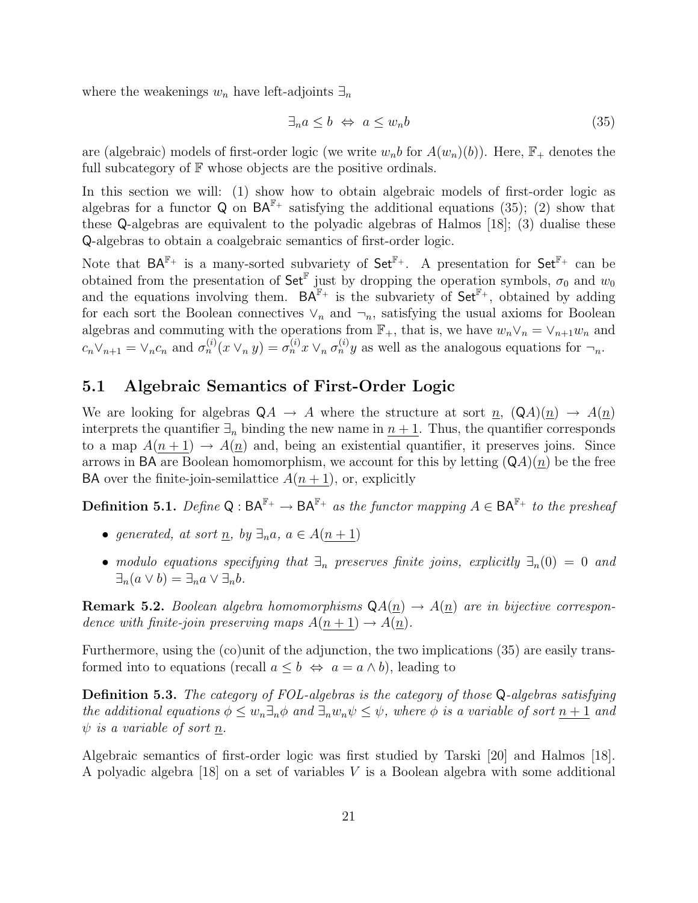where the weakenings  $w_n$  have left-adjoints  $\exists_n$ 

$$
\exists_n a \le b \Leftrightarrow a \le w_n b \tag{35}
$$

are (algebraic) models of first-order logic (we write  $w_n b$  for  $A(w_n)(b)$ ). Here,  $\mathbb{F}_+$  denotes the full subcategory of  $F$  whose objects are the positive ordinals.

In this section we will: (1) show how to obtain algebraic models of first-order logic as algebras for a functor Q on  $BA^{\mathbb{F}_+}$  satisfying the additional equations (35); (2) show that these Q-algebras are equivalent to the polyadic algebras of Halmos [18]; (3) dualise these Q-algebras to obtain a coalgebraic semantics of first-order logic.

Note that  $BA^{\mathbb{F}_+}$  is a many-sorted subvariety of  $Set^{\mathbb{F}_+}$ . A presentation for  $Set^{\mathbb{F}_+}$  can be obtained from the presentation of  $\mathsf{Set}^{\mathbb{F}}$  just by dropping the operation symbols,  $\sigma_0$  and  $w_0$ and the equations involving them.  $BA^{\mathbb{F}_+}$  is the subvariety of  $Set^{\mathbb{F}_+}$ , obtained by adding for each sort the Boolean connectives  $\vee_n$  and  $\neg_n$ , satisfying the usual axioms for Boolean algebras and commuting with the operations from  $\mathbb{F}_+$ , that is, we have  $w_n \vee_n = \vee_{n+1} w_n$  and  $c_n \vee_{n+1} \psi \vee_{n} c_n$  and  $\sigma_n^{(i)}(x \vee_n y) = \sigma_n^{(i)}(x \vee_n \sigma_n^{(i)}(y)$  as well as the analogous equations for  $\neg_n$ .

#### 5.1 Algebraic Semantics of First-Order Logic

We are looking for algebras  $QA \rightarrow A$  where the structure at sort  $\underline{n}$ ,  $(QA)(\underline{n}) \rightarrow A(\underline{n})$ interprets the quantifier  $\exists_n$  binding the new name in  $n + 1$ . Thus, the quantifier corresponds to a map  $A(n+1) \rightarrow A(n)$  and, being an existential quantifier, it preserves joins. Since arrows in BA are Boolean homomorphism, we account for this by letting  $(QA)(n)$  be the free BA over the finite-join-semilattice  $A(n+1)$ , or, explicitly

**Definition 5.1.** Define  $Q : BA^{\mathbb{F}_+} \to BA^{\mathbb{F}_+}$  as the functor mapping  $A \in BA^{\mathbb{F}_+}$  to the presheaf

- generated, at sort <u>n</u>, by  $\exists_n a, a \in A(n+1)$
- modulo equations specifying that  $\exists_n$  preserves finite joins, explicitly  $\exists_n(0) = 0$  and  $\exists_n(a \vee b) = \exists_n a \vee \exists_n b.$

**Remark 5.2.** Boolean algebra homomorphisms  $QA(\underline{n}) \rightarrow A(\underline{n})$  are in bijective correspondence with finite-join preserving maps  $A(n + 1) \rightarrow A(n)$ .

Furthermore, using the (co)unit of the adjunction, the two implications (35) are easily transformed into to equations (recall  $a \leq b \Leftrightarrow a = a \wedge b$ ), leading to

Definition 5.3. The category of FOL-algebras is the category of those Q-algebras satisfying the additional equations  $\phi \leq w_n \exists_n \phi$  and  $\exists_n w_n \psi \leq \psi$ , where  $\phi$  is a variable of sort  $n+1$  and  $\psi$  is a variable of sort n.

Algebraic semantics of first-order logic was first studied by Tarski [20] and Halmos [18]. A polyadic algebra [18] on a set of variables V is a Boolean algebra with some additional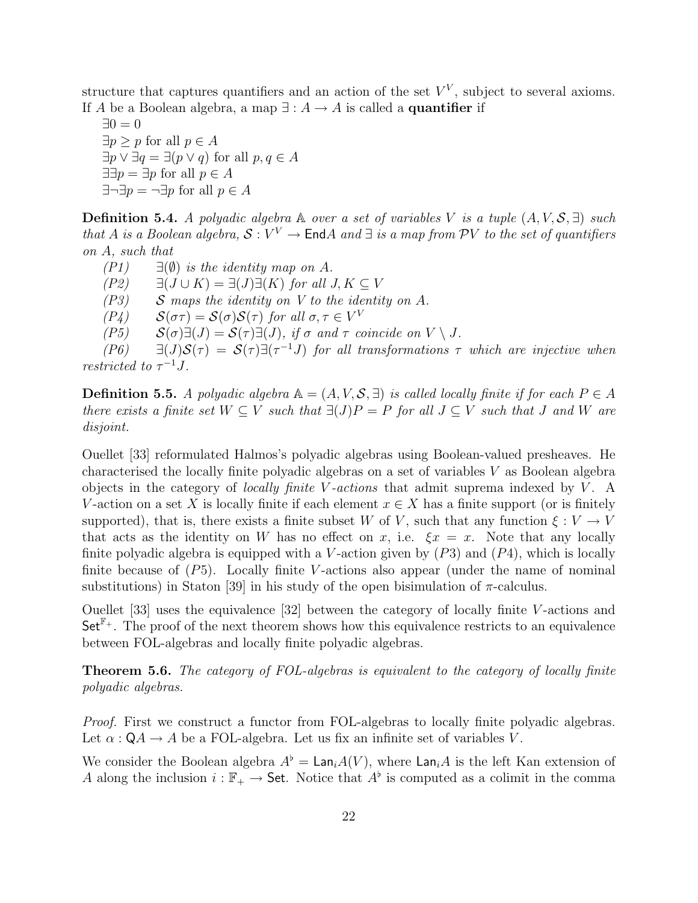structure that captures quantifiers and an action of the set  $V^V$ , subject to several axioms. If A be a Boolean algebra, a map  $\exists : A \rightarrow A$  is called a **quantifier** if

 $\exists 0 = 0$  $\exists p \geq p$  for all  $p \in A$  $\exists p \vee \exists q = \exists (p \vee q)$  for all  $p, q \in A$  $\exists \exists p = \exists p \text{ for all } p \in A$  $\exists \neg \exists p = \neg \exists p$  for all  $p \in A$ 

**Definition 5.4.** A polyadic algebra  $\mathbb A$  over a set of variables V is a tuple  $(A, V, S, \exists)$  such that A is a Boolean algebra,  $S: V^V \to \text{End}A$  and  $\exists$  is a map from PV to the set of quantifiers on A, such that

 $(PI)$   $\exists$  ( $\emptyset$ ) is the identity map on A.  $(P2)$   $\exists (J \cup K) = \exists (J) \exists (K)$  for all  $J, K \subseteq V$  $( P3)$  S maps the identity on V to the identity on A. (P4)  $S(\sigma \tau) = S(\sigma)S(\tau)$  for all  $\sigma, \tau \in V^V$  $(P5)$   $\mathcal{S}(\sigma)\exists(J) = \mathcal{S}(\tau)\exists(J)$ , if  $\sigma$  and  $\tau$  coincide on  $V \setminus J$ . (P6)  $\exists (J)S(\tau) = S(\tau)\exists (\tau^{-1}J)$  for all transformations  $\tau$  which are injective when restricted to  $\tau^{-1}J$ .

**Definition 5.5.** A polyadic algebra  $A = (A, V, S, \exists)$  is called locally finite if for each  $P \in A$ there exists a finite set  $W \subseteq V$  such that  $\exists (J)P = P$  for all  $J \subseteq V$  such that J and W are disjoint.

Ouellet [33] reformulated Halmos's polyadic algebras using Boolean-valued presheaves. He characterised the locally finite polyadic algebras on a set of variables V as Boolean algebra objects in the category of *locally finite V-actions* that admit suprema indexed by  $V$ . A V-action on a set X is locally finite if each element  $x \in X$  has a finite support (or is finitely supported), that is, there exists a finite subset W of V, such that any function  $\xi: V \to V$ that acts as the identity on W has no effect on x, i.e.  $\xi x = x$ . Note that any locally finite polyadic algebra is equipped with a V-action given by  $(P3)$  and  $(P4)$ , which is locally finite because of  $(P5)$ . Locally finite V-actions also appear (under the name of nominal substitutions) in Staton [39] in his study of the open bisimulation of  $\pi$ -calculus.

Ouellet [33] uses the equivalence [32] between the category of locally finite V -actions and  $\mathsf{Set}^{\mathbb{F}_+}$ . The proof of the next theorem shows how this equivalence restricts to an equivalence between FOL-algebras and locally finite polyadic algebras.

Theorem 5.6. The category of FOL-algebras is equivalent to the category of locally finite polyadic algebras.

Proof. First we construct a functor from FOL-algebras to locally finite polyadic algebras. Let  $\alpha$ :  $\mathsf{Q}A \to A$  be a FOL-algebra. Let us fix an infinite set of variables V.

We consider the Boolean algebra  $A^{\flat} = \text{Lan}_iA(V)$ , where  $\text{Lan}_iA$  is the left Kan extension of A along the inclusion  $i : \mathbb{F}_+ \to$  Set. Notice that  $A^{\flat}$  is computed as a colimit in the comma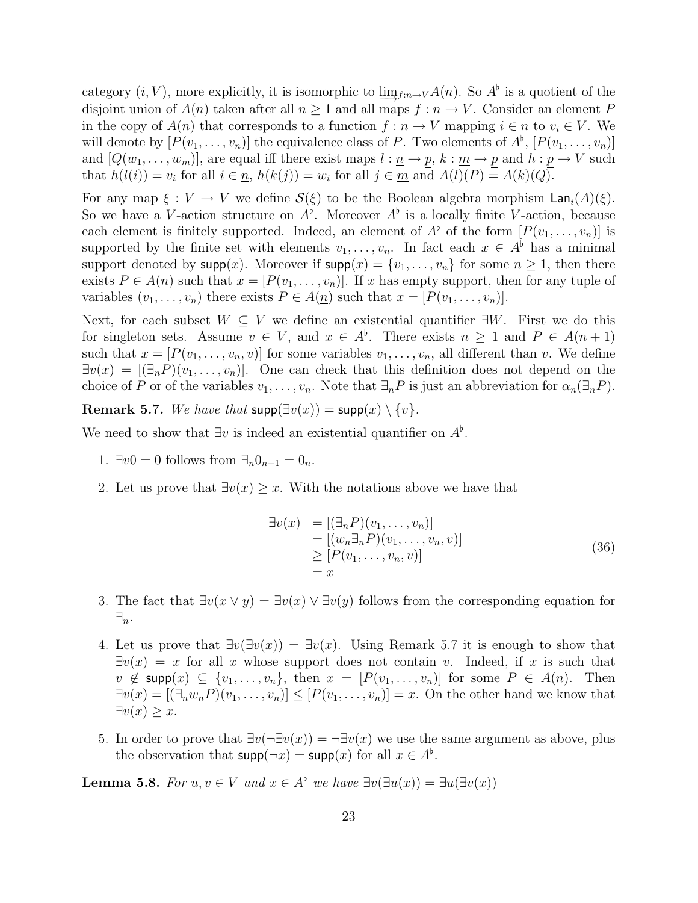category  $(i, V)$ , more explicitly, it is isomorphic to  $\underline{\lim}_{f: n \to V} A(n)$ . So  $A^{\flat}$  is a quotient of the disjoint union of  $A(\underline{n})$  taken after all  $n \geq 1$  and all maps  $f : \underline{n} \to V$ . Consider an element P in the copy of  $A(\underline{n})$  that corresponds to a function  $f : \underline{n} \to V$  mapping  $i \in \underline{n}$  to  $v_i \in V$ . We will denote by  $[P(v_1, \ldots, v_n)]$  the equivalence class of P. Two elements of  $A^{\flat}$ ,  $[P(v_1, \ldots, v_n)]$ and  $[Q(w_1, \ldots, w_m)]$ , are equal iff there exist maps  $l : \underline{n} \to p$ ,  $k : \underline{m} \to p$  and  $h : p \to V$  such that  $h(l(i)) = v_i$  for all  $i \in \underline{n}$ ,  $h(k(j)) = w_i$  for all  $j \in \underline{m}$  and  $A(l)(P) = A(k)(Q)$ .

For any map  $\xi: V \to V$  we define  $\mathcal{S}(\xi)$  to be the Boolean algebra morphism  $\text{Lan}_i(A)(\xi)$ . So we have a V-action structure on  $A^{\flat}$ . Moreover  $A^{\flat}$  is a locally finite V-action, because each element is finitely supported. Indeed, an element of  $A^{\flat}$  of the form  $[P(v_1, \ldots, v_n)]$  is supported by the finite set with elements  $v_1, \ldots, v_n$ . In fact each  $x \in A^{\flat}$  has a minimal support denoted by  $\textsf{supp}(x)$ . Moreover if  $\textsf{supp}(x) = \{v_1, \ldots, v_n\}$  for some  $n \geq 1$ , then there exists  $P \in A(\underline{n})$  such that  $x = [P(v_1, \ldots, v_n)]$ . If x has empty support, then for any tuple of variables  $(v_1, \ldots, v_n)$  there exists  $P \in A(\underline{n})$  such that  $x = [P(v_1, \ldots, v_n)]$ .

Next, for each subset  $W \subseteq V$  we define an existential quantifier  $\exists W$ . First we do this for singleton sets. Assume  $v \in V$ , and  $x \in A^{\flat}$ . There exists  $n \geq 1$  and  $P \in A(n+1)$ such that  $x = [P(v_1, \ldots, v_n, v)]$  for some variables  $v_1, \ldots, v_n$ , all different than v. We define  $\exists v(x) = [\exists_n P)(v_1, \ldots, v_n)].$  One can check that this definition does not depend on the choice of P or of the variables  $v_1, \ldots, v_n$ . Note that  $\exists_n P$  is just an abbreviation for  $\alpha_n(\exists_n P)$ .

Remark 5.7. We have that  $supp(\exists v(x)) = supp(x) \setminus \{v\}.$ 

We need to show that  $\exists v$  is indeed an existential quantifier on  $A^{\flat}$ .

- 1.  $\exists v_0 = 0$  follows from  $\exists_n 0_{n+1} = 0_n$ .
- 2. Let us prove that  $\exists v(x) \geq x$ . With the notations above we have that

$$
\begin{aligned}\n\exists v(x) &= \left[ (\exists_n P)(v_1, \dots, v_n) \right] \\
&= \left[ (w_n \exists_n P)(v_1, \dots, v_n, v) \right] \\
&\ge \left[ P(v_1, \dots, v_n, v) \right] \\
&= x\n\end{aligned} \tag{36}
$$

- 3. The fact that  $\exists v(x \vee y) = \exists v(x) \vee \exists v(y)$  follows from the corresponding equation for  $\exists_n.$
- 4. Let us prove that  $\exists v(\exists v(x)) = \exists v(x)$ . Using Remark 5.7 it is enough to show that  $\exists v(x) = x$  for all x whose support does not contain v. Indeed, if x is such that  $v \notin \textsf{supp}(x) \subseteq \{v_1, \ldots, v_n\},\$  then  $x = [P(v_1, \ldots, v_n)]$  for some  $P \in A(\underline{n})$ . Then  $\exists v(x) = [\exists_n w_n P)(v_1, \dots, v_n)] \le [P(v_1, \dots, v_n)] = x$ . On the other hand we know that  $\exists v(x) \geq x.$
- 5. In order to prove that  $\exists v(\neg \exists v(x)) = \neg \exists v(x)$  we use the same argument as above, plus the observation that  $\textsf{supp}(\neg x) = \textsf{supp}(x)$  for all  $x \in A^{\flat}$ .

**Lemma 5.8.** For  $u, v \in V$  and  $x \in A^{\flat}$  we have  $\exists v(\exists u(x)) = \exists u(\exists v(x))$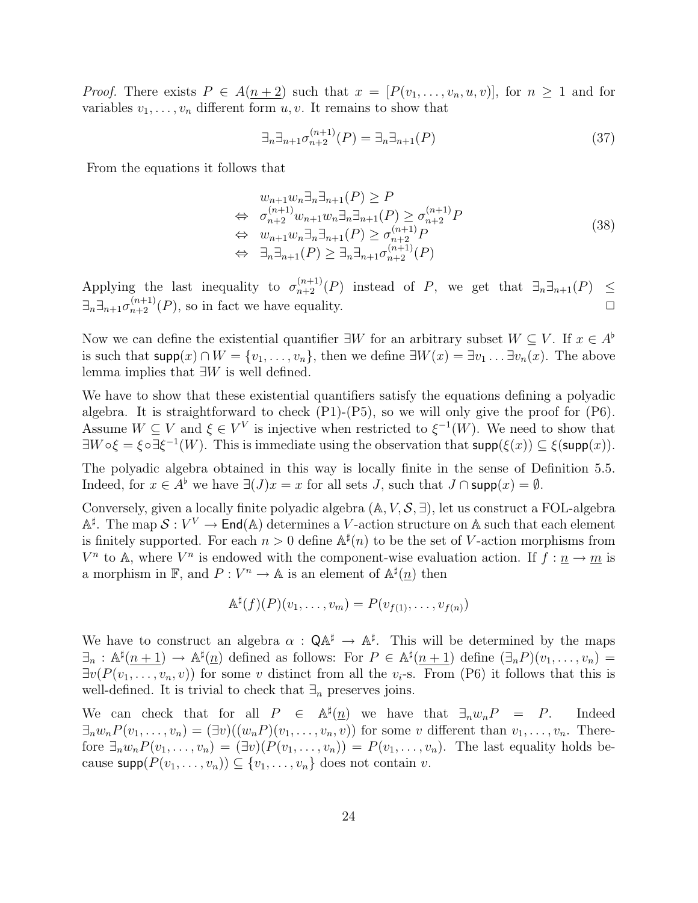*Proof.* There exists  $P \in A(n+2)$  such that  $x = [P(v_1, \ldots, v_n, u, v)]$ , for  $n \ge 1$  and for variables  $v_1, \ldots, v_n$  different form  $u, v$ . It remains to show that

$$
\exists_n \exists_{n+1} \sigma_{n+2}^{(n+1)}(P) = \exists_n \exists_{n+1}(P) \tag{37}
$$

From the equations it follows that

$$
w_{n+1}w_n \exists_n \exists_{n+1}(P) \ge P
$$
  
\n
$$
\Leftrightarrow \sigma_{n+2}^{(n+1)} w_{n+1}w_n \exists_n \exists_{n+1}(P) \ge \sigma_{n+2}^{(n+1)}P
$$
  
\n
$$
\Leftrightarrow w_{n+1}w_n \exists_n \exists_{n+1}(P) \ge \sigma_{n+2}^{(n+1)}P
$$
  
\n
$$
\Leftrightarrow \exists_n \exists_{n+1}(P) \ge \exists_n \exists_{n+1}\sigma_{n+2}^{(n+1)}(P)
$$
\n(38)

Applying the last inequality to  $\sigma_{n+2}^{(n+1)}(P)$  instead of P, we get that  $\exists_n \exists_{n+1}(P) \leq$  $\exists_n \exists_{n+1} \sigma_{n+2}^{(n+1)}(P)$ , so in fact we have equality.

Now we can define the existential quantifier  $\exists W$  for an arbitrary subset  $W \subseteq V$ . If  $x \in A^{\flat}$ is such that  $\textsf{supp}(x) \cap W = \{v_1, \ldots, v_n\}$ , then we define  $\exists W(x) = \exists v_1 \ldots \exists v_n(x)$ . The above lemma implies that ∃W is well defined.

We have to show that these existential quantifiers satisfy the equations defining a polyadic algebra. It is straightforward to check (P1)-(P5), so we will only give the proof for (P6). Assume  $W \subseteq V$  and  $\xi \in V^V$  is injective when restricted to  $\xi^{-1}(W)$ . We need to show that  $\exists W \circ \xi = \xi \circ \exists \xi^{-1}(W)$ . This is immediate using the observation that  $\text{supp}(\xi(x)) \subseteq \xi(\text{supp}(x))$ .

The polyadic algebra obtained in this way is locally finite in the sense of Definition 5.5. Indeed, for  $x \in A^{\flat}$  we have  $\exists (J)x = x$  for all sets J, such that  $J \cap \text{supp}(x) = \emptyset$ .

Conversely, given a locally finite polyadic algebra  $(A, V, S, \exists)$ , let us construct a FOL-algebra  $\mathbb{A}^{\sharp}$ . The map  $S: V^V \to \mathsf{End}(\mathbb{A})$  determines a V-action structure on A such that each element is finitely supported. For each  $n > 0$  define  $\mathbb{A}^{\sharp}(n)$  to be the set of V-action morphisms from  $V^n$  to A, where  $V^n$  is endowed with the component-wise evaluation action. If  $f: \underline{n} \to \underline{m}$  is a morphism in  $\mathbb{F}$ , and  $P: V^n \to \mathbb{A}$  is an element of  $\mathbb{A}^{\sharp}(\underline{n})$  then

$$
\mathbb{A}^{\sharp}(f)(P)(v_1,\ldots,v_m)=P(v_{f(1)},\ldots,v_{f(n)})
$$

We have to construct an algebra  $\alpha$ :  $\mathsf{QA}^{\sharp} \to \mathbb{A}^{\sharp}$ . This will be determined by the maps  $\exists_n : \mathbb{A}^{\sharp}(n+1) \to \mathbb{A}^{\sharp}(n)$  defined as follows: For  $P \in \mathbb{A}^{\sharp}(n+1)$  define  $(\exists_n P)(v_1, \ldots, v_n)$  $\exists v(P(v_1,\ldots,v_n,v))$  for some v distinct from all the  $v_i$ -s. From (P6) it follows that this is well-defined. It is trivial to check that  $\exists_n$  preserves joins.

We can check that for all  $P \in \mathbb{A}^{\sharp}(\underline{n})$  we have that  $\exists_n w_n P = P$ . Indeed  $\exists_n w_n P(v_1,\ldots,v_n) = (\exists v)((w_n P)(v_1,\ldots,v_n,v))$  for some v different than  $v_1,\ldots,v_n$ . Therefore  $\exists_n w_n P(v_1, \ldots, v_n) = (\exists v)(P(v_1, \ldots, v_n)) = P(v_1, \ldots, v_n)$ . The last equality holds because  $\textsf{supp}(P(v_1, \ldots, v_n)) \subseteq \{v_1, \ldots, v_n\}$  does not contain v.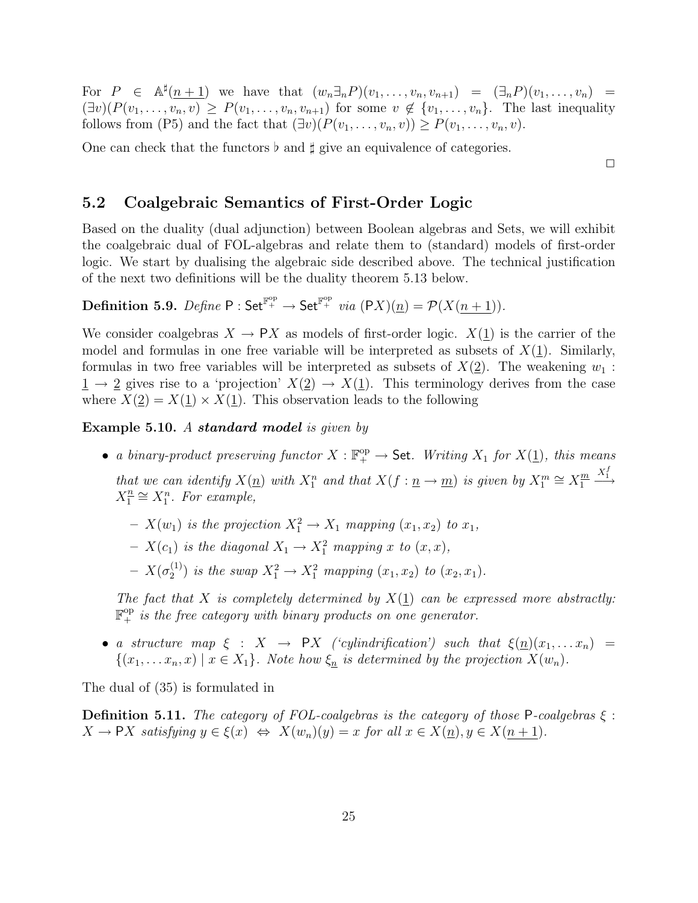For  $P \in \mathbb{A}^{\sharp}(n+1)$  we have that  $(w_n \exists_n P)(v_1, \ldots, v_n, v_{n+1}) = (\exists_n P)(v_1, \ldots, v_n)$  $(\exists v)(P(v_1,\ldots,v_n,v) \geq P(v_1,\ldots,v_n,v_{n+1})$  for some  $v \notin \{v_1,\ldots,v_n\}$ . The last inequality follows from (P5) and the fact that  $(\exists v)(P(v_1, \ldots, v_n, v)) \geq P(v_1, \ldots, v_n, v)$ .

One can check that the functors  $\flat$  and  $\sharp$  give an equivalence of categories.

 $\Box$ 

#### 5.2 Coalgebraic Semantics of First-Order Logic

Based on the duality (dual adjunction) between Boolean algebras and Sets, we will exhibit the coalgebraic dual of FOL-algebras and relate them to (standard) models of first-order logic. We start by dualising the algebraic side described above. The technical justification of the next two definitions will be the duality theorem 5.13 below.

**Definition 5.9.** *Define*  $P : \mathsf{Set}^{\mathbb{F}_+^{\mathrm{op}}} \to \mathsf{Set}^{\mathbb{F}_+^{\mathrm{op}}}$  *via*  $(\mathsf{P}X)(\underline{n}) = \mathcal{P}(X(\underline{n+1})).$ 

We consider coalgebras  $X \to PX$  as models of first-order logic.  $X(1)$  is the carrier of the model and formulas in one free variable will be interpreted as subsets of  $X(1)$ . Similarly, formulas in two free variables will be interpreted as subsets of  $X(2)$ . The weakening  $w_1$ :  $1 \rightarrow 2$  gives rise to a 'projection'  $X(2) \rightarrow X(1)$ . This terminology derives from the case where  $X(2) = X(1) \times X(1)$ . This observation leads to the following

Example 5.10. A standard model is given by

- a binary-product preserving functor  $X : \mathbb{F}_+^{\text{op}} \to \mathsf{Set}$ . Writing  $X_1$  for  $X(\underline{1})$ , this means that we can identify  $X(\underline{n})$  with  $X_1^n$  and that  $X(f: \underline{n} \to \underline{m})$  is given by  $X_1^m \cong X_1^{\underline{m}}$ 1  $\xrightarrow{X_1^f}$  $X_1^{\underline{n}}$  $\frac{n}{1} \cong X_1^n$ . For example,
	- $X(w_1)$  is the projection  $X_1^2 \to X_1$  mapping  $(x_1, x_2)$  to  $x_1$ ,
	- $X(c_1)$  is the diagonal  $X_1 \rightarrow X_1^2$  mapping x to  $(x, x)$ ,
	- $X(\sigma_2^{(1)}$  $2^{(1)}$  is the swap  $X_1^2 \to X_1^2$  mapping  $(x_1, x_2)$  to  $(x_2, x_1)$ .

The fact that X is completely determined by  $X(1)$  can be expressed more abstractly:  $\mathbb{F}_+^{\mathrm{op}}$  is the free category with binary products on one generator.

• a structure map  $\xi : X \rightarrow PX$  ('cylindrification') such that  $\xi(n)(x_1,...x_n)$  =  $\{(x_1, \ldots, x_n, x) \mid x \in X_1\}$ . Note how  $\xi_n$  is determined by the projection  $X(w_n)$ .

The dual of (35) is formulated in

**Definition 5.11.** The category of FOL-coalgebras is the category of those P-coalgebras  $\xi$ :  $X \to \mathsf{P}X$  satisfying  $y \in \xi(x) \Leftrightarrow X(w_n)(y) = x$  for all  $x \in X(\underline{n}), y \in X(\underline{n+1})$ .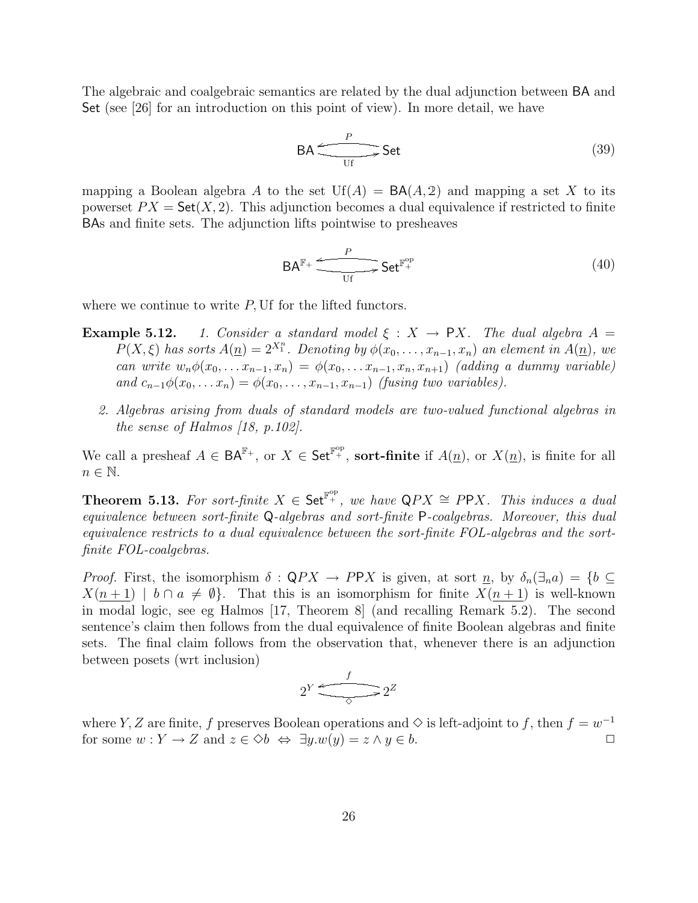The algebraic and coalgebraic semantics are related by the dual adjunction between BA and Set (see [26] for an introduction on this point of view). In more detail, we have

$$
\mathsf{BA} \xrightarrow{\phantom{a}\mathsf{P}} \mathsf{Set} \tag{39}
$$

mapping a Boolean algebra A to the set  $Uf(A) = BA(A, 2)$  and mapping a set X to its powerset  $PX = \mathsf{Set}(X, 2)$ . This adjunction becomes a dual equivalence if restricted to finite BAs and finite sets. The adjunction lifts pointwise to presheaves

$$
\mathsf{BA}^{\mathbb{F}_+} \xrightarrow{\phantom{p}} \mathsf{Set}^{\mathbb{F}_+^{\mathrm{op}}} \tag{40}
$$

where we continue to write  $P$ , Uf for the lifted functors.

- **Example 5.12.** 1. Consider a standard model  $\xi$  :  $X \rightarrow PX$ . The dual algebra  $A =$  $P(X, \xi)$  has sorts  $A(\underline{n}) = 2^{X_1^n}$ . Denoting by  $\phi(x_0, \ldots, x_{n-1}, x_n)$  an element in  $A(\underline{n})$ , we can write  $w_n \phi(x_0, \ldots x_{n-1}, x_n) = \phi(x_0, \ldots x_{n-1}, x_n, x_{n+1})$  (adding a dummy variable) and  $c_{n-1}\phi(x_0,\ldots,x_n)=\phi(x_0,\ldots,x_{n-1},x_{n-1})$  (fusing two variables).
	- 2. Algebras arising from duals of standard models are two-valued functional algebras in the sense of Halmos [18, p.102].

We call a presheaf  $A \in BA^{\mathbb{F}_+}$ , or  $X \in \mathsf{Set}^{\mathbb{F}_+^{\mathrm{op}}}$ , **sort-finite** if  $A(\underline{n})$ , or  $X(\underline{n})$ , is finite for all  $n \in \mathbb{N}$ .

**Theorem 5.13.** For sort-finite  $X \in \mathsf{Set}^{\mathbb{F}_+^{\mathrm{op}}}$ , we have  $\mathsf{Q}PX \cong P\mathsf{P}X$ . This induces a dual equivalence between sort-finite Q-algebras and sort-finite P-coalgebras. Moreover, this dual equivalence restricts to a dual equivalence between the sort-finite FOL-algebras and the sortfinite FOL-coalgebras.

*Proof.* First, the isomorphism  $\delta : QPX \to PPX$  is given, at sort  $\underline{n}$ , by  $\delta_n(\exists_n a) = \{b \subseteq$  $X(n+1)$  |  $b \cap a \neq \emptyset$ . That this is an isomorphism for finite  $X(n+1)$  is well-known in modal logic, see eg Halmos [17, Theorem 8] (and recalling Remark 5.2). The second sentence's claim then follows from the dual equivalence of finite Boolean algebras and finite sets. The final claim follows from the observation that, whenever there is an adjunction between posets (wrt inclusion)

$$
2^Y \xrightarrow{f} 2^Z
$$

where Y, Z are finite, f preserves Boolean operations and  $\Diamond$  is left-adjoint to f, then  $f = w^{-1}$ for some  $w: Y \to Z$  and  $z \in \Diamond b \Leftrightarrow \exists y. w(y) = z \land y \in b$ .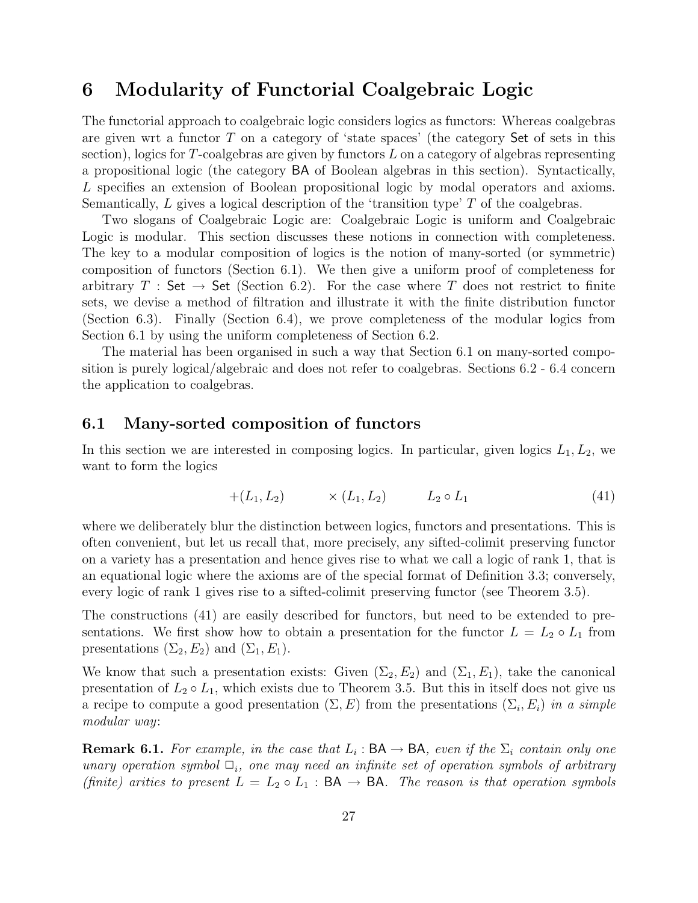### 6 Modularity of Functorial Coalgebraic Logic

The functorial approach to coalgebraic logic considers logics as functors: Whereas coalgebras are given wrt a functor  $T$  on a category of 'state spaces' (the category Set of sets in this section), logics for  $T$ -coalgebras are given by functors  $L$  on a category of algebras representing a propositional logic (the category BA of Boolean algebras in this section). Syntactically, L specifies an extension of Boolean propositional logic by modal operators and axioms. Semantically, L gives a logical description of the 'transition type' T of the coalgebras.

Two slogans of Coalgebraic Logic are: Coalgebraic Logic is uniform and Coalgebraic Logic is modular. This section discusses these notions in connection with completeness. The key to a modular composition of logics is the notion of many-sorted (or symmetric) composition of functors (Section 6.1). We then give a uniform proof of completeness for arbitrary T : Set  $\rightarrow$  Set (Section 6.2). For the case where T does not restrict to finite sets, we devise a method of filtration and illustrate it with the finite distribution functor (Section 6.3). Finally (Section 6.4), we prove completeness of the modular logics from Section 6.1 by using the uniform completeness of Section 6.2.

The material has been organised in such a way that Section 6.1 on many-sorted composition is purely logical/algebraic and does not refer to coalgebras. Sections 6.2 - 6.4 concern the application to coalgebras.

#### 6.1 Many-sorted composition of functors

In this section we are interested in composing logics. In particular, given logics  $L_1, L_2$ , we want to form the logics

$$
+(L_1, L_2) \qquad \times (L_1, L_2) \qquad L_2 \circ L_1 \tag{41}
$$

where we deliberately blur the distinction between logics, functors and presentations. This is often convenient, but let us recall that, more precisely, any sifted-colimit preserving functor on a variety has a presentation and hence gives rise to what we call a logic of rank 1, that is an equational logic where the axioms are of the special format of Definition 3.3; conversely, every logic of rank 1 gives rise to a sifted-colimit preserving functor (see Theorem 3.5).

The constructions (41) are easily described for functors, but need to be extended to presentations. We first show how to obtain a presentation for the functor  $L = L_2 \circ L_1$  from presentations  $(\Sigma_2, E_2)$  and  $(\Sigma_1, E_1)$ .

We know that such a presentation exists: Given  $(\Sigma_2, E_2)$  and  $(\Sigma_1, E_1)$ , take the canonical presentation of  $L_2 \circ L_1$ , which exists due to Theorem 3.5. But this in itself does not give us a recipe to compute a good presentation  $(\Sigma, E)$  from the presentations  $(\Sigma_i, E_i)$  in a simple modular way:

**Remark 6.1.** For example, in the case that  $L_i$ :  $BA \rightarrow BA$ , even if the  $\Sigma_i$  contain only one unary operation symbol  $\Box_i$ , one may need an infinite set of operation symbols of arbitrary (finite) arities to present  $L = L_2 \circ L_1 : BA \to BA$ . The reason is that operation symbols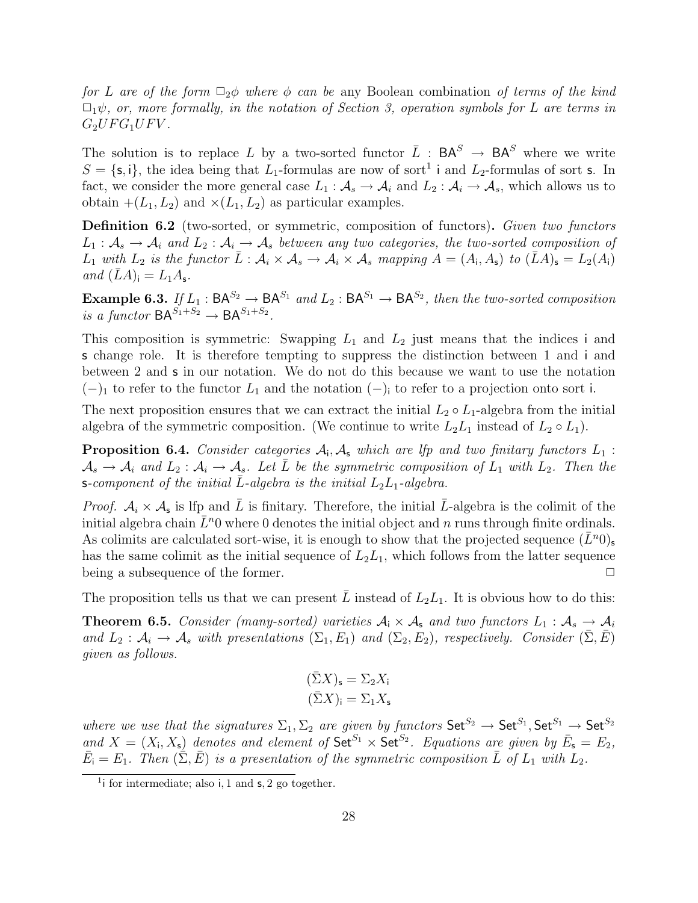for L are of the form  $\Box_2\phi$  where  $\phi$  can be any Boolean combination of terms of the kind  $\Box_1\psi$ , or, more formally, in the notation of Section 3, operation symbols for L are terms in  $G_2UFG_1UFV$ .

The solution is to replace L by a two-sorted functor  $\overline{L}$  :  $\mathsf{BA}^S \rightarrow \mathsf{BA}^S$  where we write  $S = \{\mathsf{s}, \mathsf{i}\}\text{,}$  the idea being that  $L_1$ -formulas are now of sort<sup>1</sup> i and  $L_2$ -formulas of sort **s**. In fact, we consider the more general case  $L_1 : \mathcal{A}_s \to \mathcal{A}_i$  and  $L_2 : \mathcal{A}_i \to \mathcal{A}_s$ , which allows us to obtain  $+(L_1, L_2)$  and  $\times (L_1, L_2)$  as particular examples.

Definition 6.2 (two-sorted, or symmetric, composition of functors). Given two functors  $L_1: \mathcal{A}_s \to \mathcal{A}_i$  and  $L_2: \mathcal{A}_i \to \mathcal{A}_s$  between any two categories, the two-sorted composition of  $L_1$  with  $L_2$  is the functor  $\overline{L} : A_i \times A_s \to A_i \times A_s$  mapping  $A = (A_i, A_s)$  to  $(\overline{L}A)_{s} = L_2(A_i)$ and  $(LA)_{\mathbf{i}} = L_1A_{\mathbf{s}}$ .

**Example 6.3.** If  $L_1$ :  $BA^{S_2} \rightarrow BA^{S_1}$  and  $L_2$ :  $BA^{S_1} \rightarrow BA^{S_2}$ , then the two-sorted composition is a functor  $BA^{S_1+S_2} \rightarrow BA^{S_1+S_2}$ .

This composition is symmetric: Swapping  $L_1$  and  $L_2$  just means that the indices i and s change role. It is therefore tempting to suppress the distinction between 1 and i and between 2 and s in our notation. We do not do this because we want to use the notation  $(-)$ <sub>1</sub> to refer to the functor  $L_1$  and the notation  $(-)$ <sub>i</sub> to refer to a projection onto sort i.

The next proposition ensures that we can extract the initial  $L_2 \circ L_1$ -algebra from the initial algebra of the symmetric composition. (We continue to write  $L_2L_1$  instead of  $L_2 \circ L_1$ ).

**Proposition 6.4.** Consider categories  $A_i$ ,  $A_s$  which are lfp and two finitary functors  $L_1$ :  $A_s \to A_i$  and  $L_2: A_i \to A_s$ . Let L be the symmetric composition of  $L_1$  with  $L_2$ . Then the s-component of the initial L-algebra is the initial  $L_2L_1$ -algebra.

*Proof.*  $A_i \times A_s$  is lfp and  $\overline{L}$  is finitary. Therefore, the initial  $\overline{L}$ -algebra is the colimit of the initial algebra chain  $L<sup>n</sup>0$  where 0 denotes the initial object and n runs through finite ordinals. As colimits are calculated sort-wise, it is enough to show that the projected sequence  $(\bar{L}^n 0)_s$ has the same colimit as the initial sequence of  $L_2L_1$ , which follows from the latter sequence being a subsequence of the former.  $\Box$ 

The proposition tells us that we can present  $\overline{L}$  instead of  $L_2L_1$ . It is obvious how to do this:

**Theorem 6.5.** Consider (many-sorted) varieties  $A_i \times A_s$  and two functors  $L_1 : A_s \to A_i$ and  $L_2: \mathcal{A}_i \to \mathcal{A}_s$  with presentations  $(\Sigma_1, E_1)$  and  $(\Sigma_2, E_2)$ , respectively. Consider  $(\Sigma, E)$ given as follows.

$$
\begin{aligned} (\bar{\Sigma}X)_{\mathsf{s}} &= \Sigma_2 X_{\mathsf{i}} \\ (\bar{\Sigma}X)_{\mathsf{i}} &= \Sigma_1 X_{\mathsf{s}} \end{aligned}
$$

where we use that the signatures  $\Sigma_1$ ,  $\Sigma_2$  are given by functors  $\mathsf{Set}^{S_2} \to \mathsf{Set}^{S_1}$ ,  $\mathsf{Set}^{S_1} \to \mathsf{Set}^{S_2}$ and  $X = (X_i, X_s)$  denotes and element of  $\text{Set}^{S_1} \times \text{Set}^{S_2}$ . Equations are given by  $\bar{E}_s = E_2$ ,  $\bar{E}_i = E_1$ . Then  $(\tilde{\Sigma}, \bar{E})$  is a presentation of the symmetric composition  $\bar{L}$  of  $L_1$  with  $L_2$ .

 $1$ i for intermediate; also i, 1 and  $s$ , 2 go together.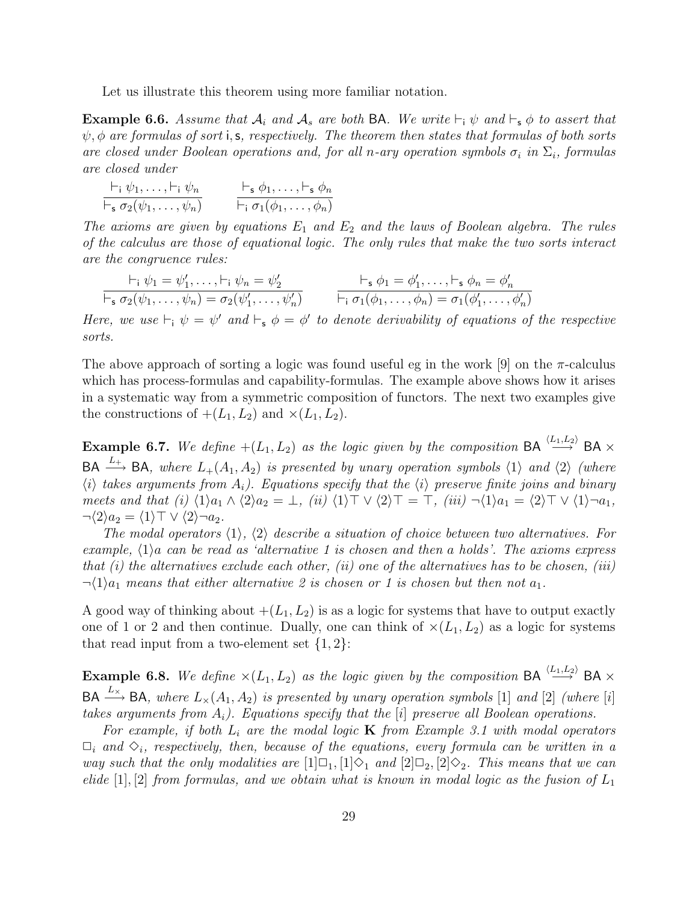Let us illustrate this theorem using more familiar notation.

**Example 6.6.** Assume that  $A_i$  and  $A_s$  are both BA. We write  $\vdash_i \psi$  and  $\vdash_s \phi$  to assert that  $\psi$ ,  $\phi$  are formulas of sort i, s, respectively. The theorem then states that formulas of both sorts are closed under Boolean operations and, for all n-ary operation symbols  $\sigma_i$  in  $\Sigma_i$ , formulas are closed under

$$
\frac{\vdash_i \psi_1, \ldots, \vdash_i \psi_n}{\vdash_s \sigma_2(\psi_1, \ldots, \psi_n)} \qquad \frac{\vdash_s \phi_1, \ldots, \vdash_s \phi_n}{\vdash_i \sigma_1(\phi_1, \ldots, \phi_n)}
$$

The axioms are given by equations  $E_1$  and  $E_2$  and the laws of Boolean algebra. The rules of the calculus are those of equational logic. The only rules that make the two sorts interact are the congruence rules:

$$
\frac{\vdash_i \psi_1 = \psi'_1, \dots, \vdash_i \psi_n = \psi'_2}{\vdash_s \sigma_2(\psi_1, \dots, \psi_n) = \sigma_2(\psi'_1, \dots, \psi'_n)} \qquad \frac{\vdash_s \phi_1 = \phi'_1, \dots, \vdash_s \phi_n = \phi'_n}{\vdash_i \sigma_1(\phi_1, \dots, \phi_n) = \sigma_1(\phi'_1, \dots, \phi'_n)}
$$

Here, we use  $\vdash_i \psi = \psi'$  and  $\vdash_s \phi = \phi'$  to denote derivability of equations of the respective sorts.

The above approach of sorting a logic was found useful eg in the work [9] on the  $\pi$ -calculus which has process-formulas and capability-formulas. The example above shows how it arises in a systematic way from a symmetric composition of functors. The next two examples give the constructions of  $+(L_1, L_2)$  and  $\times (L_1, L_2)$ .

**Example 6.7.** We define  $+(L_1, L_2)$  as the logic given by the composition BA  $\stackrel{\langle L_1, L_2 \rangle}{\longrightarrow}$  BA  $\times$  $BA \xrightarrow{L_+} BA$ , where  $L_+(A_1, A_2)$  is presented by unary operation symbols  $\langle 1 \rangle$  and  $\langle 2 \rangle$  (where  $\langle i \rangle$  takes arguments from  $A_i$ ). Equations specify that the  $\langle i \rangle$  preserve finite joins and binary meets and that (i)  $\langle 1 \rangle a_1 \wedge \langle 2 \rangle a_2 = \bot$ , (ii)  $\langle 1 \rangle \top \vee \langle 2 \rangle \top = \top$ , (iii)  $\neg \langle 1 \rangle a_1 = \langle 2 \rangle \top \vee \langle 1 \rangle \neg a_1$ ,  $\neg \langle 2 \rangle a_2 = \langle 1 \rangle \top \vee \langle 2 \rangle \neg a_2.$ 

The modal operators  $\langle 1 \rangle$ ,  $\langle 2 \rangle$  describe a situation of choice between two alternatives. For example,  $\langle 1 \rangle$ a can be read as 'alternative 1 is chosen and then a holds'. The axioms express that  $(i)$  the alternatives exclude each other,  $(ii)$  one of the alternatives has to be chosen,  $(iii)$  $\neg \langle 1 \rangle a_1$  means that either alternative 2 is chosen or 1 is chosen but then not  $a_1$ .

A good way of thinking about  $+(L_1, L_2)$  is as a logic for systems that have to output exactly one of 1 or 2 and then continue. Dually, one can think of  $\times (L_1, L_2)$  as a logic for systems that read input from a two-element set  $\{1,2\}$ :

**Example 6.8.** We define  $\times (L_1, L_2)$  as the logic given by the composition BA  $\stackrel{\langle L_1, L_2 \rangle}{\longrightarrow}$  BA  $\times$  $BA \xrightarrow{L_{\times}} BA$ , where  $L_{\times}(A_1, A_2)$  is presented by unary operation symbols [1] and [2] (where [i] takes arguments from  $A_i$ ). Equations specify that the  $[i]$  preserve all Boolean operations.

For example, if both  $L_i$  are the modal logic **K** from Example 3.1 with modal operators  $\Box_i$  and  $\Diamond_i$ , respectively, then, because of the equations, every formula can be written in a way such that the only modalities are  $[1]\Box_1, [1]\Diamond_1$  and  $[2]\Box_2, [2]\Diamond_2$ . This means that we can elide  $[1], [2]$  from formulas, and we obtain what is known in modal logic as the fusion of  $L_1$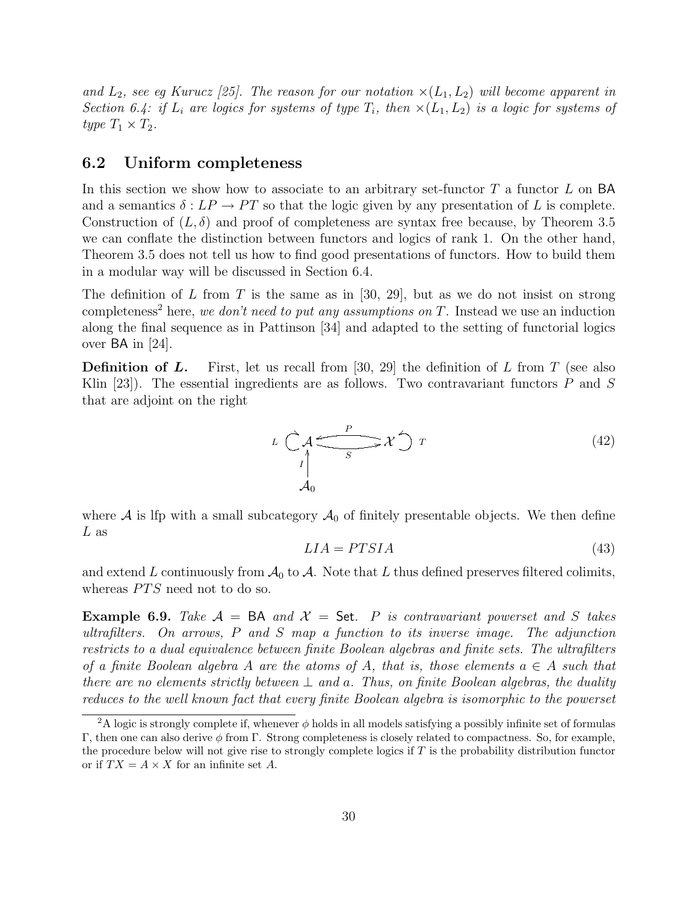and  $L_2$ , see eg Kurucz [25]. The reason for our notation  $\times (L_1, L_2)$  will become apparent in Section 6.4: if  $L_i$  are logics for systems of type  $T_i$ , then  $\times (L_1, L_2)$  is a logic for systems of type  $T_1 \times T_2$ .

#### 6.2 Uniform completeness

In this section we show how to associate to an arbitrary set-functor  $T$  a functor  $L$  on BA and a semantics  $\delta : LP \to PT$  so that the logic given by any presentation of L is complete. Construction of  $(L, \delta)$  and proof of completeness are syntax free because, by Theorem 3.5 we can conflate the distinction between functors and logics of rank 1. On the other hand, Theorem 3.5 does not tell us how to find good presentations of functors. How to build them in a modular way will be discussed in Section 6.4.

The definition of L from T is the same as in [30, 29], but as we do not insist on strong completeness<sup>2</sup> here, we don't need to put any assumptions on  $T$ . Instead we use an induction along the final sequence as in Pattinson [34] and adapted to the setting of functorial logics over BA in [24].

**Definition of L.** First, let us recall from [30, 29] the definition of L from T (see also Klin [23]). The essential ingredients are as follows. Two contravariant functors  $P$  and  $S$ that are adjoint on the right



where  $A$  is lfp with a small subcategory  $A_0$  of finitely presentable objects. We then define L as

$$
LIA = PTSIA \tag{43}
$$

and extend L continuously from  $\mathcal{A}_0$  to  $\mathcal{A}$ . Note that L thus defined preserves filtered colimits, whereas  $PTS$  need not to do so.

**Example 6.9.** Take  $\mathcal{A} = BA$  and  $\mathcal{X} = \mathsf{Set}$ . P is contravariant powerset and S takes ultrafilters. On arrows, P and S map a function to its inverse image. The adjunction restricts to a dual equivalence between finite Boolean algebras and finite sets. The ultrafilters of a finite Boolean algebra A are the atoms of A, that is, those elements  $a \in A$  such that there are no elements strictly between  $\perp$  and a. Thus, on finite Boolean algebras, the duality reduces to the well known fact that every finite Boolean algebra is isomorphic to the powerset

<sup>&</sup>lt;sup>2</sup>A logic is strongly complete if, whenever  $\phi$  holds in all models satisfying a possibly infinite set of formulas Γ, then one can also derive φ from Γ. Strong completeness is closely related to compactness. So, for example, the procedure below will not give rise to strongly complete logics if T is the probability distribution functor or if  $TX = A \times X$  for an infinite set A.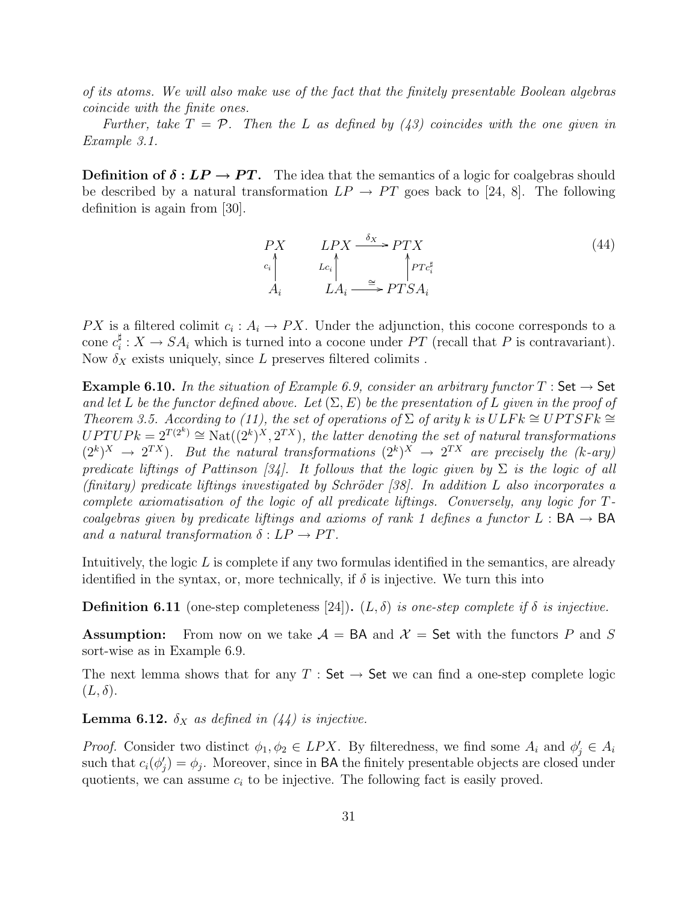of its atoms. We will also make use of the fact that the finitely presentable Boolean algebras coincide with the finite ones.

Further, take  $T = \mathcal{P}$ . Then the L as defined by (43) coincides with the one given in Example 3.1.

**Definition of**  $\delta: LP \to PT$ **.** The idea that the semantics of a logic for coalgebras should be described by a natural transformation  $LP \rightarrow PT$  goes back to [24, 8]. The following definition is again from [30].

$$
\begin{array}{ccc}\nPX & LPX & \xrightarrow{\delta_X} & PTX \\
\downarrow c_i & & \downarrow c_i \\
A_i & LA_i & \xrightarrow{\cong} & PTSA_i\n\end{array} \tag{44}
$$

PX is a filtered colimit  $c_i: A_i \to PX$ . Under the adjunction, this cocone corresponds to a cone  $c_i^{\sharp}$  $\frac{1}{i}: X \to SA_i$  which is turned into a cocone under PT (recall that P is contravariant). Now  $\delta_X$  exists uniquely, since L preserves filtered colimits.

**Example 6.10.** In the situation of Example 6.9, consider an arbitrary functor  $T$ : Set  $\rightarrow$  Set and let L be the functor defined above. Let  $(\Sigma, E)$  be the presentation of L given in the proof of Theorem 3.5. According to (11), the set of operations of  $\Sigma$  of arity k is  $ULFk \cong UPTSFk \cong$  $UPTUPk = 2^{T(2^k)} \cong \text{Nat}((2^k)^X, 2^{TX})$ , the latter denoting the set of natural transformations  $(2^k)^X \rightarrow 2^{TX}$ ). But the natural transformations  $(2^k)^X \rightarrow 2^{TX}$  are precisely the (k-ary) predicate liftings of Pattinson [34]. It follows that the logic given by  $\Sigma$  is the logic of all  $(\text{finitary})$  predicate liftings investigated by Schröder [38]. In addition L also incorporates a complete axiomatisation of the logic of all predicate liftings. Conversely, any logic for Tcoalgebras given by predicate liftings and axioms of rank 1 defines a functor L :  $BA \rightarrow BA$ and a natural transformation  $\delta : LP \rightarrow PT$ .

Intuitively, the logic  $L$  is complete if any two formulas identified in the semantics, are already identified in the syntax, or, more technically, if  $\delta$  is injective. We turn this into

**Definition 6.11** (one-step completeness [24]).  $(L, \delta)$  is one-step complete if  $\delta$  is injective.

**Assumption:** From now on we take  $\mathcal{A} = BA$  and  $\mathcal{X} = \mathsf{Set}$  with the functors P and S sort-wise as in Example 6.9.

The next lemma shows that for any  $T : Set \rightarrow Set$  we can find a one-step complete logic  $(L, \delta).$ 

**Lemma 6.12.**  $\delta_X$  as defined in (44) is injective.

*Proof.* Consider two distinct  $\phi_1, \phi_2 \in LPX$ . By filteredness, we find some  $A_i$  and  $\phi'_j \in A_i$ such that  $c_i(\phi_j') = \phi_j$ . Moreover, since in **BA** the finitely presentable objects are closed under quotients, we can assume  $c_i$  to be injective. The following fact is easily proved.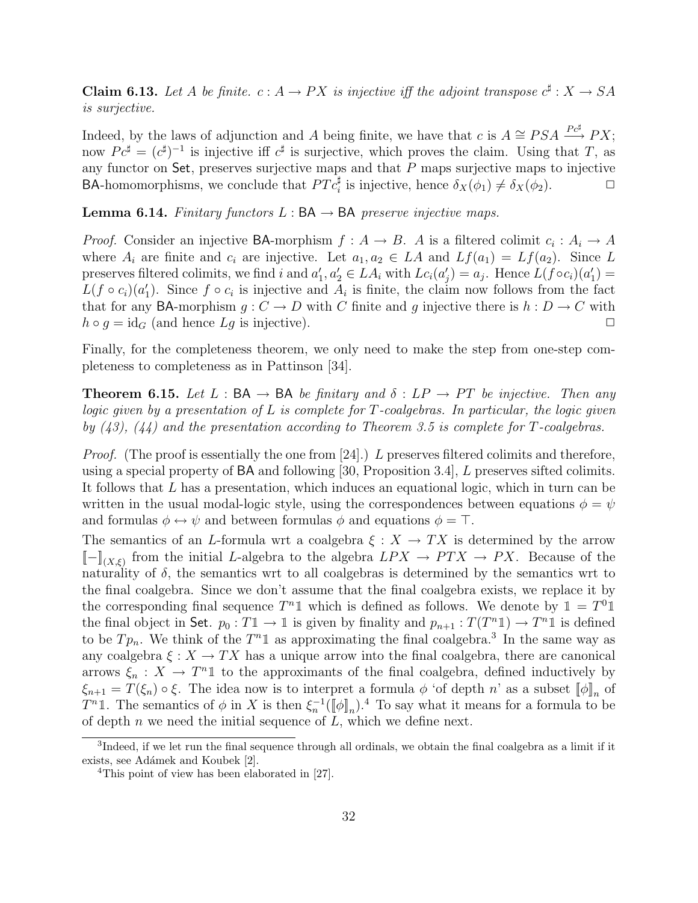**Claim 6.13.** Let A be finite.  $c: A \to PX$  is injective iff the adjoint transpose  $c^{\sharp}: X \to SA$ is surjective.

Indeed, by the laws of adjunction and A being finite, we have that c is  $A \cong PSA \stackrel{Pc^{\sharp}}{\longrightarrow} PX;$ now  $P c^{\sharp} = (c^{\sharp})^{-1}$  is injective iff  $c^{\sharp}$  is surjective, which proves the claim. Using that T, as any functor on Set, preserves surjective maps and that P maps surjective maps to injective **BA-homomorphisms, we conclude that**  $PTc_i^{\sharp}$  **is injective, hence**  $\delta_X(\phi_1) \neq \delta_X(\phi_2)$ **.** 

**Lemma 6.14.** Finitary functors  $L : BA \rightarrow BA$  preserve injective maps.

*Proof.* Consider an injective BA-morphism  $f : A \to B$ . A is a filtered colimit  $c_i : A_i \to A$ where  $A_i$  are finite and  $c_i$  are injective. Let  $a_1, a_2 \in LA$  and  $Lf(a_1) = Lf(a_2)$ . Since L preserves filtered colimits, we find i and  $a'_1, a'_2 \in LA_i$  with  $Lc_i(a'_j) = a_j$ . Hence  $L(f \circ c_i)(a'_1) =$  $L(f \circ c_i)(a'_1)$ . Since  $f \circ c_i$  is injective and  $A_i$  is finite, the claim now follows from the fact that for any BA-morphism  $g: C \to D$  with C finite and g injective there is  $h: D \to C$  with  $h \circ g = id_G$  (and hence  $Lg$  is injective).

Finally, for the completeness theorem, we only need to make the step from one-step completeness to completeness as in Pattinson [34].

**Theorem 6.15.** Let L : BA  $\rightarrow$  BA be finitary and  $\delta$  : LP  $\rightarrow$  PT be injective. Then any logic given by a presentation of  $L$  is complete for  $T$ -coalgebras. In particular, the logic given by  $(43)$ ,  $(44)$  and the presentation according to Theorem 3.5 is complete for T-coalgebras.

*Proof.* (The proof is essentially the one from [24].) L preserves filtered colimits and therefore, using a special property of BA and following [30, Proposition 3.4], L preserves sifted colimits. It follows that L has a presentation, which induces an equational logic, which in turn can be written in the usual modal-logic style, using the correspondences between equations  $\phi = \psi$ and formulas  $\phi \leftrightarrow \psi$  and between formulas  $\phi$  and equations  $\phi = \top$ .

The semantics of an L-formula wrt a coalgebra  $\xi : X \to TX$  is determined by the arrow  $\llbracket - \rrbracket_{(X,\xi)}$  from the initial L-algebra to the algebra  $LPX \to PTX \to PX$ . Because of the naturality of  $\delta$ , the semantics wrt to all coalgebras is determined by the semantics wrt to the final coalgebra. Since we don't assume that the final coalgebra exists, we replace it by the corresponding final sequence  $T^n \mathbb{1}$  which is defined as follows. We denote by  $\mathbb{1} = T^0 \mathbb{1}$ the final object in Set.  $p_0: T \mathbb{1} \to \mathbb{1}$  is given by finality and  $p_{n+1}: T(T^n \mathbb{1}) \to T^n \mathbb{1}$  is defined to be  $Tp_n$ . We think of the  $T^n \mathbb{1}$  as approximating the final coalgebra.<sup>3</sup> In the same way as any coalgebra  $\xi: X \to TX$  has a unique arrow into the final coalgebra, there are canonical arrows  $\xi_n: X \to T^n \mathbb{1}$  to the approximants of the final coalgebra, defined inductively by  $\xi_{n+1} = T(\xi_n) \circ \xi$ . The idea now is to interpret a formula  $\phi$  'of depth n' as a subset  $[\![\phi]\!]_n$  of  $T^n$  1. The semantics of  $\phi$  in X is then  $\xi_n^{-1}(\llbracket \phi \rrbracket_n)^{4}$ . To say what it means for a formula to be of depth  $n$  we need the initial sequence of  $L$ , which we define next.

<sup>&</sup>lt;sup>3</sup>Indeed, if we let run the final sequence through all ordinals, we obtain the final coalgebra as a limit if it exists, see Adámek and Koubek [2].

<sup>&</sup>lt;sup>4</sup>This point of view has been elaborated in [27].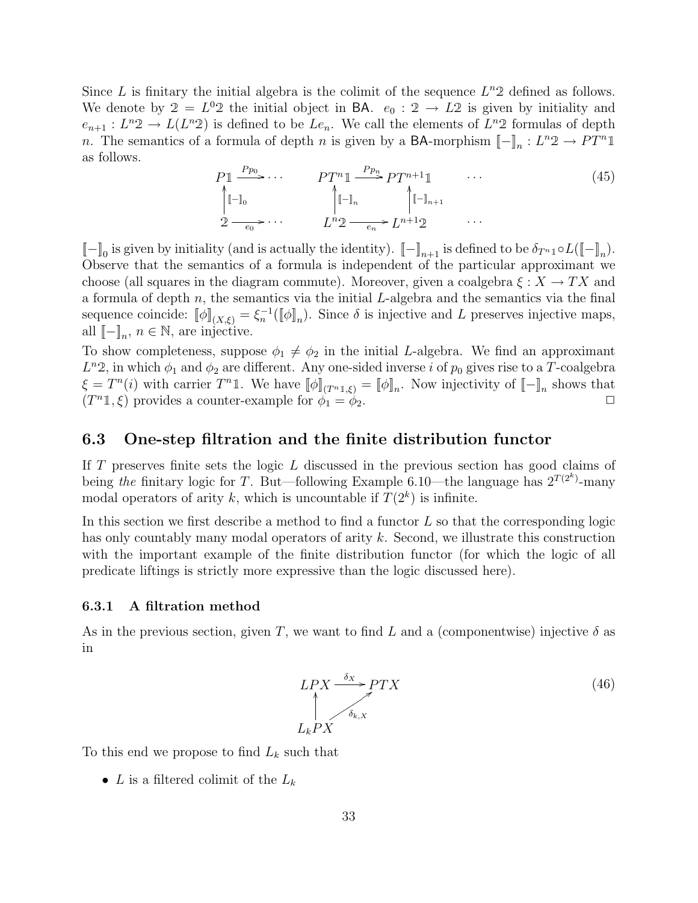Since L is finitary the initial algebra is the colimit of the sequence  $L^n 2$  defined as follows. We denote by  $2 = L^0 2$  the initial object in BA.  $e_0 : 2 \rightarrow L2$  is given by initiality and  $e_{n+1}: L^n2 \to L(L^n2)$  is defined to be  $Le_n$ . We call the elements of  $L^n2$  formulas of depth n. The semantics of a formula of depth n is given by a **BA**-morphism  $[-]_n : L^n2 \to PT^n1$ as follows.

$$
P1 \xrightarrow{Pp_0} \cdots \qquad PT^n1 \xrightarrow{Pp_n} PT^{n+1}1 \qquad \cdots
$$
\n
$$
\uparrow \qquad \qquad \uparrow \qquad \qquad (45)
$$
\n
$$
2 \xrightarrow{e_0} \cdots \qquad \qquad L^n2 \xrightarrow{e_n} L^{n+1}2 \qquad \cdots
$$
\n
$$
(45)
$$

 $[-]_0$  is given by initiality (and is actually the identity).  $[-]_{n+1}$  is defined to be  $\delta_{T^{n}1} \circ L([\![-]\!]_n)$ . Observe that the semantics of a formula is independent of the particular approximant we choose (all squares in the diagram commute). Moreover, given a coalgebra  $\xi : X \to TX$  and a formula of depth  $n$ , the semantics via the initial  $L$ -algebra and the semantics via the final sequence coincide:  $[\![\phi]\!]_{(X,\xi)} = \xi_n^{-1}([\![\phi]\!]_n)$ . Since  $\delta$  is injective and L preserves injective maps, all  $[-]_n, n \in \mathbb{N}$ , are injective.

To show completeness, suppose  $\phi_1 \neq \phi_2$  in the initial L-algebra. We find an approximant  $L^n,$  in which  $\phi_1$  and  $\phi_2$  are different. Any one-sided inverse i of  $p_0$  gives rise to a T-coalgebra  $\xi = T^{n}(i)$  with carrier  $T^{n} \mathbb{1}$ . We have  $[\![\phi]\!]_{(T^{n} \mathbb{1},\xi)} = [\![\phi]\!]_n$ . Now injectivity of  $[\![-\!]_n$  shows that  $(T^n 1, \xi)$  provides a counter-example for  $\phi_1 = \phi_2$ .

#### 6.3 One-step filtration and the finite distribution functor

If T preserves finite sets the logic L discussed in the previous section has good claims of being the finitary logic for T. But—following Example 6.10—the language has  $2^{T(2^k)}$ -many modal operators of arity k, which is uncountable if  $T(2^k)$  is infinite.

In this section we first describe a method to find a functor  $L$  so that the corresponding logic has only countably many modal operators of arity k. Second, we illustrate this construction with the important example of the finite distribution functor (for which the logic of all predicate liftings is strictly more expressive than the logic discussed here).

#### 6.3.1 A filtration method

As in the previous section, given T, we want to find L and a (componentwise) injective  $\delta$  as in

$$
LPX \xrightarrow{\delta_X} PTX
$$
\n
$$
\uparrow_{\delta_{k,X}} \qquad (46)
$$
\n
$$
L_kPX
$$

To this end we propose to find  $L_k$  such that

• L is a filtered colimit of the  $L_k$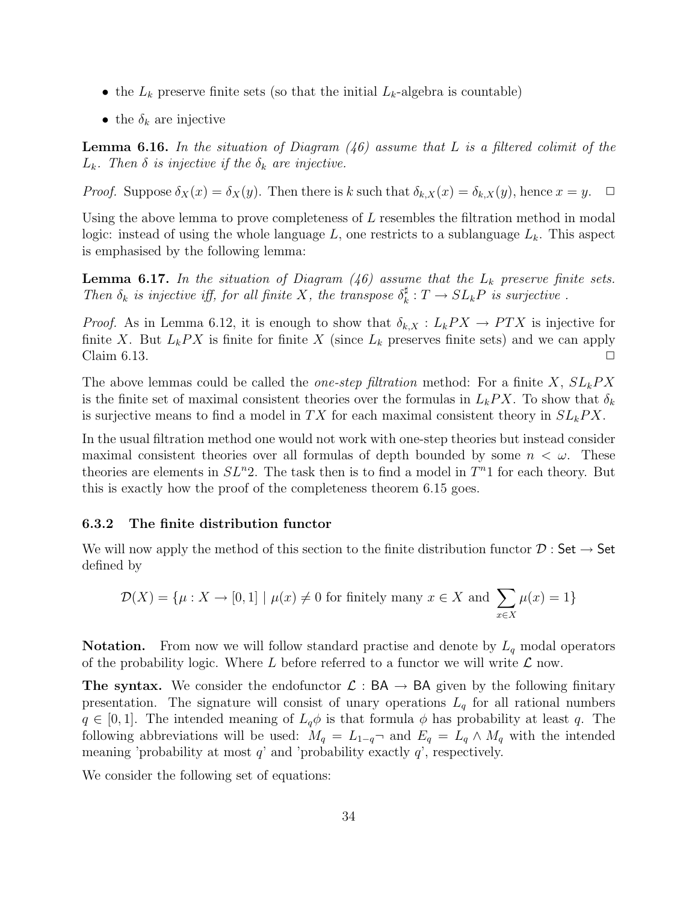- the  $L_k$  preserve finite sets (so that the initial  $L_k$ -algebra is countable)
- the  $\delta_k$  are injective

**Lemma 6.16.** In the situation of Diagram  $(46)$  assume that L is a filtered colimit of the  $L_k$ . Then  $\delta$  is injective if the  $\delta_k$  are injective.

*Proof.* Suppose  $\delta_X(x) = \delta_X(y)$ . Then there is k such that  $\delta_{k,X}(x) = \delta_{k,X}(y)$ , hence  $x = y$ .  $\Box$ 

Using the above lemma to prove completeness of  $L$  resembles the filtration method in modal logic: instead of using the whole language  $L$ , one restricts to a sublanguage  $L<sub>k</sub>$ . This aspect is emphasised by the following lemma:

**Lemma 6.17.** In the situation of Diagram  $(46)$  assume that the  $L_k$  preserve finite sets. Then  $\delta_k$  is injective iff, for all finite X, the transpose  $\delta_k^{\sharp}$  $k \nvert T \to SL_kP$  is surjective.

*Proof.* As in Lemma 6.12, it is enough to show that  $\delta_{k,X}: L_kPX \to PTX$  is injective for finite X. But  $L_k$  PX is finite for finite X (since  $L_k$  preserves finite sets) and we can apply Claim 6.13.  $\Box$ 

The above lemmas could be called the *one-step filtration* method: For a finite X,  $SL_kPX$ is the finite set of maximal consistent theories over the formulas in  $L_kPX$ . To show that  $\delta_k$ is surjective means to find a model in TX for each maximal consistent theory in  $SL_kPX$ .

In the usual filtration method one would not work with one-step theories but instead consider maximal consistent theories over all formulas of depth bounded by some  $n < \omega$ . These theories are elements in  $SL<sup>n</sup>2$ . The task then is to find a model in  $T<sup>n</sup>1$  for each theory. But this is exactly how the proof of the completeness theorem 6.15 goes.

#### 6.3.2 The finite distribution functor

We will now apply the method of this section to the finite distribution functor  $\mathcal{D}$  : Set  $\rightarrow$  Set defined by

$$
\mathcal{D}(X) = \{ \mu : X \to [0,1] \mid \mu(x) \neq 0 \text{ for finitely many } x \in X \text{ and } \sum_{x \in X} \mu(x) = 1 \}
$$

**Notation.** From now we will follow standard practise and denote by  $L_q$  modal operators of the probability logic. Where L before referred to a functor we will write  $\mathcal L$  now.

The syntax. We consider the endofunctor  $\mathcal{L} : BA \to BA$  given by the following finitary presentation. The signature will consist of unary operations  $L_q$  for all rational numbers  $q \in [0, 1]$ . The intended meaning of  $L_q\phi$  is that formula  $\phi$  has probability at least q. The following abbreviations will be used:  $M_q = L_{1-q}$  and  $E_q = L_q \wedge M_q$  with the intended meaning 'probability at most  $q$ ' and 'probability exactly  $q$ ', respectively.

We consider the following set of equations: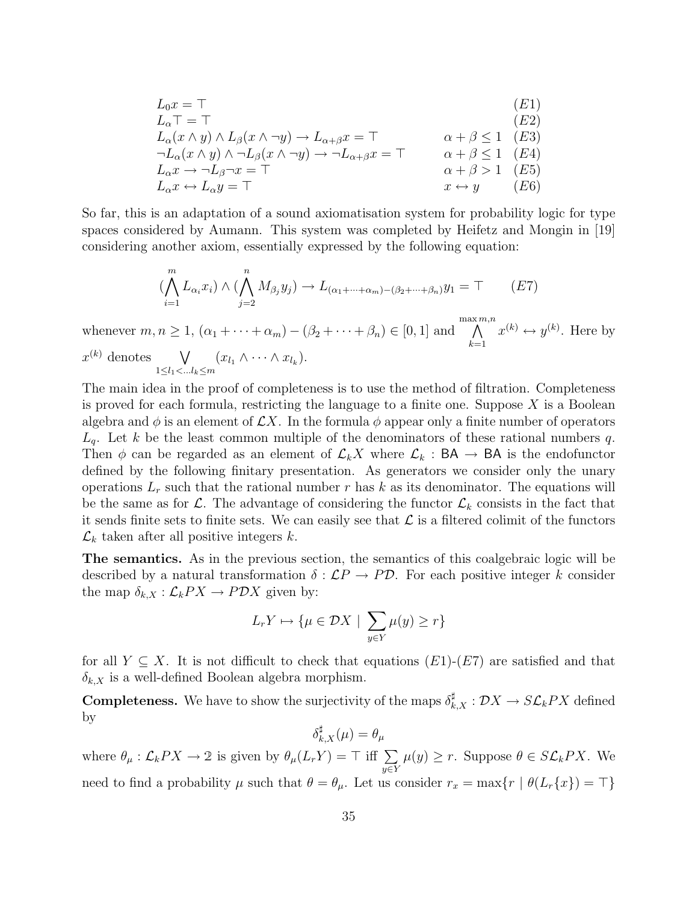$$
L_0x = T
$$
\n
$$
L_{\alpha}T = T
$$
\n
$$
L_{\alpha}(x \wedge y) \wedge L_{\beta}(x \wedge \neg y) \rightarrow L_{\alpha+\beta}x = T
$$
\n
$$
L_{\alpha}(x \wedge y) \wedge \neg L_{\beta}(x \wedge \neg y) \rightarrow L_{\alpha+\beta}x = T
$$
\n
$$
L_{\alpha}x \rightarrow \neg L_{\beta}\neg x = T
$$
\n
$$
L_{\alpha}x \rightarrow \neg L_{\beta}\neg x = T
$$
\n
$$
L_{\alpha}x \leftrightarrow L_{\alpha}y = T
$$
\n
$$
T
$$
\n
$$
x \leftrightarrow y
$$
\n
$$
(E6)
$$
\n
$$
x \leftrightarrow y
$$

So far, this is an adaptation of a sound axiomatisation system for probability logic for type spaces considered by Aumann. This system was completed by Heifetz and Mongin in [19] considering another axiom, essentially expressed by the following equation:

$$
(\bigwedge_{i=1}^{m} L_{\alpha_i} x_i) \wedge (\bigwedge_{j=2}^{n} M_{\beta_j} y_j) \rightarrow L_{(\alpha_1 + \dots + \alpha_m) - (\beta_2 + \dots + \beta_n)} y_1 = \top
$$
 (E7)

whenever  $m, n \geq 1$ ,  $(\alpha_1 + \cdots + \alpha_m) - (\beta_2 + \cdots + \beta_n) \in [0, 1]$  and max $\wedge$ m,n  $_{k=1}$  $x^{(k)} \leftrightarrow y^{(k)}$ . Here by  $x^{(k)}$  denotes  $\forall$  $1 \le l_1 < ... l_k \le m$  $(x_{l_1} \wedge \cdots \wedge x_{l_k}).$ 

The main idea in the proof of completeness is to use the method of filtration. Completeness is proved for each formula, restricting the language to a finite one. Suppose  $X$  is a Boolean algebra and  $\phi$  is an element of  $\mathcal{L}X$ . In the formula  $\phi$  appear only a finite number of operators  $L_q$ . Let k be the least common multiple of the denominators of these rational numbers q. Then  $\phi$  can be regarded as an element of  $\mathcal{L}_k X$  where  $\mathcal{L}_k$ : BA  $\rightarrow$  BA is the endofunctor defined by the following finitary presentation. As generators we consider only the unary operations  $L_r$  such that the rational number r has k as its denominator. The equations will be the same as for  $\mathcal{L}$ . The advantage of considering the functor  $\mathcal{L}_k$  consists in the fact that it sends finite sets to finite sets. We can easily see that  $\mathcal L$  is a filtered colimit of the functors  $\mathcal{L}_k$  taken after all positive integers k.

The semantics. As in the previous section, the semantics of this coalgebraic logic will be described by a natural transformation  $\delta : \mathcal{L}P \to P\mathcal{D}$ . For each positive integer k consider the map  $\delta_{k,X} : \mathcal{L}_k PX \to PDX$  given by:

$$
L_r Y \mapsto \{ \mu \in \mathcal{D}X \mid \sum_{y \in Y} \mu(y) \ge r \}
$$

for all  $Y \subseteq X$ . It is not difficult to check that equations  $(E1)-(E7)$  are satisfied and that  $\delta_{k,X}$  is a well-defined Boolean algebra morphism.

**Completeness.** We have to show the surjectivity of the maps  $\delta_{k,X}^{\sharp}: \mathcal{D}X \to S\mathcal{L}_kPX$  defined by

$$
\delta_{k,X}^\sharp(\mu)=\theta_\mu
$$

where  $\theta_{\mu} : \mathcal{L}_k PX \to 2$  is given by  $\theta_{\mu}(L_rY) = \top$  iff  $\sum$ y∈Y  $\mu(y) \geq r$ . Suppose  $\theta \in S\mathcal{L}_kPX$ . We need to find a probability  $\mu$  such that  $\theta = \theta_{\mu}$ . Let us consider  $r_x = \max\{r \mid \theta(L_r\{x\}) = \top\}$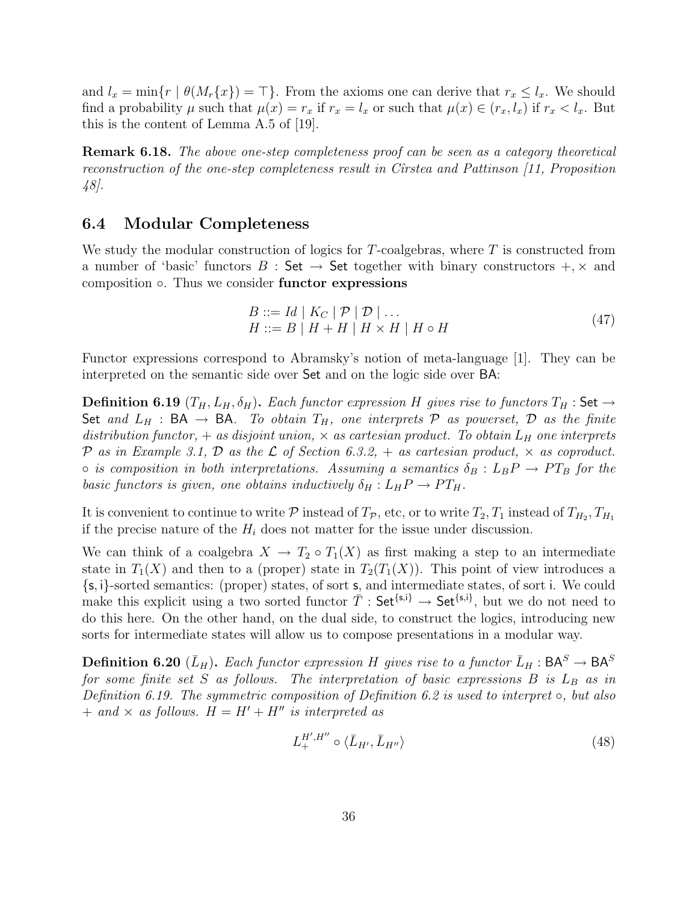and  $l_x = \min\{r \mid \theta(M_r\{x\}) = \top\}.$  From the axioms one can derive that  $r_x \leq l_x$ . We should find a probability  $\mu$  such that  $\mu(x) = r_x$  if  $r_x = l_x$  or such that  $\mu(x) \in (r_x, l_x)$  if  $r_x < l_x$ . But this is the content of Lemma A.5 of [19].

Remark 6.18. The above one-step completeness proof can be seen as a category theoretical reconstruction of the one-step completeness result in Cîrstea and Pattinson [11, Proposition 48].

#### 6.4 Modular Completeness

We study the modular construction of logics for  $T$ -coalgebras, where  $T$  is constructed from a number of 'basic' functors  $B : Set \rightarrow Set$  together with binary constructors  $+$ ,  $\times$  and composition ◦. Thus we consider functor expressions

$$
B ::= Id | K_C | \mathcal{P} | \mathcal{D} | \dots
$$
  
\n
$$
H ::= B | H + H | H \times H | H \circ H
$$
\n(47)

Functor expressions correspond to Abramsky's notion of meta-language [1]. They can be interpreted on the semantic side over Set and on the logic side over BA:

**Definition 6.19**  $(T_H, L_H, \delta_H)$ . Each functor expression H gives rise to functors  $T_H$ : Set  $\rightarrow$ Set and  $L_H$  : BA  $\rightarrow$  BA. To obtain  $T_H$ , one interprets  $P$  as powerset,  $D$  as the finite distribution functor,  $+$  as disjoint union,  $\times$  as cartesian product. To obtain  $L_H$  one interprets P as in Example 3.1, D as the L of Section 6.3.2,  $+$  as cartesian product,  $\times$  as coproduct.  $\circ$  is composition in both interpretations. Assuming a semantics  $\delta_B: L_B P \to PT_B$  for the basic functors is given, one obtains inductively  $\delta_H : L_H P \to PT_H$ .

It is convenient to continue to write  $P$  instead of  $T_P$ , etc, or to write  $T_2, T_1$  instead of  $T_{H_2}, T_{H_1}$ if the precise nature of the  $H_i$  does not matter for the issue under discussion.

We can think of a coalgebra  $X \to T_2 \circ T_1(X)$  as first making a step to an intermediate state in  $T_1(X)$  and then to a (proper) state in  $T_2(T_1(X))$ . This point of view introduces a {s, i}-sorted semantics: (proper) states, of sort s, and intermediate states, of sort i. We could make this explicit using a two sorted functor  $\overline{T}$  : Set<sup>{s,i}</sup>  $\rightarrow$  Set<sup>{s,i}</sup>, but we do not need to do this here. On the other hand, on the dual side, to construct the logics, introducing new sorts for intermediate states will allow us to compose presentations in a modular way.

**Definition 6.20** ( $\bar{L}_H$ ). Each functor expression H gives rise to a functor  $\bar{L}_H$ :  $BA^S \rightarrow BA^S$ for some finite set S as follows. The interpretation of basic expressions B is  $L_B$  as in Definition 6.19. The symmetric composition of Definition 6.2 is used to interpret  $\circ$ , but also  $+$  and  $\times$  as follows.  $H = H' + H''$  is interpreted as

$$
L_+^{H',H''} \circ \langle \bar{L}_{H'}, \bar{L}_{H''} \rangle \tag{48}
$$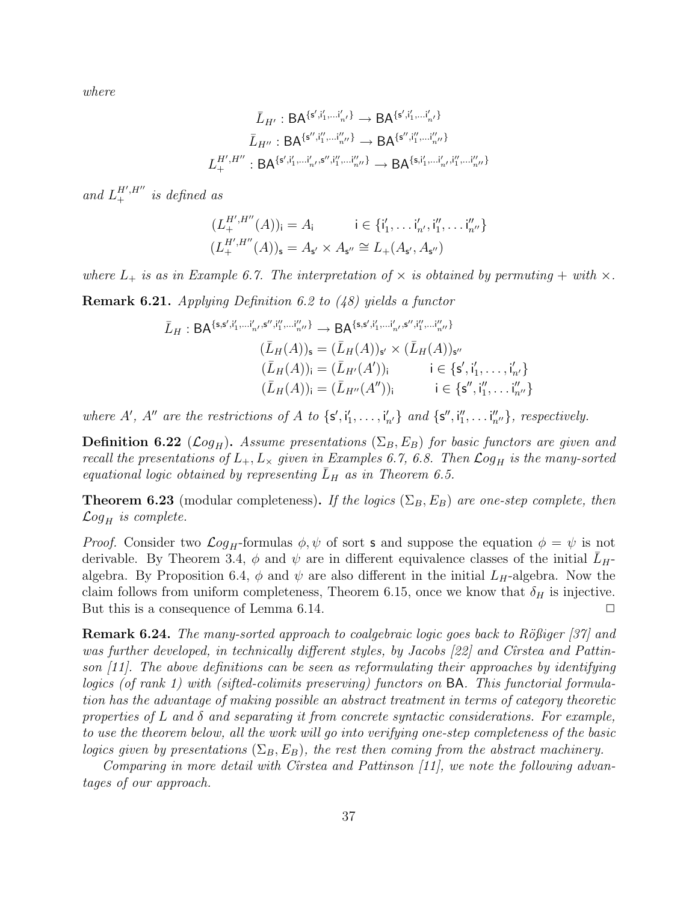where

$$
\bar{L}_{H'}: \mathsf{BA}^{\{s', i'_1, \dots, i'_{n'}\}} \to \mathsf{BA}^{\{s', i'_1, \dots, i'_{n'}\}} \\
\bar{L}_{H''}: \mathsf{BA}^{\{s'', i''_1, \dots, i''_{n''}\}} \to \mathsf{BA}^{\{s'', i''_1, \dots, i''_{n''}\}} \\
L^{H', H''}_{+}: \mathsf{BA}^{\{s', i'_1, \dots, i'_{n''}\}} \to \mathsf{BA}^{\{s, i'_1, \dots, i'_{n'}, i''_1, \dots, i''_{n''}\}}
$$

and  $L_+^{H',H''}$  is defined as

$$
(L_+^{H',H''}(A))_i = A_i \qquad i \in \{i'_1, \dots, i'_{n'}, i''_1, \dots, i''_{n''}\}
$$

$$
(L_+^{H',H''}(A))_s = A_{s'} \times A_{s''} \cong L_+(A_{s'}, A_{s''})
$$

where  $L_+$  is as in Example 6.7. The interpretation of  $\times$  is obtained by permuting  $+$  with  $\times$ .

Remark 6.21. Applying Definition 6.2 to (48) yields a functor

$$
\bar{L}_H: BA^{\{s,s',i'_1,\dots,i'_{n'},s'',i''_1,\dots,i''_{n''}\}} \to BA^{\{s,s',i'_1,\dots,i'_{n'},s'',i''_1,\dots,i''_{n''}\}}
$$
\n
$$
(\bar{L}_H(A))_s = (\bar{L}_H(A))_{s'} \times (\bar{L}_H(A))_{s''}
$$
\n
$$
(\bar{L}_H(A))_i = (\bar{L}_{H'}(A'))_i \qquad i \in \{s', i'_1, \dots, i'_{n'}\}
$$
\n
$$
(\bar{L}_H(A))_i = (\bar{L}_{H''}(A''))_i \qquad i \in \{s'', i''_1, \dots, i''_{n''}\}
$$

where A', A'' are the restrictions of A to  $\{s', i'_1, \ldots, i'_{n'}\}$  and  $\{s'', i''_1, \ldots, i''_{n''}\}$ , respectively.

**Definition 6.22** ( $\mathcal{L}og_H$ ). Assume presentations ( $\Sigma_B$ ,  $E_B$ ) for basic functors are given and recall the presentations of  $L_+$ ,  $L_{\times}$  given in Examples 6.7, 6.8. Then  $\mathcal{L}og_H$  is the many-sorted equational logic obtained by representing  $L_H$  as in Theorem 6.5.

**Theorem 6.23** (modular completeness). If the logics ( $\Sigma_B$ ,  $E_B$ ) are one-step complete, then  $\mathcal{L}og_H$  is complete.

*Proof.* Consider two  $\mathcal{L}og_H$ -formulas  $\phi, \psi$  of sort **s** and suppose the equation  $\phi = \psi$  is not derivable. By Theorem 3.4,  $\phi$  and  $\psi$  are in different equivalence classes of the initial  $L_H$ algebra. By Proposition 6.4,  $\phi$  and  $\psi$  are also different in the initial  $L_H$ -algebra. Now the claim follows from uniform completeness, Theorem 6.15, once we know that  $\delta_H$  is injective. But this is a consequence of Lemma 6.14.  $\Box$ 

Remark 6.24. The many-sorted approach to coalgebraic logic goes back to Rößiger [37] and was further developed, in technically different styles, by Jacobs  $[22]$  and Cîrstea and Pattinson  $[11]$ . The above definitions can be seen as reformulating their approaches by identifying logics (of rank 1) with (sifted-colimits preserving) functors on BA. This functorial formulation has the advantage of making possible an abstract treatment in terms of category theoretic properties of L and  $\delta$  and separating it from concrete syntactic considerations. For example, to use the theorem below, all the work will go into verifying one-step completeness of the basic logics given by presentations  $(\Sigma_B, E_B)$ , the rest then coming from the abstract machinery.

Comparing in more detail with Cirstea and Pattinson  $[11]$ , we note the following advantages of our approach.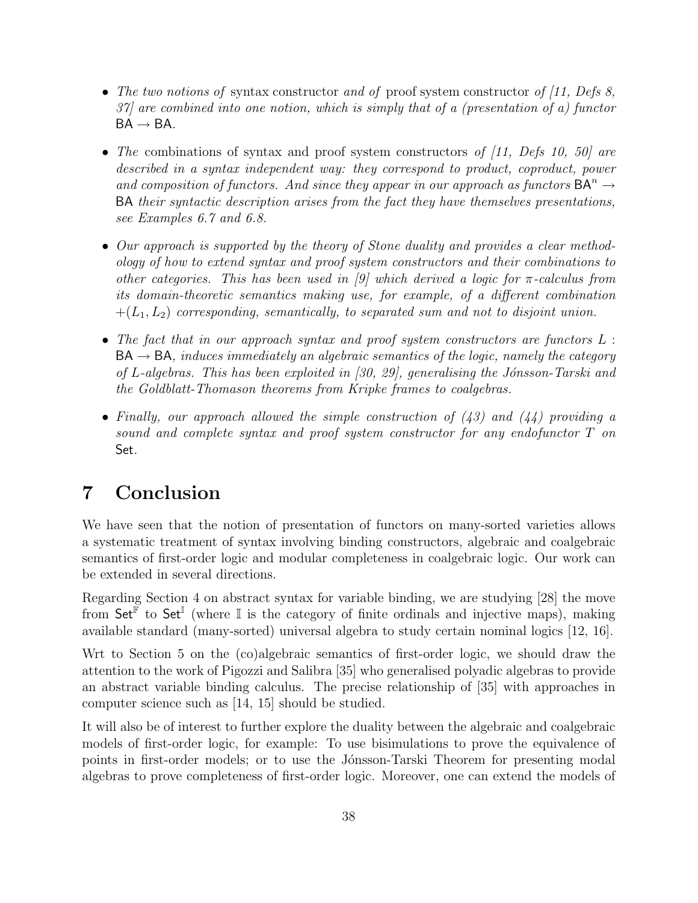- The two notions of syntax constructor and of proof system constructor of  $(11, Defs 8,$ 37] are combined into one notion, which is simply that of a (presentation of a) functor  $BA \rightarrow BA$ .
- The combinations of syntax and proof system constructors of  $(11, Defs 10, 50)$  are described in a syntax independent way: they correspond to product, coproduct, power and composition of functors. And since they appear in our approach as functors  $BA^{n} \rightarrow$ BA their syntactic description arises from the fact they have themselves presentations, see Examples 6.7 and 6.8.
- Our approach is supported by the theory of Stone duality and provides a clear methodology of how to extend syntax and proof system constructors and their combinations to other categories. This has been used in [9] which derived a logic for  $\pi$ -calculus from its domain-theoretic semantics making use, for example, of a different combination  $+(L_1, L_2)$  corresponding, semantically, to separated sum and not to disjoint union.
- The fact that in our approach syntax and proof system constructors are functors  $L$ :  $BA \rightarrow BA$ , induces immediately an algebraic semantics of the logic, namely the category of L-algebras. This has been exploited in  $(30, 29)$ , generalising the Jónsson-Tarski and the Goldblatt-Thomason theorems from Kripke frames to coalgebras.
- Finally, our approach allowed the simple construction of  $(43)$  and  $(44)$  providing a sound and complete syntax and proof system constructor for any endofunctor T on Set.

# 7 Conclusion

We have seen that the notion of presentation of functors on many-sorted varieties allows a systematic treatment of syntax involving binding constructors, algebraic and coalgebraic semantics of first-order logic and modular completeness in coalgebraic logic. Our work can be extended in several directions.

Regarding Section 4 on abstract syntax for variable binding, we are studying [28] the move from Set<sup> $\mathbb{F}$ </sup> to Set<sup>I</sup> (where I is the category of finite ordinals and injective maps), making available standard (many-sorted) universal algebra to study certain nominal logics [12, 16].

Wrt to Section 5 on the (co)algebraic semantics of first-order logic, we should draw the attention to the work of Pigozzi and Salibra [35] who generalised polyadic algebras to provide an abstract variable binding calculus. The precise relationship of [35] with approaches in computer science such as [14, 15] should be studied.

It will also be of interest to further explore the duality between the algebraic and coalgebraic models of first-order logic, for example: To use bisimulations to prove the equivalence of points in first-order models; or to use the Jónsson-Tarski Theorem for presenting modal algebras to prove completeness of first-order logic. Moreover, one can extend the models of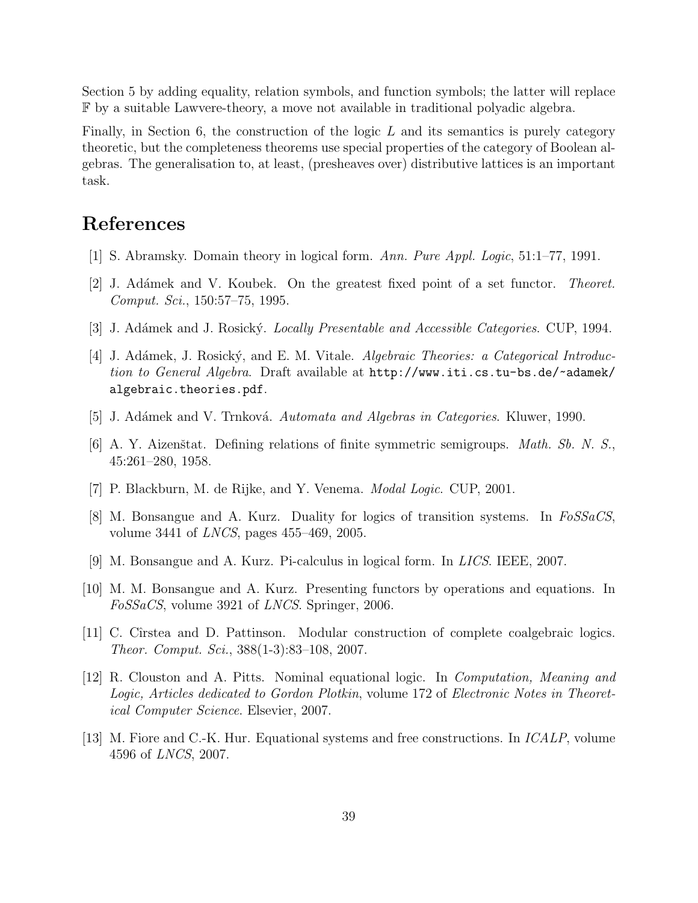Section 5 by adding equality, relation symbols, and function symbols; the latter will replace F by a suitable Lawvere-theory, a move not available in traditional polyadic algebra.

Finally, in Section 6, the construction of the logic  $L$  and its semantics is purely category theoretic, but the completeness theorems use special properties of the category of Boolean algebras. The generalisation to, at least, (presheaves over) distributive lattices is an important task.

# References

- [1] S. Abramsky. Domain theory in logical form. Ann. Pure Appl. Logic, 51:1–77, 1991.
- [2] J. Adámek and V. Koubek. On the greatest fixed point of a set functor. *Theoret*. Comput. Sci., 150:57–75, 1995.
- [3] J. Adámek and J. Rosický. *Locally Presentable and Accessible Categories*. CUP, 1994.
- [4] J. Adámek, J. Rosický, and E. M. Vitale. Algebraic Theories: a Categorical Introduction to General Algebra. Draft available at http://www.iti.cs.tu-bs.de/~adamek/ algebraic.theories.pdf.
- [5] J. Adámek and V. Trnková. Automata and Algebras in Categories. Kluwer, 1990.
- [6] A. Y. Aizenštat. Defining relations of finite symmetric semigroups. *Math. Sb. N. S.*, 45:261–280, 1958.
- [7] P. Blackburn, M. de Rijke, and Y. Venema. Modal Logic. CUP, 2001.
- [8] M. Bonsangue and A. Kurz. Duality for logics of transition systems. In FoSSaCS, volume 3441 of LNCS, pages 455–469, 2005.
- [9] M. Bonsangue and A. Kurz. Pi-calculus in logical form. In LICS. IEEE, 2007.
- [10] M. M. Bonsangue and A. Kurz. Presenting functors by operations and equations. In FoSSaCS, volume 3921 of LNCS. Springer, 2006.
- [11] C. Cˆırstea and D. Pattinson. Modular construction of complete coalgebraic logics. Theor. Comput. Sci., 388(1-3):83–108, 2007.
- [12] R. Clouston and A. Pitts. Nominal equational logic. In Computation, Meaning and Logic, Articles dedicated to Gordon Plotkin, volume 172 of Electronic Notes in Theoretical Computer Science. Elsevier, 2007.
- [13] M. Fiore and C.-K. Hur. Equational systems and free constructions. In ICALP, volume 4596 of LNCS, 2007.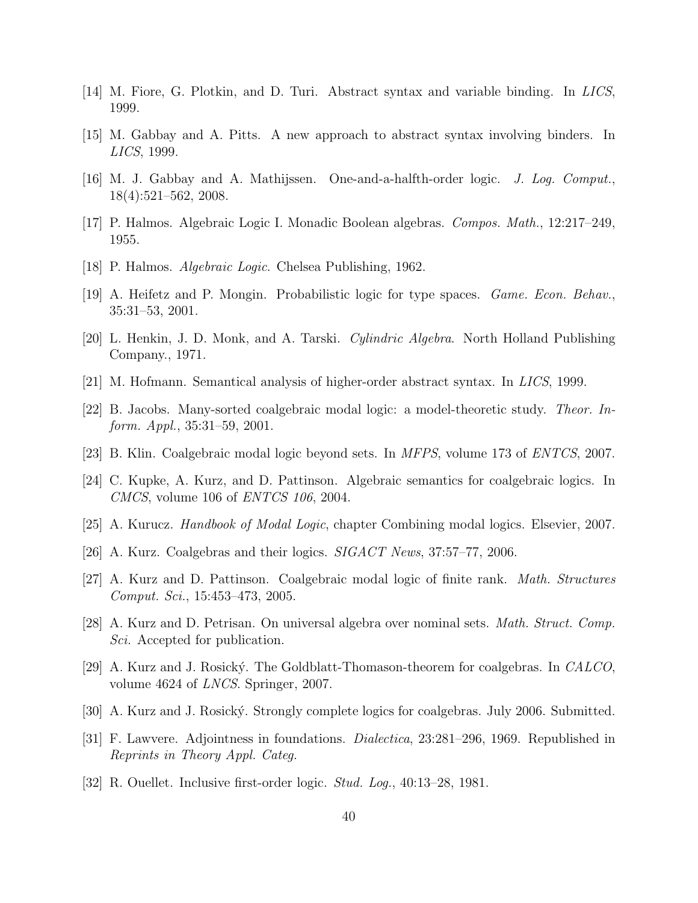- [14] M. Fiore, G. Plotkin, and D. Turi. Abstract syntax and variable binding. In LICS, 1999.
- [15] M. Gabbay and A. Pitts. A new approach to abstract syntax involving binders. In LICS, 1999.
- [16] M. J. Gabbay and A. Mathijssen. One-and-a-halfth-order logic. J. Log. Comput., 18(4):521–562, 2008.
- [17] P. Halmos. Algebraic Logic I. Monadic Boolean algebras. Compos. Math., 12:217–249, 1955.
- [18] P. Halmos. Algebraic Logic. Chelsea Publishing, 1962.
- [19] A. Heifetz and P. Mongin. Probabilistic logic for type spaces. Game. Econ. Behav., 35:31–53, 2001.
- [20] L. Henkin, J. D. Monk, and A. Tarski. Cylindric Algebra. North Holland Publishing Company., 1971.
- [21] M. Hofmann. Semantical analysis of higher-order abstract syntax. In LICS, 1999.
- [22] B. Jacobs. Many-sorted coalgebraic modal logic: a model-theoretic study. Theor. Inform. Appl., 35:31–59, 2001.
- [23] B. Klin. Coalgebraic modal logic beyond sets. In MFPS, volume 173 of ENTCS, 2007.
- [24] C. Kupke, A. Kurz, and D. Pattinson. Algebraic semantics for coalgebraic logics. In CMCS, volume 106 of ENTCS 106, 2004.
- [25] A. Kurucz. Handbook of Modal Logic, chapter Combining modal logics. Elsevier, 2007.
- [26] A. Kurz. Coalgebras and their logics. SIGACT News, 37:57–77, 2006.
- [27] A. Kurz and D. Pattinson. Coalgebraic modal logic of finite rank. Math. Structures Comput. Sci., 15:453–473, 2005.
- [28] A. Kurz and D. Petrisan. On universal algebra over nominal sets. Math. Struct. Comp. Sci. Accepted for publication.
- [29] A. Kurz and J. Rosick´y. The Goldblatt-Thomason-theorem for coalgebras. In CALCO, volume 4624 of LNCS. Springer, 2007.
- [30] A. Kurz and J. Rosický. Strongly complete logics for coalgebras. July 2006. Submitted.
- [31] F. Lawvere. Adjointness in foundations. Dialectica, 23:281–296, 1969. Republished in Reprints in Theory Appl. Categ.
- [32] R. Ouellet. Inclusive first-order logic. Stud. Log., 40:13–28, 1981.